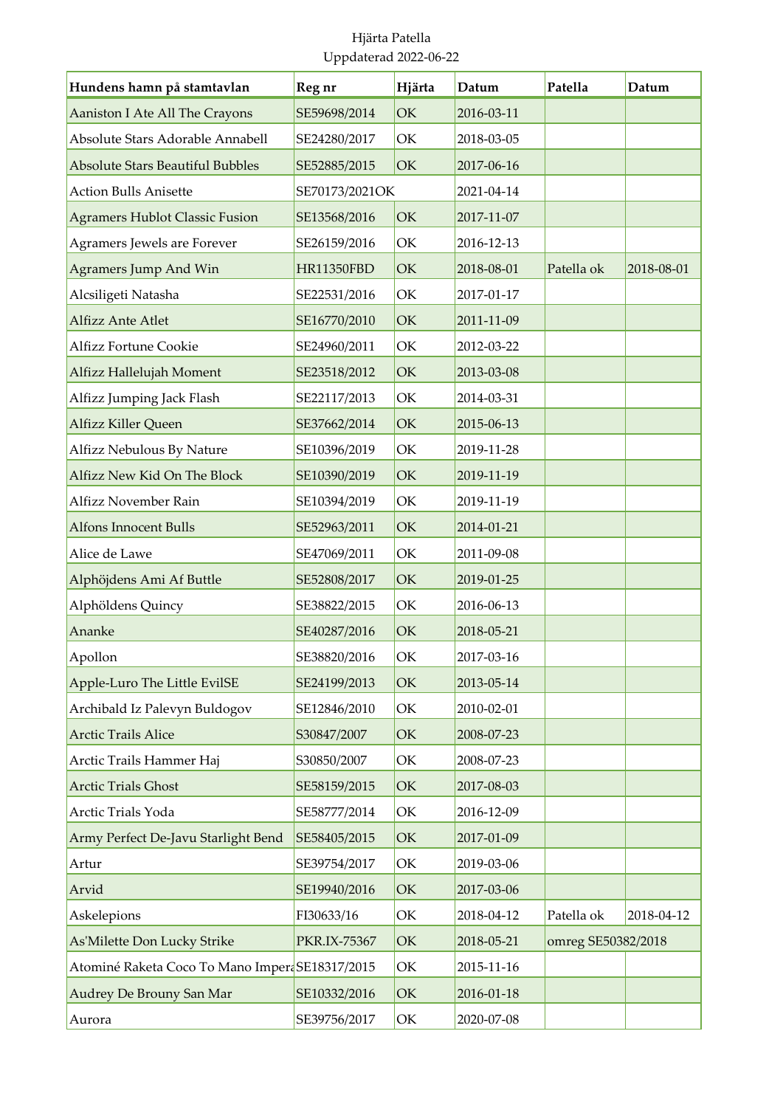| Hundens hamn på stamtavlan                     | Reg nr            | Hjärta | Datum      | Patella            | Datum      |
|------------------------------------------------|-------------------|--------|------------|--------------------|------------|
| Aaniston I Ate All The Crayons                 | SE59698/2014      | OK     | 2016-03-11 |                    |            |
| Absolute Stars Adorable Annabell               | SE24280/2017      | OK     | 2018-03-05 |                    |            |
| <b>Absolute Stars Beautiful Bubbles</b>        | SE52885/2015      | OK     | 2017-06-16 |                    |            |
| <b>Action Bulls Anisette</b>                   | SE70173/2021OK    |        | 2021-04-14 |                    |            |
| <b>Agramers Hublot Classic Fusion</b>          | SE13568/2016      | OK     | 2017-11-07 |                    |            |
| Agramers Jewels are Forever                    | SE26159/2016      | OK     | 2016-12-13 |                    |            |
| Agramers Jump And Win                          | <b>HR11350FBD</b> | OK     | 2018-08-01 | Patella ok         | 2018-08-01 |
| Alcsiligeti Natasha                            | SE22531/2016      | OK     | 2017-01-17 |                    |            |
| Alfizz Ante Atlet                              | SE16770/2010      | OK     | 2011-11-09 |                    |            |
| <b>Alfizz Fortune Cookie</b>                   | SE24960/2011      | OK     | 2012-03-22 |                    |            |
| Alfizz Hallelujah Moment                       | SE23518/2012      | OK     | 2013-03-08 |                    |            |
| Alfizz Jumping Jack Flash                      | SE22117/2013      | OK     | 2014-03-31 |                    |            |
| Alfizz Killer Queen                            | SE37662/2014      | OK     | 2015-06-13 |                    |            |
| Alfizz Nebulous By Nature                      | SE10396/2019      | OK     | 2019-11-28 |                    |            |
| Alfizz New Kid On The Block                    | SE10390/2019      | OK     | 2019-11-19 |                    |            |
| Alfizz November Rain                           | SE10394/2019      | OK     | 2019-11-19 |                    |            |
| <b>Alfons Innocent Bulls</b>                   | SE52963/2011      | OK     | 2014-01-21 |                    |            |
| Alice de Lawe                                  | SE47069/2011      | OK     | 2011-09-08 |                    |            |
| Alphöjdens Ami Af Buttle                       | SE52808/2017      | OK     | 2019-01-25 |                    |            |
| Alphöldens Quincy                              | SE38822/2015      | OK     | 2016-06-13 |                    |            |
| Ananke                                         | SE40287/2016      | OK     | 2018-05-21 |                    |            |
| Apollon                                        | SE38820/2016      | OK     | 2017-03-16 |                    |            |
| Apple-Luro The Little EvilSE                   | SE24199/2013      | OK     | 2013-05-14 |                    |            |
| Archibald Iz Palevyn Buldogov                  | SE12846/2010      | OK     | 2010-02-01 |                    |            |
| <b>Arctic Trails Alice</b>                     | S30847/2007       | OK     | 2008-07-23 |                    |            |
| Arctic Trails Hammer Haj                       | S30850/2007       | OK     | 2008-07-23 |                    |            |
| <b>Arctic Trials Ghost</b>                     | SE58159/2015      | OK     | 2017-08-03 |                    |            |
| Arctic Trials Yoda                             | SE58777/2014      | OK     | 2016-12-09 |                    |            |
| Army Perfect De-Javu Starlight Bend            | SE58405/2015      | OK     | 2017-01-09 |                    |            |
| Artur                                          | SE39754/2017      | OK     | 2019-03-06 |                    |            |
| Arvid                                          | SE19940/2016      | OK     | 2017-03-06 |                    |            |
| Askelepions                                    | FI30633/16        | OK     | 2018-04-12 | Patella ok         | 2018-04-12 |
| As'Milette Don Lucky Strike                    | PKR.IX-75367      | OK     | 2018-05-21 | omreg SE50382/2018 |            |
| Atominé Raketa Coco To Mano ImperaSE18317/2015 |                   | OK     | 2015-11-16 |                    |            |
| Audrey De Brouny San Mar                       | SE10332/2016      | OK     | 2016-01-18 |                    |            |
| Aurora                                         | SE39756/2017      | OK     | 2020-07-08 |                    |            |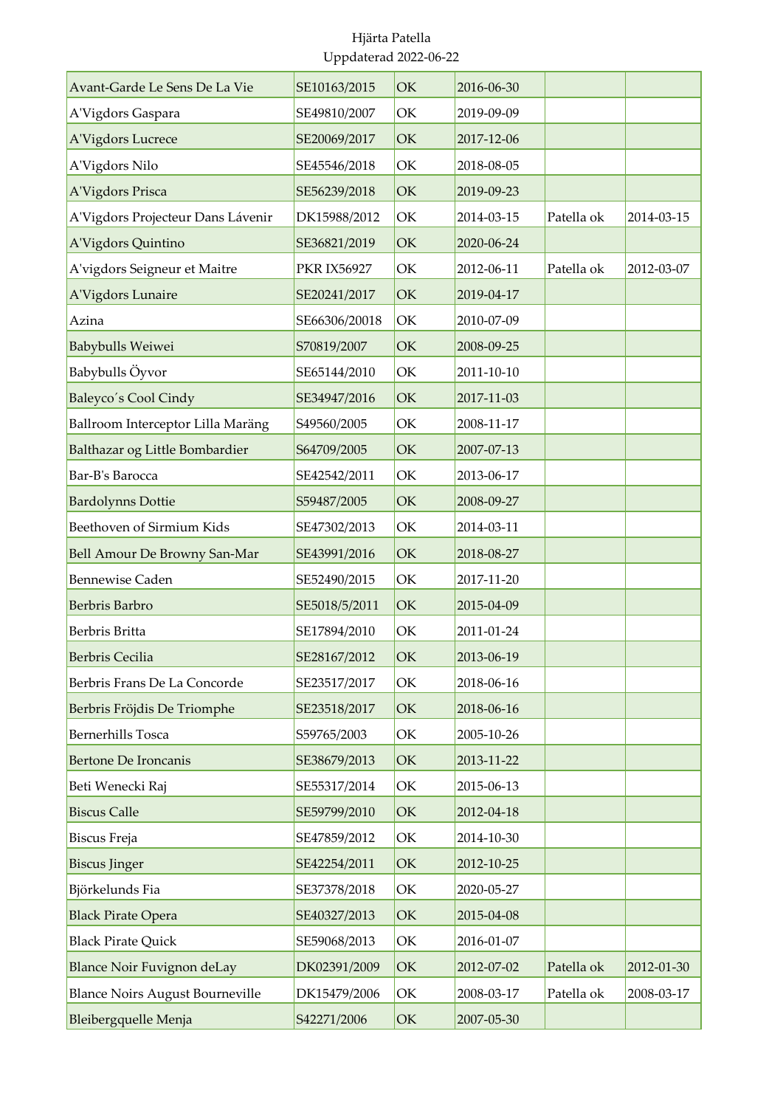| Avant-Garde Le Sens De La Vie          | SE10163/2015       | OK | 2016-06-30 |            |            |
|----------------------------------------|--------------------|----|------------|------------|------------|
| A'Vigdors Gaspara                      | SE49810/2007       | OK | 2019-09-09 |            |            |
| A'Vigdors Lucrece                      | SE20069/2017       | OK | 2017-12-06 |            |            |
| A'Vigdors Nilo                         | SE45546/2018       | OK | 2018-08-05 |            |            |
| A'Vigdors Prisca                       | SE56239/2018       | OK | 2019-09-23 |            |            |
| A'Vigdors Projecteur Dans Lávenir      | DK15988/2012       | OK | 2014-03-15 | Patella ok | 2014-03-15 |
| A'Vigdors Quintino                     | SE36821/2019       | OK | 2020-06-24 |            |            |
| A'vigdors Seigneur et Maitre           | <b>PKR IX56927</b> | OK | 2012-06-11 | Patella ok | 2012-03-07 |
| A'Vigdors Lunaire                      | SE20241/2017       | OK | 2019-04-17 |            |            |
| Azina                                  | SE66306/20018      | OK | 2010-07-09 |            |            |
| <b>Babybulls Weiwei</b>                | S70819/2007        | OK | 2008-09-25 |            |            |
| Babybulls Öyvor                        | SE65144/2010       | OK | 2011-10-10 |            |            |
| Baleyco's Cool Cindy                   | SE34947/2016       | OK | 2017-11-03 |            |            |
| Ballroom Interceptor Lilla Maräng      | S49560/2005        | OK | 2008-11-17 |            |            |
| Balthazar og Little Bombardier         | S64709/2005        | OK | 2007-07-13 |            |            |
| Bar-B's Barocca                        | SE42542/2011       | OK | 2013-06-17 |            |            |
| <b>Bardolynns Dottie</b>               | S59487/2005        | OK | 2008-09-27 |            |            |
| Beethoven of Sirmium Kids              | SE47302/2013       | OK | 2014-03-11 |            |            |
| Bell Amour De Browny San-Mar           | SE43991/2016       | OK | 2018-08-27 |            |            |
| <b>Bennewise Caden</b>                 | SE52490/2015       | OK | 2017-11-20 |            |            |
| Berbris Barbro                         | SE5018/5/2011      | OK | 2015-04-09 |            |            |
| Berbris Britta                         | SE17894/2010       | OK | 2011-01-24 |            |            |
| <b>Berbris Cecilia</b>                 | SE28167/2012       | OK | 2013-06-19 |            |            |
| Berbris Frans De La Concorde           | SE23517/2017       | OK | 2018-06-16 |            |            |
| Berbris Fröjdis De Triomphe            | SE23518/2017       | OK | 2018-06-16 |            |            |
| <b>Bernerhills Tosca</b>               | S59765/2003        | OK | 2005-10-26 |            |            |
| <b>Bertone De Ironcanis</b>            | SE38679/2013       | OK | 2013-11-22 |            |            |
| Beti Wenecki Raj                       | SE55317/2014       | OK | 2015-06-13 |            |            |
| <b>Biscus Calle</b>                    | SE59799/2010       | OK | 2012-04-18 |            |            |
| <b>Biscus Freja</b>                    | SE47859/2012       | OK | 2014-10-30 |            |            |
| <b>Biscus Jinger</b>                   | SE42254/2011       | OK | 2012-10-25 |            |            |
| Björkelunds Fia                        | SE37378/2018       | OK | 2020-05-27 |            |            |
| <b>Black Pirate Opera</b>              | SE40327/2013       | OK | 2015-04-08 |            |            |
| <b>Black Pirate Quick</b>              | SE59068/2013       | OK | 2016-01-07 |            |            |
| <b>Blance Noir Fuvignon deLay</b>      | DK02391/2009       | OK | 2012-07-02 | Patella ok | 2012-01-30 |
| <b>Blance Noirs August Bourneville</b> | DK15479/2006       | OK | 2008-03-17 | Patella ok | 2008-03-17 |
| Bleibergquelle Menja                   | S42271/2006        | OK | 2007-05-30 |            |            |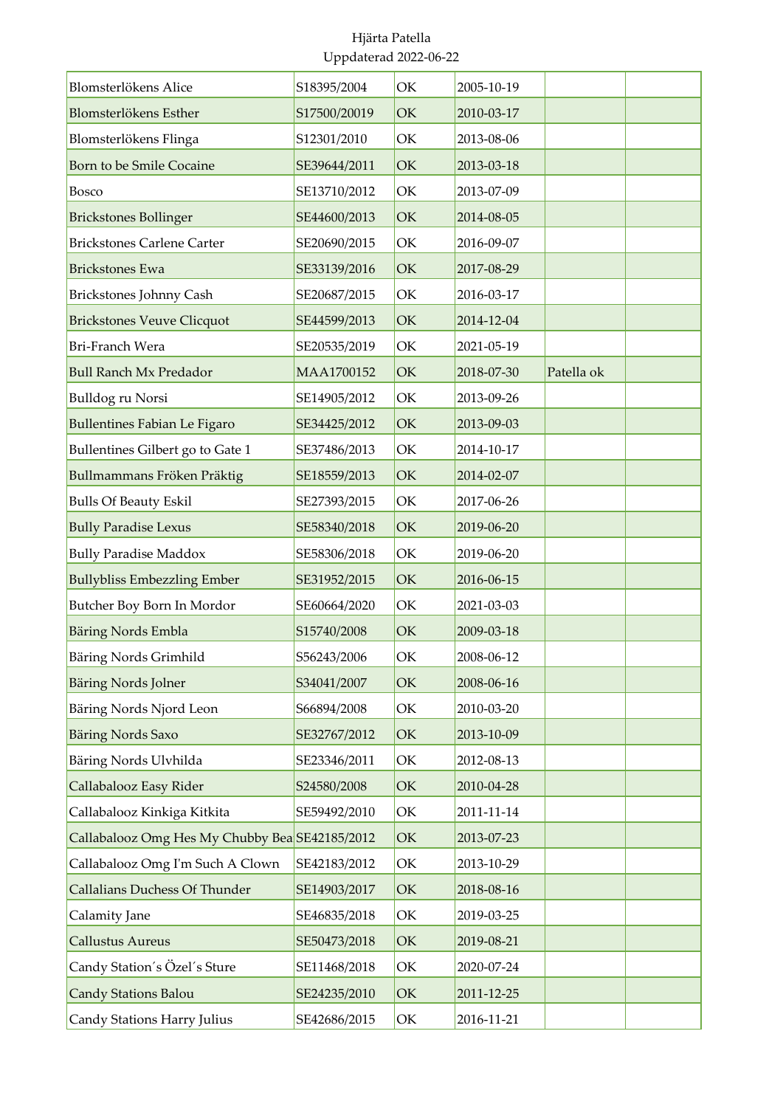| Blomsterlökens Alice                           | S18395/2004  | OK | 2005-10-19 |            |  |
|------------------------------------------------|--------------|----|------------|------------|--|
| Blomsterlökens Esther                          | S17500/20019 | OK | 2010-03-17 |            |  |
| Blomsterlökens Flinga                          | S12301/2010  | OK | 2013-08-06 |            |  |
| Born to be Smile Cocaine                       | SE39644/2011 | OK | 2013-03-18 |            |  |
| <b>Bosco</b>                                   | SE13710/2012 | OK | 2013-07-09 |            |  |
| <b>Brickstones Bollinger</b>                   | SE44600/2013 | OK | 2014-08-05 |            |  |
| <b>Brickstones Carlene Carter</b>              | SE20690/2015 | OK | 2016-09-07 |            |  |
| <b>Brickstones Ewa</b>                         | SE33139/2016 | OK | 2017-08-29 |            |  |
| Brickstones Johnny Cash                        | SE20687/2015 | OK | 2016-03-17 |            |  |
| <b>Brickstones Veuve Clicquot</b>              | SE44599/2013 | OK | 2014-12-04 |            |  |
| Bri-Franch Wera                                | SE20535/2019 | OK | 2021-05-19 |            |  |
| <b>Bull Ranch Mx Predador</b>                  | MAA1700152   | OK | 2018-07-30 | Patella ok |  |
| Bulldog ru Norsi                               | SE14905/2012 | OK | 2013-09-26 |            |  |
| <b>Bullentines Fabian Le Figaro</b>            | SE34425/2012 | OK | 2013-09-03 |            |  |
| Bullentines Gilbert go to Gate 1               | SE37486/2013 | OK | 2014-10-17 |            |  |
| Bullmammans Fröken Präktig                     | SE18559/2013 | OK | 2014-02-07 |            |  |
| <b>Bulls Of Beauty Eskil</b>                   | SE27393/2015 | OK | 2017-06-26 |            |  |
| <b>Bully Paradise Lexus</b>                    | SE58340/2018 | OK | 2019-06-20 |            |  |
| <b>Bully Paradise Maddox</b>                   | SE58306/2018 | OK | 2019-06-20 |            |  |
| <b>Bullybliss Embezzling Ember</b>             | SE31952/2015 | OK | 2016-06-15 |            |  |
| Butcher Boy Born In Mordor                     | SE60664/2020 | OK | 2021-03-03 |            |  |
| Bäring Nords Embla                             | S15740/2008  | OK | 2009-03-18 |            |  |
| Bäring Nords Grimhild                          | S56243/2006  | OK | 2008-06-12 |            |  |
| <b>Bäring Nords Jolner</b>                     | S34041/2007  | OK | 2008-06-16 |            |  |
| Bäring Nords Njord Leon                        | S66894/2008  | OK | 2010-03-20 |            |  |
| <b>Bäring Nords Saxo</b>                       | SE32767/2012 | OK | 2013-10-09 |            |  |
| Bäring Nords Ulvhilda                          | SE23346/2011 | OK | 2012-08-13 |            |  |
| Callabalooz Easy Rider                         | S24580/2008  | OK | 2010-04-28 |            |  |
| Callabalooz Kinkiga Kitkita                    | SE59492/2010 | ОK | 2011-11-14 |            |  |
| Callabalooz Omg Hes My Chubby Bea SE42185/2012 |              | OK | 2013-07-23 |            |  |
| Callabalooz Omg I'm Such A Clown               | SE42183/2012 | OK | 2013-10-29 |            |  |
| <b>Callalians Duchess Of Thunder</b>           | SE14903/2017 | OK | 2018-08-16 |            |  |
| Calamity Jane                                  | SE46835/2018 | OK | 2019-03-25 |            |  |
| <b>Callustus Aureus</b>                        | SE50473/2018 | OK | 2019-08-21 |            |  |
| Candy Station's Özel's Sture                   | SE11468/2018 | OK | 2020-07-24 |            |  |
| Candy Stations Balou                           | SE24235/2010 | OK | 2011-12-25 |            |  |
| Candy Stations Harry Julius                    | SE42686/2015 | OK | 2016-11-21 |            |  |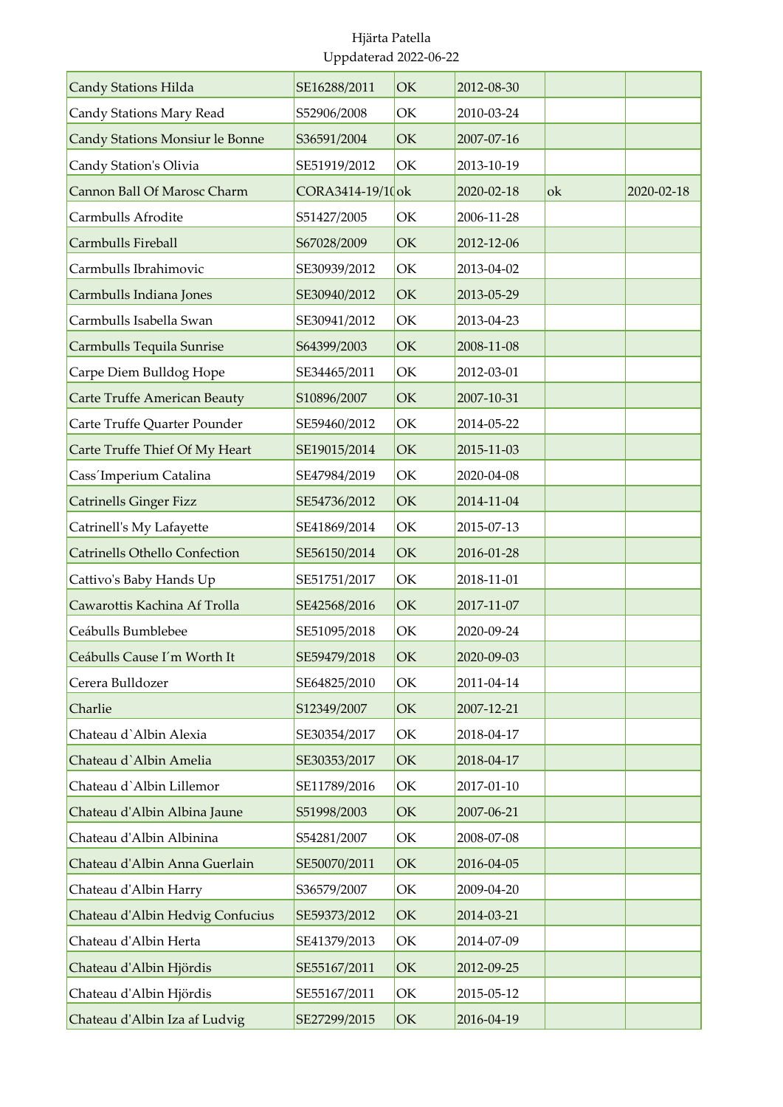| <b>Candy Stations Hilda</b>          | SE16288/2011     | OK | 2012-08-30 |    |            |
|--------------------------------------|------------------|----|------------|----|------------|
| Candy Stations Mary Read             | S52906/2008      | OK | 2010-03-24 |    |            |
| Candy Stations Monsiur le Bonne      | S36591/2004      | OK | 2007-07-16 |    |            |
| Candy Station's Olivia               | SE51919/2012     | OK | 2013-10-19 |    |            |
| Cannon Ball Of Marosc Charm          | CORA3414-19/10ok |    | 2020-02-18 | ok | 2020-02-18 |
| Carmbulls Afrodite                   | S51427/2005      | OK | 2006-11-28 |    |            |
| Carmbulls Fireball                   | S67028/2009      | OK | 2012-12-06 |    |            |
| Carmbulls Ibrahimovic                | SE30939/2012     | OK | 2013-04-02 |    |            |
| Carmbulls Indiana Jones              | SE30940/2012     | OK | 2013-05-29 |    |            |
| Carmbulls Isabella Swan              | SE30941/2012     | OK | 2013-04-23 |    |            |
| Carmbulls Tequila Sunrise            | S64399/2003      | OK | 2008-11-08 |    |            |
| Carpe Diem Bulldog Hope              | SE34465/2011     | OK | 2012-03-01 |    |            |
| <b>Carte Truffe American Beauty</b>  | S10896/2007      | OK | 2007-10-31 |    |            |
| Carte Truffe Quarter Pounder         | SE59460/2012     | OK | 2014-05-22 |    |            |
| Carte Truffe Thief Of My Heart       | SE19015/2014     | OK | 2015-11-03 |    |            |
| Cass'Imperium Catalina               | SE47984/2019     | OK | 2020-04-08 |    |            |
| <b>Catrinells Ginger Fizz</b>        | SE54736/2012     | OK | 2014-11-04 |    |            |
| Catrinell's My Lafayette             | SE41869/2014     | OK | 2015-07-13 |    |            |
| <b>Catrinells Othello Confection</b> | SE56150/2014     | OK | 2016-01-28 |    |            |
| Cattivo's Baby Hands Up              | SE51751/2017     | OK | 2018-11-01 |    |            |
| Cawarottis Kachina Af Trolla         | SE42568/2016     | OK | 2017-11-07 |    |            |
| Ceábulls Bumblebee                   | SE51095/2018     | OK | 2020-09-24 |    |            |
| Ceábulls Cause I'm Worth It          | SE59479/2018     | OK | 2020-09-03 |    |            |
| Cerera Bulldozer                     | SE64825/2010     | OK | 2011-04-14 |    |            |
| Charlie                              | S12349/2007      | OK | 2007-12-21 |    |            |
| Chateau d'Albin Alexia               | SE30354/2017     | OK | 2018-04-17 |    |            |
| Chateau d'Albin Amelia               | SE30353/2017     | OK | 2018-04-17 |    |            |
| Chateau d'Albin Lillemor             | SE11789/2016     | OK | 2017-01-10 |    |            |
| Chateau d'Albin Albina Jaune         | S51998/2003      | OK | 2007-06-21 |    |            |
| Chateau d'Albin Albinina             | S54281/2007      | OK | 2008-07-08 |    |            |
| Chateau d'Albin Anna Guerlain        | SE50070/2011     | OK | 2016-04-05 |    |            |
| Chateau d'Albin Harry                | S36579/2007      | OK | 2009-04-20 |    |            |
| Chateau d'Albin Hedvig Confucius     | SE59373/2012     | OK | 2014-03-21 |    |            |
| Chateau d'Albin Herta                | SE41379/2013     | OK | 2014-07-09 |    |            |
| Chateau d'Albin Hjördis              | SE55167/2011     | OK | 2012-09-25 |    |            |
| Chateau d'Albin Hjördis              | SE55167/2011     | OK | 2015-05-12 |    |            |
| Chateau d'Albin Iza af Ludvig        | SE27299/2015     | OK | 2016-04-19 |    |            |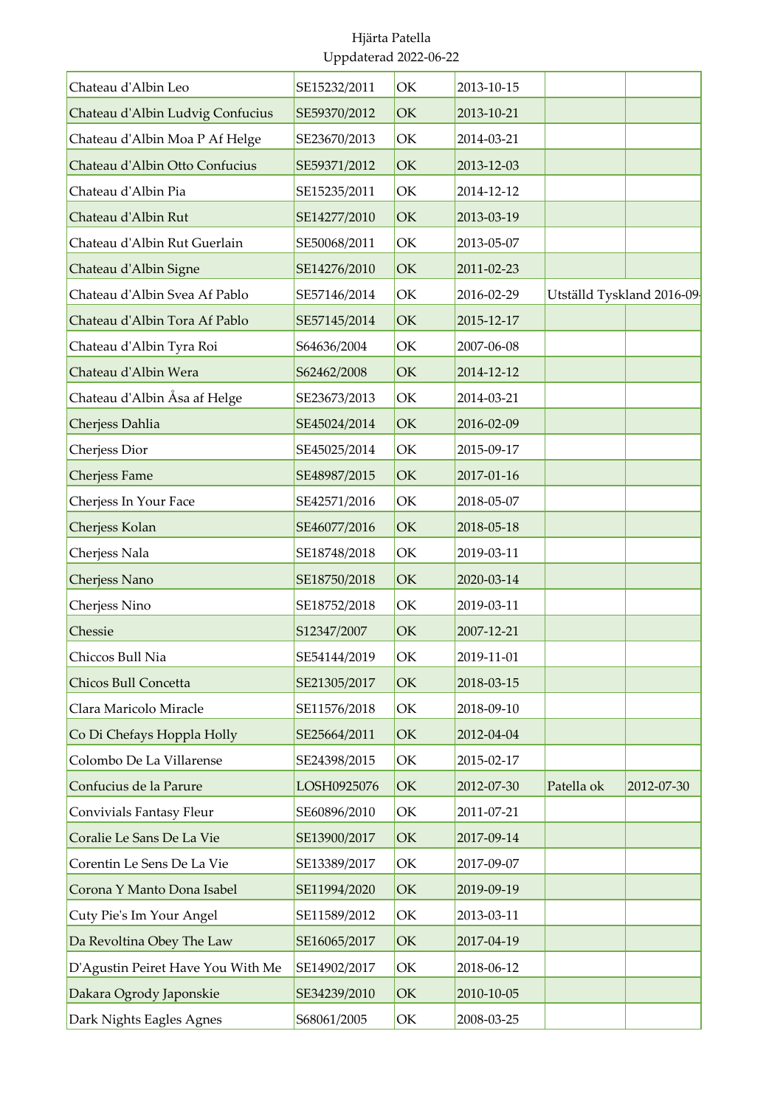| Chateau d'Albin Leo               | SE15232/2011 | OK | 2013-10-15 |                           |            |
|-----------------------------------|--------------|----|------------|---------------------------|------------|
| Chateau d'Albin Ludvig Confucius  | SE59370/2012 | OK | 2013-10-21 |                           |            |
| Chateau d'Albin Moa P Af Helge    | SE23670/2013 | OK | 2014-03-21 |                           |            |
| Chateau d'Albin Otto Confucius    | SE59371/2012 | OK | 2013-12-03 |                           |            |
| Chateau d'Albin Pia               | SE15235/2011 | OK | 2014-12-12 |                           |            |
| Chateau d'Albin Rut               | SE14277/2010 | OK | 2013-03-19 |                           |            |
| Chateau d'Albin Rut Guerlain      | SE50068/2011 | OK | 2013-05-07 |                           |            |
| Chateau d'Albin Signe             | SE14276/2010 | OK | 2011-02-23 |                           |            |
| Chateau d'Albin Svea Af Pablo     | SE57146/2014 | OK | 2016-02-29 | Utställd Tyskland 2016-09 |            |
| Chateau d'Albin Tora Af Pablo     | SE57145/2014 | OK | 2015-12-17 |                           |            |
| Chateau d'Albin Tyra Roi          | S64636/2004  | OK | 2007-06-08 |                           |            |
| Chateau d'Albin Wera              | S62462/2008  | OK | 2014-12-12 |                           |            |
| Chateau d'Albin Åsa af Helge      | SE23673/2013 | OK | 2014-03-21 |                           |            |
| Cherjess Dahlia                   | SE45024/2014 | OK | 2016-02-09 |                           |            |
| Cherjess Dior                     | SE45025/2014 | OK | 2015-09-17 |                           |            |
| <b>Cherjess Fame</b>              | SE48987/2015 | OK | 2017-01-16 |                           |            |
| Cherjess In Your Face             | SE42571/2016 | OK | 2018-05-07 |                           |            |
| Cherjess Kolan                    | SE46077/2016 | OK | 2018-05-18 |                           |            |
| Cherjess Nala                     | SE18748/2018 | OK | 2019-03-11 |                           |            |
| Cherjess Nano                     | SE18750/2018 | OK | 2020-03-14 |                           |            |
| Cherjess Nino                     | SE18752/2018 | OK | 2019-03-11 |                           |            |
| Chessie                           | S12347/2007  | OK | 2007-12-21 |                           |            |
| Chiccos Bull Nia                  | SE54144/2019 | OK | 2019-11-01 |                           |            |
| Chicos Bull Concetta              | SE21305/2017 | OK | 2018-03-15 |                           |            |
| Clara Maricolo Miracle            | SE11576/2018 | OK | 2018-09-10 |                           |            |
| Co Di Chefays Hoppla Holly        | SE25664/2011 | OK | 2012-04-04 |                           |            |
| Colombo De La Villarense          | SE24398/2015 | OK | 2015-02-17 |                           |            |
| Confucius de la Parure            | LOSH0925076  | OK | 2012-07-30 | Patella ok                | 2012-07-30 |
| Convivials Fantasy Fleur          | SE60896/2010 | OK | 2011-07-21 |                           |            |
| Coralie Le Sans De La Vie         | SE13900/2017 | OK | 2017-09-14 |                           |            |
| Corentin Le Sens De La Vie        | SE13389/2017 | OK | 2017-09-07 |                           |            |
| Corona Y Manto Dona Isabel        | SE11994/2020 | OK | 2019-09-19 |                           |            |
| Cuty Pie's Im Your Angel          | SE11589/2012 | OK | 2013-03-11 |                           |            |
| Da Revoltina Obey The Law         | SE16065/2017 | OK | 2017-04-19 |                           |            |
| D'Agustin Peiret Have You With Me | SE14902/2017 | OK | 2018-06-12 |                           |            |
| Dakara Ogrody Japonskie           | SE34239/2010 | OK | 2010-10-05 |                           |            |
| Dark Nights Eagles Agnes          | S68061/2005  | OK | 2008-03-25 |                           |            |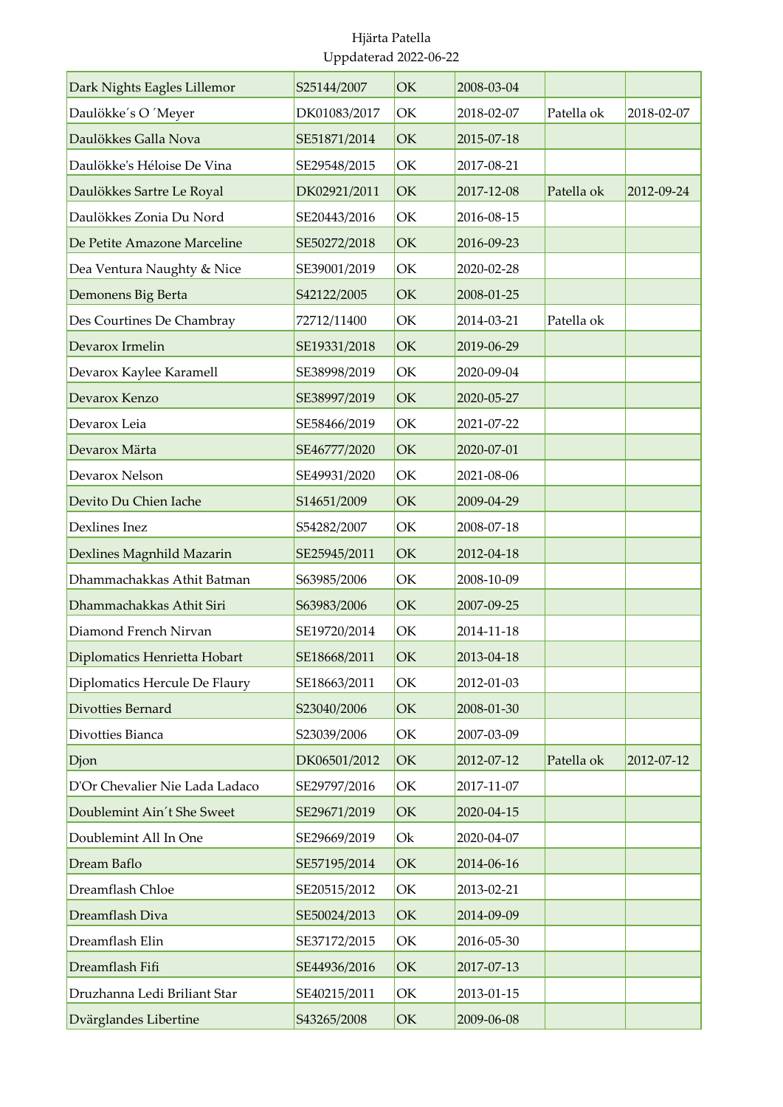| Dark Nights Eagles Lillemor    | S25144/2007  | OK        | 2008-03-04 |            |            |
|--------------------------------|--------------|-----------|------------|------------|------------|
| Daulökke's O 'Meyer            | DK01083/2017 | OK        | 2018-02-07 | Patella ok | 2018-02-07 |
| Daulökkes Galla Nova           | SE51871/2014 | OK        | 2015-07-18 |            |            |
| Daulökke's Héloise De Vina     | SE29548/2015 | OK        | 2017-08-21 |            |            |
| Daulökkes Sartre Le Royal      | DK02921/2011 | OK        | 2017-12-08 | Patella ok | 2012-09-24 |
| Daulökkes Zonia Du Nord        | SE20443/2016 | OK        | 2016-08-15 |            |            |
| De Petite Amazone Marceline    | SE50272/2018 | OK        | 2016-09-23 |            |            |
| Dea Ventura Naughty & Nice     | SE39001/2019 | OK        | 2020-02-28 |            |            |
| Demonens Big Berta             | S42122/2005  | OK        | 2008-01-25 |            |            |
| Des Courtines De Chambray      | 72712/11400  | OK        | 2014-03-21 | Patella ok |            |
| Devarox Irmelin                | SE19331/2018 | OK        | 2019-06-29 |            |            |
| Devarox Kaylee Karamell        | SE38998/2019 | OK        | 2020-09-04 |            |            |
| Devarox Kenzo                  | SE38997/2019 | OK        | 2020-05-27 |            |            |
| Devarox Leia                   | SE58466/2019 | OK        | 2021-07-22 |            |            |
| Devarox Märta                  | SE46777/2020 | OK        | 2020-07-01 |            |            |
| Devarox Nelson                 | SE49931/2020 | OK        | 2021-08-06 |            |            |
| Devito Du Chien Iache          | S14651/2009  | OK        | 2009-04-29 |            |            |
| Dexlines Inez                  | S54282/2007  | OK        | 2008-07-18 |            |            |
| Dexlines Magnhild Mazarin      | SE25945/2011 | OK        | 2012-04-18 |            |            |
| Dhammachakkas Athit Batman     | S63985/2006  | OK        | 2008-10-09 |            |            |
| Dhammachakkas Athit Siri       | S63983/2006  | OK        | 2007-09-25 |            |            |
| Diamond French Nirvan          | SE19720/2014 | OK        | 2014-11-18 |            |            |
| Diplomatics Henrietta Hobart   | SE18668/2011 | OK        | 2013-04-18 |            |            |
| Diplomatics Hercule De Flaury  | SE18663/2011 | OK        | 2012-01-03 |            |            |
| <b>Divotties Bernard</b>       | S23040/2006  | <b>OK</b> | 2008-01-30 |            |            |
| Divotties Bianca               | S23039/2006  | OK        | 2007-03-09 |            |            |
| Djon                           | DK06501/2012 | OK        | 2012-07-12 | Patella ok | 2012-07-12 |
| D'Or Chevalier Nie Lada Ladaco | SE29797/2016 | OK        | 2017-11-07 |            |            |
| Doublemint Ain't She Sweet     | SE29671/2019 | OK        | 2020-04-15 |            |            |
| Doublemint All In One          | SE29669/2019 | Ok        | 2020-04-07 |            |            |
| Dream Baflo                    | SE57195/2014 | OK        | 2014-06-16 |            |            |
| Dreamflash Chloe               | SE20515/2012 | OK        | 2013-02-21 |            |            |
| Dreamflash Diva                | SE50024/2013 | OK        | 2014-09-09 |            |            |
| Dreamflash Elin                | SE37172/2015 | OK        | 2016-05-30 |            |            |
| Dreamflash Fifi                | SE44936/2016 | OK        | 2017-07-13 |            |            |
| Druzhanna Ledi Briliant Star   | SE40215/2011 | OK        | 2013-01-15 |            |            |
| Dvärglandes Libertine          | S43265/2008  | OK        | 2009-06-08 |            |            |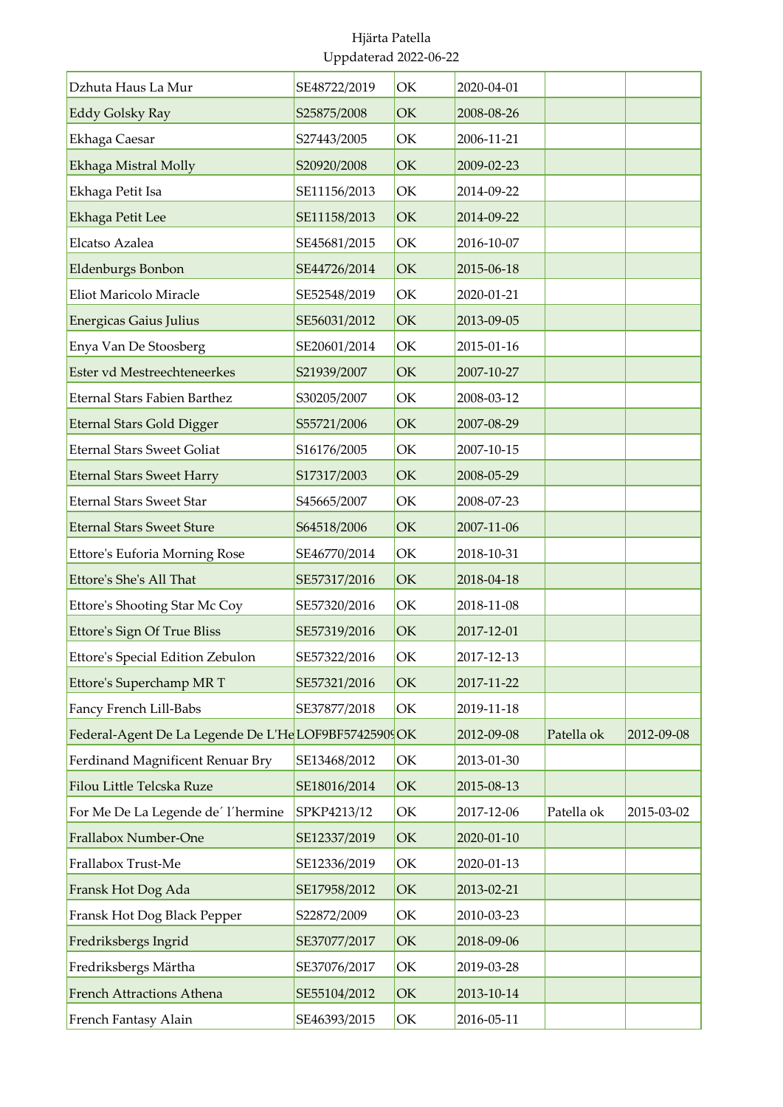| Dzhuta Haus La Mur                                    | SE48722/2019 | OK | 2020-04-01 |            |            |
|-------------------------------------------------------|--------------|----|------------|------------|------------|
| <b>Eddy Golsky Ray</b>                                | S25875/2008  | OK | 2008-08-26 |            |            |
| Ekhaga Caesar                                         | S27443/2005  | OK | 2006-11-21 |            |            |
| Ekhaga Mistral Molly                                  | S20920/2008  | OK | 2009-02-23 |            |            |
| Ekhaga Petit Isa                                      | SE11156/2013 | OK | 2014-09-22 |            |            |
| Ekhaga Petit Lee                                      | SE11158/2013 | OK | 2014-09-22 |            |            |
| Elcatso Azalea                                        | SE45681/2015 | OK | 2016-10-07 |            |            |
| Eldenburgs Bonbon                                     | SE44726/2014 | OK | 2015-06-18 |            |            |
| Eliot Maricolo Miracle                                | SE52548/2019 | OK | 2020-01-21 |            |            |
| <b>Energicas Gaius Julius</b>                         | SE56031/2012 | OK | 2013-09-05 |            |            |
| Enya Van De Stoosberg                                 | SE20601/2014 | OK | 2015-01-16 |            |            |
| Ester vd Mestreechteneerkes                           | S21939/2007  | OK | 2007-10-27 |            |            |
| <b>Eternal Stars Fabien Barthez</b>                   | S30205/2007  | OK | 2008-03-12 |            |            |
| <b>Eternal Stars Gold Digger</b>                      | S55721/2006  | OK | 2007-08-29 |            |            |
| <b>Eternal Stars Sweet Goliat</b>                     | S16176/2005  | OK | 2007-10-15 |            |            |
| <b>Eternal Stars Sweet Harry</b>                      | S17317/2003  | OK | 2008-05-29 |            |            |
| <b>Eternal Stars Sweet Star</b>                       | S45665/2007  | OK | 2008-07-23 |            |            |
| <b>Eternal Stars Sweet Sture</b>                      | S64518/2006  | OK | 2007-11-06 |            |            |
| Ettore's Euforia Morning Rose                         | SE46770/2014 | OK | 2018-10-31 |            |            |
| Ettore's She's All That                               | SE57317/2016 | OK | 2018-04-18 |            |            |
| Ettore's Shooting Star Mc Coy                         | SE57320/2016 | OK | 2018-11-08 |            |            |
| Ettore's Sign Of True Bliss                           | SE57319/2016 | OK | 2017-12-01 |            |            |
| Ettore's Special Edition Zebulon                      | SE57322/2016 | ОK | 2017-12-13 |            |            |
| Ettore's Superchamp MR T                              | SE57321/2016 | OK | 2017-11-22 |            |            |
| Fancy French Lill-Babs                                | SE37877/2018 | OK | 2019-11-18 |            |            |
| Federal-Agent De La Legende De L'He LOF9BF57425909 OK |              |    | 2012-09-08 | Patella ok | 2012-09-08 |
| Ferdinand Magnificent Renuar Bry                      | SE13468/2012 | OK | 2013-01-30 |            |            |
| Filou Little Telcska Ruze                             | SE18016/2014 | OK | 2015-08-13 |            |            |
| For Me De La Legende de' l'hermine                    | SPKP4213/12  | OK | 2017-12-06 | Patella ok | 2015-03-02 |
| Frallabox Number-One                                  | SE12337/2019 | OK | 2020-01-10 |            |            |
| Frallabox Trust-Me                                    | SE12336/2019 | OK | 2020-01-13 |            |            |
| Fransk Hot Dog Ada                                    | SE17958/2012 | OK | 2013-02-21 |            |            |
| Fransk Hot Dog Black Pepper                           | S22872/2009  | OK | 2010-03-23 |            |            |
| Fredriksbergs Ingrid                                  | SE37077/2017 | OK | 2018-09-06 |            |            |
| Fredriksbergs Märtha                                  | SE37076/2017 | OK | 2019-03-28 |            |            |
| French Attractions Athena                             | SE55104/2012 | OK | 2013-10-14 |            |            |
| French Fantasy Alain                                  | SE46393/2015 | OK | 2016-05-11 |            |            |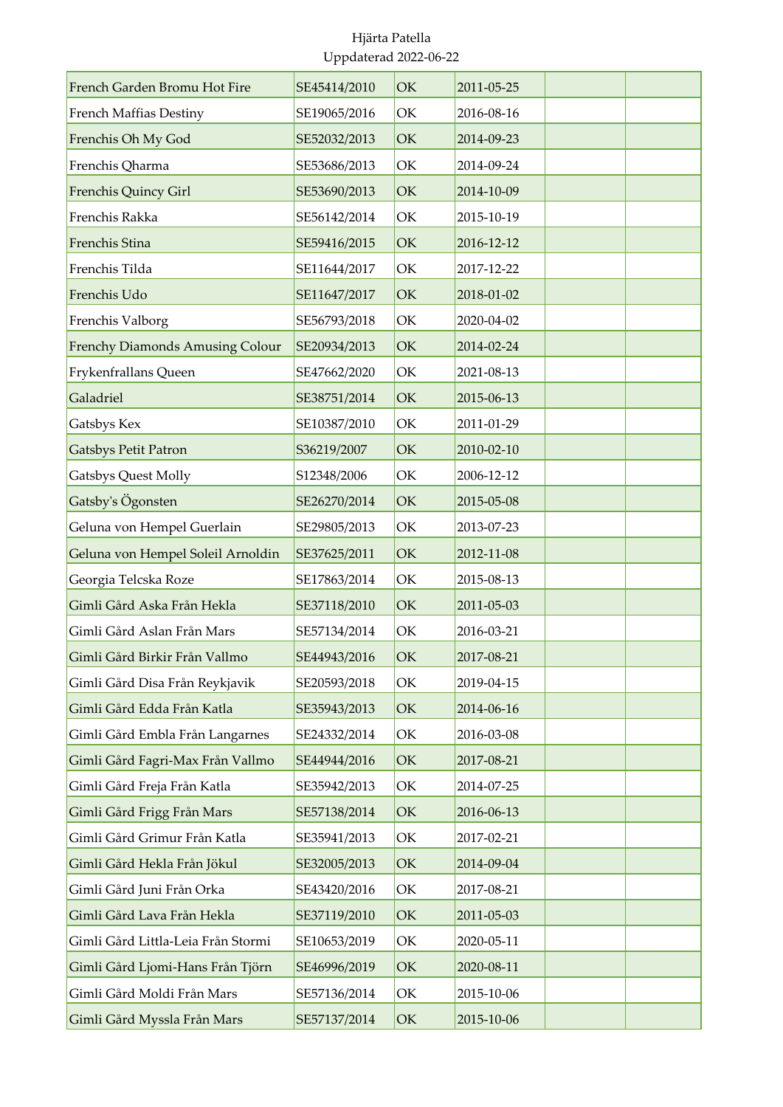| French Garden Bromu Hot Fire           | SE45414/2010 | OK | 2011-05-25 |  |
|----------------------------------------|--------------|----|------------|--|
| <b>French Maffias Destiny</b>          | SE19065/2016 | OK | 2016-08-16 |  |
| Frenchis Oh My God                     | SE52032/2013 | OK | 2014-09-23 |  |
| Frenchis Qharma                        | SE53686/2013 | OK | 2014-09-24 |  |
| Frenchis Quincy Girl                   | SE53690/2013 | OK | 2014-10-09 |  |
| Frenchis Rakka                         | SE56142/2014 | OK | 2015-10-19 |  |
| Frenchis Stina                         | SE59416/2015 | OK | 2016-12-12 |  |
| Frenchis Tilda                         | SE11644/2017 | OK | 2017-12-22 |  |
| Frenchis Udo                           | SE11647/2017 | OK | 2018-01-02 |  |
| Frenchis Valborg                       | SE56793/2018 | OK | 2020-04-02 |  |
| <b>Frenchy Diamonds Amusing Colour</b> | SE20934/2013 | OK | 2014-02-24 |  |
| Frykenfrallans Queen                   | SE47662/2020 | OK | 2021-08-13 |  |
| Galadriel                              | SE38751/2014 | OK | 2015-06-13 |  |
| Gatsbys Kex                            | SE10387/2010 | OK | 2011-01-29 |  |
| <b>Gatsbys Petit Patron</b>            | S36219/2007  | OK | 2010-02-10 |  |
| <b>Gatsbys Quest Molly</b>             | S12348/2006  | OK | 2006-12-12 |  |
| Gatsby's Ögonsten                      | SE26270/2014 | OK | 2015-05-08 |  |
| Geluna von Hempel Guerlain             | SE29805/2013 | OK | 2013-07-23 |  |
| Geluna von Hempel Soleil Arnoldin      | SE37625/2011 | OK | 2012-11-08 |  |
| Georgia Telcska Roze                   | SE17863/2014 | OK | 2015-08-13 |  |
| Gimli Gård Aska Från Hekla             | SE37118/2010 | OK | 2011-05-03 |  |
| Gimli Gård Aslan Från Mars             | SE57134/2014 | OK | 2016-03-21 |  |
| Gimli Gård Birkir Från Vallmo          | SE44943/2016 | OK | 2017-08-21 |  |
| Gimli Gård Disa Från Reykjavik         | SE20593/2018 | OK | 2019-04-15 |  |
| Gimli Gård Edda Från Katla             | SE35943/2013 | OK | 2014-06-16 |  |
| Gimli Gård Embla Från Langarnes        | SE24332/2014 | OK | 2016-03-08 |  |
| Gimli Gård Fagri-Max Från Vallmo       | SE44944/2016 | OK | 2017-08-21 |  |
| Gimli Gård Freja Från Katla            | SE35942/2013 | OK | 2014-07-25 |  |
| Gimli Gård Frigg Från Mars             | SE57138/2014 | OK | 2016-06-13 |  |
| Gimli Gård Grimur Från Katla           | SE35941/2013 | OK | 2017-02-21 |  |
| Gimli Gård Hekla Från Jökul            | SE32005/2013 | OK | 2014-09-04 |  |
| Gimli Gård Juni Från Orka              | SE43420/2016 | OK | 2017-08-21 |  |
| Gimli Gård Lava Från Hekla             | SE37119/2010 | OK | 2011-05-03 |  |
| Gimli Gård Littla-Leia Från Stormi     | SE10653/2019 | OK | 2020-05-11 |  |
| Gimli Gård Ljomi-Hans Från Tjörn       | SE46996/2019 | OK | 2020-08-11 |  |
| Gimli Gård Moldi Från Mars             | SE57136/2014 | OK | 2015-10-06 |  |
| Gimli Gård Myssla Från Mars            | SE57137/2014 | OK | 2015-10-06 |  |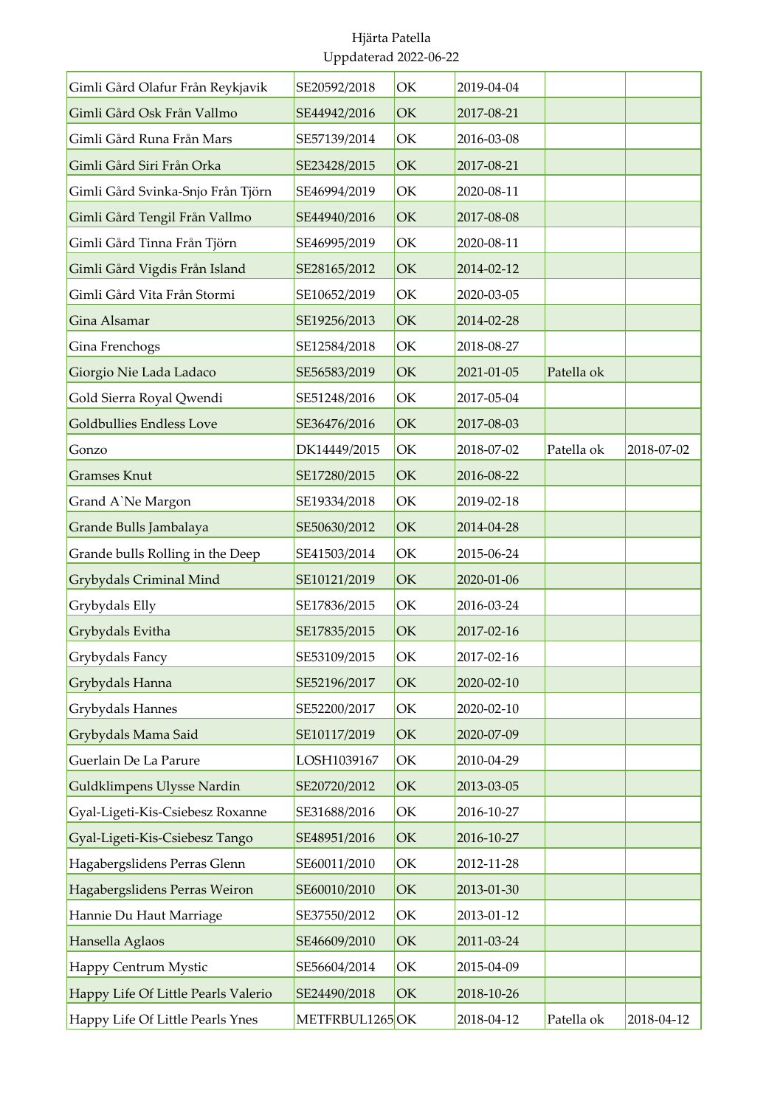| Gimli Gård Olafur Från Reykjavik    | SE20592/2018   | OK            | 2019-04-04 |            |            |
|-------------------------------------|----------------|---------------|------------|------------|------------|
| Gimli Gård Osk Från Vallmo          | SE44942/2016   | OK            | 2017-08-21 |            |            |
| Gimli Gård Runa Från Mars           | SE57139/2014   | OK            | 2016-03-08 |            |            |
| Gimli Gård Siri Från Orka           | SE23428/2015   | OK            | 2017-08-21 |            |            |
| Gimli Gård Svinka-Snjo Från Tjörn   | SE46994/2019   | OK            | 2020-08-11 |            |            |
| Gimli Gård Tengil Från Vallmo       | SE44940/2016   | OK            | 2017-08-08 |            |            |
| Gimli Gård Tinna Från Tjörn         | SE46995/2019   | OK            | 2020-08-11 |            |            |
| Gimli Gård Vigdis Från Island       | SE28165/2012   | OK            | 2014-02-12 |            |            |
| Gimli Gård Vita Från Stormi         | SE10652/2019   | OK            | 2020-03-05 |            |            |
| Gina Alsamar                        | SE19256/2013   | OK            | 2014-02-28 |            |            |
| Gina Frenchogs                      | SE12584/2018   | OK            | 2018-08-27 |            |            |
| Giorgio Nie Lada Ladaco             | SE56583/2019   | OK            | 2021-01-05 | Patella ok |            |
| Gold Sierra Royal Qwendi            | SE51248/2016   | OK            | 2017-05-04 |            |            |
| <b>Goldbullies Endless Love</b>     | SE36476/2016   | OK            | 2017-08-03 |            |            |
| Gonzo                               | DK14449/2015   | OK            | 2018-07-02 | Patella ok | 2018-07-02 |
| <b>Gramses Knut</b>                 | SE17280/2015   | OK            | 2016-08-22 |            |            |
| Grand A'Ne Margon                   | SE19334/2018   | OK            | 2019-02-18 |            |            |
| Grande Bulls Jambalaya              | SE50630/2012   | OK            | 2014-04-28 |            |            |
| Grande bulls Rolling in the Deep    | SE41503/2014   | OK            | 2015-06-24 |            |            |
| Grybydals Criminal Mind             | SE10121/2019   | OK            | 2020-01-06 |            |            |
| Grybydals Elly                      | SE17836/2015   | OK            | 2016-03-24 |            |            |
| Grybydals Evitha                    | SE17835/2015   | OK            | 2017-02-16 |            |            |
| Grybydals Fancy                     | SE53109/2015   | OK            | 2017-02-16 |            |            |
| Grybydals Hanna                     | SE52196/2017   | OK            | 2020-02-10 |            |            |
| Grybydals Hannes                    | SE52200/2017   | OK            | 2020-02-10 |            |            |
| Grybydals Mama Said                 | SE10117/2019   | OK            | 2020-07-09 |            |            |
| Guerlain De La Parure               | LOSH1039167    | OK            | 2010-04-29 |            |            |
| Guldklimpens Ulysse Nardin          | SE20720/2012   | OK            | 2013-03-05 |            |            |
| Gyal-Ligeti-Kis-Csiebesz Roxanne    | SE31688/2016   | OK            | 2016-10-27 |            |            |
| Gyal-Ligeti-Kis-Csiebesz Tango      | SE48951/2016   | OK            | 2016-10-27 |            |            |
| Hagabergslidens Perras Glenn        | SE60011/2010   | OK            | 2012-11-28 |            |            |
| Hagabergslidens Perras Weiron       | SE60010/2010   | OK            | 2013-01-30 |            |            |
| Hannie Du Haut Marriage             | SE37550/2012   | OK            | 2013-01-12 |            |            |
| Hansella Aglaos                     | SE46609/2010   | $\mathrm{OK}$ | 2011-03-24 |            |            |
| Happy Centrum Mystic                | SE56604/2014   | OK            | 2015-04-09 |            |            |
| Happy Life Of Little Pearls Valerio | SE24490/2018   | OK            | 2018-10-26 |            |            |
| Happy Life Of Little Pearls Ynes    | METFRBUL1265OK |               | 2018-04-12 | Patella ok | 2018-04-12 |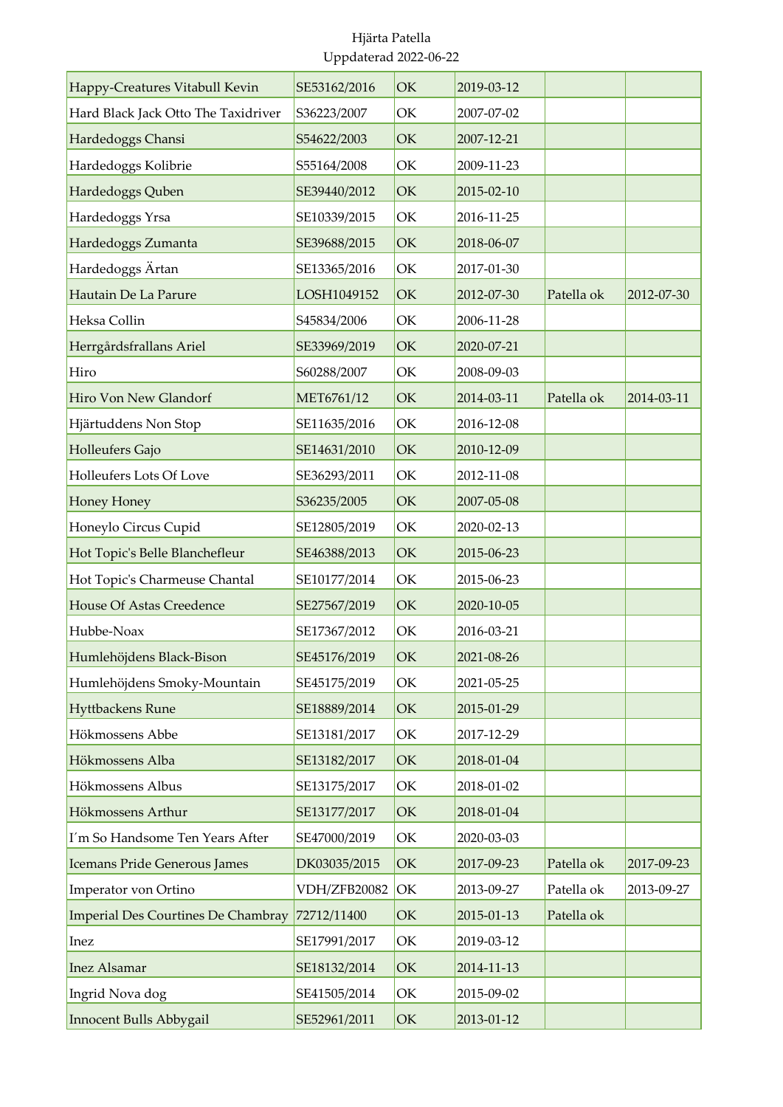| Happy-Creatures Vitabull Kevin      | SE53162/2016 | OK | 2019-03-12 |            |            |
|-------------------------------------|--------------|----|------------|------------|------------|
| Hard Black Jack Otto The Taxidriver | S36223/2007  | OK | 2007-07-02 |            |            |
| Hardedoggs Chansi                   | S54622/2003  | OK | 2007-12-21 |            |            |
| Hardedoggs Kolibrie                 | S55164/2008  | OK | 2009-11-23 |            |            |
| Hardedoggs Quben                    | SE39440/2012 | OK | 2015-02-10 |            |            |
| Hardedoggs Yrsa                     | SE10339/2015 | OK | 2016-11-25 |            |            |
| Hardedoggs Zumanta                  | SE39688/2015 | OK | 2018-06-07 |            |            |
| Hardedoggs Ärtan                    | SE13365/2016 | OK | 2017-01-30 |            |            |
| Hautain De La Parure                | LOSH1049152  | OK | 2012-07-30 | Patella ok | 2012-07-30 |
| Heksa Collin                        | S45834/2006  | OK | 2006-11-28 |            |            |
| Herrgårdsfrallans Ariel             | SE33969/2019 | OK | 2020-07-21 |            |            |
| Hiro                                | S60288/2007  | OK | 2008-09-03 |            |            |
| Hiro Von New Glandorf               | MET6761/12   | OK | 2014-03-11 | Patella ok | 2014-03-11 |
| Hjärtuddens Non Stop                | SE11635/2016 | OK | 2016-12-08 |            |            |
| Holleufers Gajo                     | SE14631/2010 | OK | 2010-12-09 |            |            |
| Holleufers Lots Of Love             | SE36293/2011 | OK | 2012-11-08 |            |            |
| Honey Honey                         | S36235/2005  | OK | 2007-05-08 |            |            |
| Honeylo Circus Cupid                | SE12805/2019 | OK | 2020-02-13 |            |            |
| Hot Topic's Belle Blanchefleur      | SE46388/2013 | OK | 2015-06-23 |            |            |
| Hot Topic's Charmeuse Chantal       | SE10177/2014 | OK | 2015-06-23 |            |            |
| <b>House Of Astas Creedence</b>     | SE27567/2019 | OK | 2020-10-05 |            |            |
| Hubbe-Noax                          | SE17367/2012 | OK | 2016-03-21 |            |            |
| Humlehöjdens Black-Bison            | SE45176/2019 | OK | 2021-08-26 |            |            |
| Humlehöjdens Smoky-Mountain         | SE45175/2019 | OK | 2021-05-25 |            |            |
| Hyttbackens Rune                    | SE18889/2014 | OK | 2015-01-29 |            |            |
| Hökmossens Abbe                     | SE13181/2017 | OK | 2017-12-29 |            |            |
| Hökmossens Alba                     | SE13182/2017 | OK | 2018-01-04 |            |            |
| Hökmossens Albus                    | SE13175/2017 | OK | 2018-01-02 |            |            |
| Hökmossens Arthur                   | SE13177/2017 | OK | 2018-01-04 |            |            |
| I'm So Handsome Ten Years After     | SE47000/2019 | OK | 2020-03-03 |            |            |
| Icemans Pride Generous James        | DK03035/2015 | OK | 2017-09-23 | Patella ok | 2017-09-23 |
| Imperator von Ortino                | VDH/ZFB20082 | OK | 2013-09-27 | Patella ok | 2013-09-27 |
| Imperial Des Courtines De Chambray  | 72712/11400  | OK | 2015-01-13 | Patella ok |            |
| Inez                                | SE17991/2017 | OK | 2019-03-12 |            |            |
| <b>Inez Alsamar</b>                 | SE18132/2014 | OK | 2014-11-13 |            |            |
| Ingrid Nova dog                     | SE41505/2014 | OK | 2015-09-02 |            |            |
| Innocent Bulls Abbygail             | SE52961/2011 | OK | 2013-01-12 |            |            |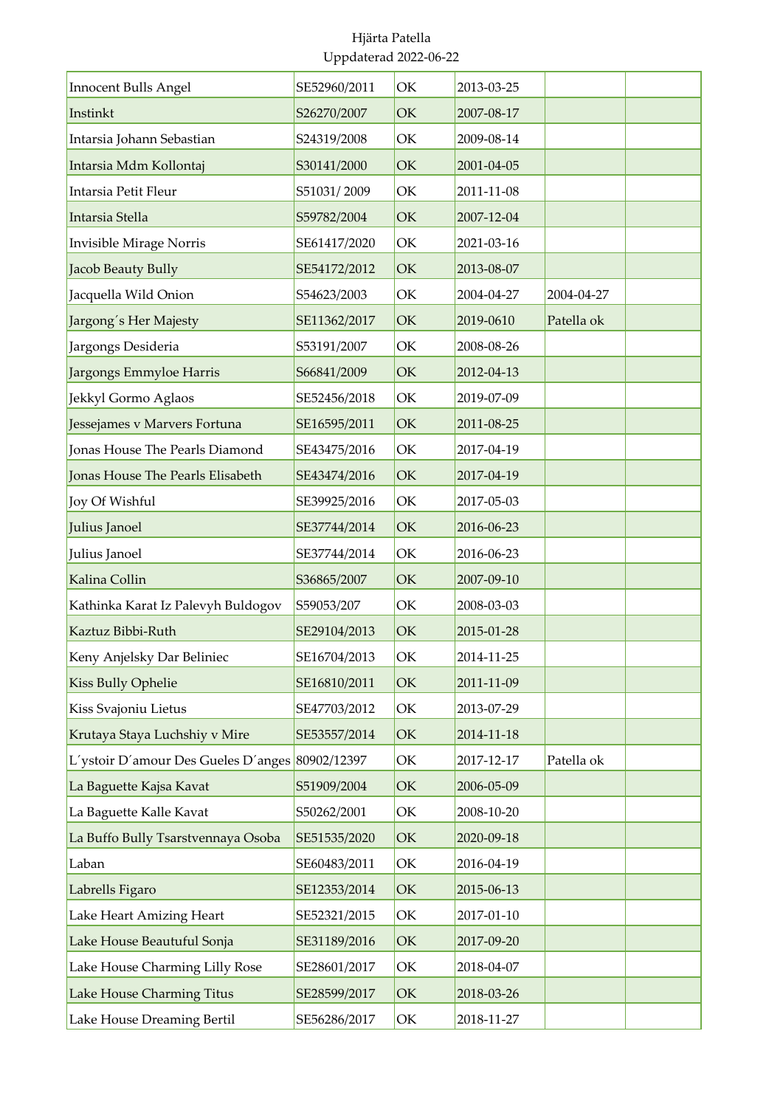| <b>Innocent Bulls Angel</b>                     | SE52960/2011 | OK | 2013-03-25 |            |  |
|-------------------------------------------------|--------------|----|------------|------------|--|
| Instinkt                                        | S26270/2007  | OK | 2007-08-17 |            |  |
| Intarsia Johann Sebastian                       | S24319/2008  | OK | 2009-08-14 |            |  |
| Intarsia Mdm Kollontaj                          | S30141/2000  | OK | 2001-04-05 |            |  |
| Intarsia Petit Fleur                            | S51031/2009  | OK | 2011-11-08 |            |  |
| Intarsia Stella                                 | S59782/2004  | OK | 2007-12-04 |            |  |
| Invisible Mirage Norris                         | SE61417/2020 | OK | 2021-03-16 |            |  |
| Jacob Beauty Bully                              | SE54172/2012 | OK | 2013-08-07 |            |  |
| Jacquella Wild Onion                            | S54623/2003  | OK | 2004-04-27 | 2004-04-27 |  |
| Jargong's Her Majesty                           | SE11362/2017 | OK | 2019-0610  | Patella ok |  |
| Jargongs Desideria                              | S53191/2007  | ОK | 2008-08-26 |            |  |
| Jargongs Emmyloe Harris                         | S66841/2009  | OK | 2012-04-13 |            |  |
| Jekkyl Gormo Aglaos                             | SE52456/2018 | OK | 2019-07-09 |            |  |
| Jessejames v Marvers Fortuna                    | SE16595/2011 | OK | 2011-08-25 |            |  |
| Jonas House The Pearls Diamond                  | SE43475/2016 | OK | 2017-04-19 |            |  |
| Jonas House The Pearls Elisabeth                | SE43474/2016 | OK | 2017-04-19 |            |  |
| Joy Of Wishful                                  | SE39925/2016 | OK | 2017-05-03 |            |  |
| Julius Janoel                                   | SE37744/2014 | OK | 2016-06-23 |            |  |
| Julius Janoel                                   | SE37744/2014 | OK | 2016-06-23 |            |  |
| Kalina Collin                                   | S36865/2007  | OK | 2007-09-10 |            |  |
| Kathinka Karat Iz Palevyh Buldogov              | S59053/207   | OK | 2008-03-03 |            |  |
| Kaztuz Bibbi-Ruth                               | SE29104/2013 | OK | 2015-01-28 |            |  |
| Keny Anjelsky Dar Beliniec                      | SE16704/2013 | ОK | 2014-11-25 |            |  |
| <b>Kiss Bully Ophelie</b>                       | SE16810/2011 | OK | 2011-11-09 |            |  |
| Kiss Svajoniu Lietus                            | SE47703/2012 | OK | 2013-07-29 |            |  |
| Krutaya Staya Luchshiy v Mire                   | SE53557/2014 | OK | 2014-11-18 |            |  |
| L'ystoir D'amour Des Gueles D'anges 80902/12397 |              | OK | 2017-12-17 | Patella ok |  |
| La Baguette Kajsa Kavat                         | S51909/2004  | OK | 2006-05-09 |            |  |
| La Baguette Kalle Kavat                         | S50262/2001  | ОK | 2008-10-20 |            |  |
| La Buffo Bully Tsarstvennaya Osoba              | SE51535/2020 | OK | 2020-09-18 |            |  |
| Laban                                           | SE60483/2011 | OK | 2016-04-19 |            |  |
| Labrells Figaro                                 | SE12353/2014 | OK | 2015-06-13 |            |  |
| Lake Heart Amizing Heart                        | SE52321/2015 | OK | 2017-01-10 |            |  |
| Lake House Beautuful Sonja                      | SE31189/2016 | OK | 2017-09-20 |            |  |
| Lake House Charming Lilly Rose                  | SE28601/2017 | OK | 2018-04-07 |            |  |
| Lake House Charming Titus                       | SE28599/2017 | OK | 2018-03-26 |            |  |
| Lake House Dreaming Bertil                      | SE56286/2017 | OK | 2018-11-27 |            |  |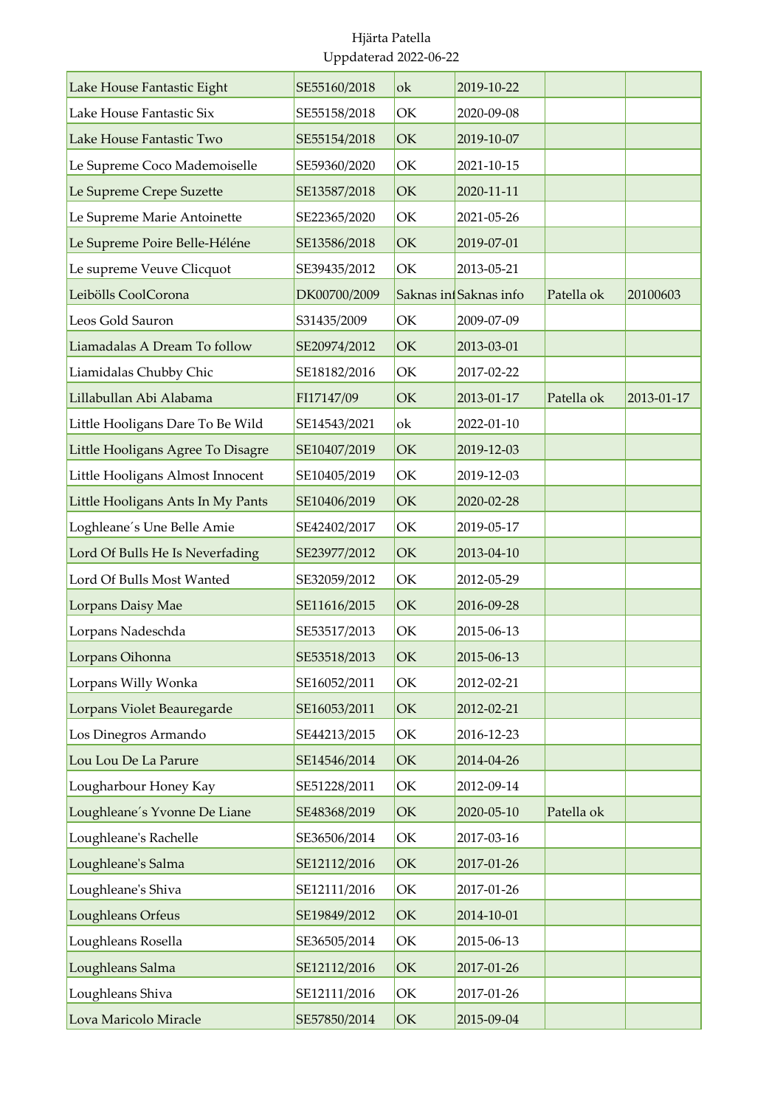| Lake House Fantastic Eight        | SE55160/2018 | ok | 2019-10-22            |            |            |
|-----------------------------------|--------------|----|-----------------------|------------|------------|
| Lake House Fantastic Six          | SE55158/2018 | OK | 2020-09-08            |            |            |
| Lake House Fantastic Two          | SE55154/2018 | OK | 2019-10-07            |            |            |
| Le Supreme Coco Mademoiselle      | SE59360/2020 | OK | 2021-10-15            |            |            |
| Le Supreme Crepe Suzette          | SE13587/2018 | OK | 2020-11-11            |            |            |
| Le Supreme Marie Antoinette       | SE22365/2020 | OK | 2021-05-26            |            |            |
| Le Supreme Poire Belle-Héléne     | SE13586/2018 | OK | 2019-07-01            |            |            |
| Le supreme Veuve Clicquot         | SE39435/2012 | OK | 2013-05-21            |            |            |
| Leibölls CoolCorona               | DK00700/2009 |    | Saknas infSaknas info | Patella ok | 20100603   |
| Leos Gold Sauron                  | S31435/2009  | OK | 2009-07-09            |            |            |
| Liamadalas A Dream To follow      | SE20974/2012 | OK | 2013-03-01            |            |            |
| Liamidalas Chubby Chic            | SE18182/2016 | OK | 2017-02-22            |            |            |
| Lillabullan Abi Alabama           | FI17147/09   | OK | 2013-01-17            | Patella ok | 2013-01-17 |
| Little Hooligans Dare To Be Wild  | SE14543/2021 | ok | 2022-01-10            |            |            |
| Little Hooligans Agree To Disagre | SE10407/2019 | OK | 2019-12-03            |            |            |
| Little Hooligans Almost Innocent  | SE10405/2019 | OK | 2019-12-03            |            |            |
| Little Hooligans Ants In My Pants | SE10406/2019 | OK | 2020-02-28            |            |            |
| Loghleane's Une Belle Amie        | SE42402/2017 | OK | 2019-05-17            |            |            |
| Lord Of Bulls He Is Neverfading   | SE23977/2012 | OK | 2013-04-10            |            |            |
| Lord Of Bulls Most Wanted         | SE32059/2012 | OK | 2012-05-29            |            |            |
| Lorpans Daisy Mae                 | SE11616/2015 | OK | 2016-09-28            |            |            |
| Lorpans Nadeschda                 | SE53517/2013 | OK | 2015-06-13            |            |            |
| Lorpans Oihonna                   | SE53518/2013 | OK | 2015-06-13            |            |            |
| Lorpans Willy Wonka               | SE16052/2011 | OK | 2012-02-21            |            |            |
| Lorpans Violet Beauregarde        | SE16053/2011 | OK | 2012-02-21            |            |            |
| Los Dinegros Armando              | SE44213/2015 | OK | 2016-12-23            |            |            |
| Lou Lou De La Parure              | SE14546/2014 | OK | 2014-04-26            |            |            |
| Lougharbour Honey Kay             | SE51228/2011 | OK | 2012-09-14            |            |            |
| Loughleane's Yvonne De Liane      | SE48368/2019 | OK | 2020-05-10            | Patella ok |            |
| Loughleane's Rachelle             | SE36506/2014 | OK | 2017-03-16            |            |            |
| Loughleane's Salma                | SE12112/2016 | OK | 2017-01-26            |            |            |
| Loughleane's Shiva                | SE12111/2016 | OK | 2017-01-26            |            |            |
| Loughleans Orfeus                 | SE19849/2012 | OK | 2014-10-01            |            |            |
| Loughleans Rosella                | SE36505/2014 | OK | 2015-06-13            |            |            |
| Loughleans Salma                  | SE12112/2016 | OK | 2017-01-26            |            |            |
| Loughleans Shiva                  | SE12111/2016 | OK | 2017-01-26            |            |            |
| Lova Maricolo Miracle             | SE57850/2014 | OK | 2015-09-04            |            |            |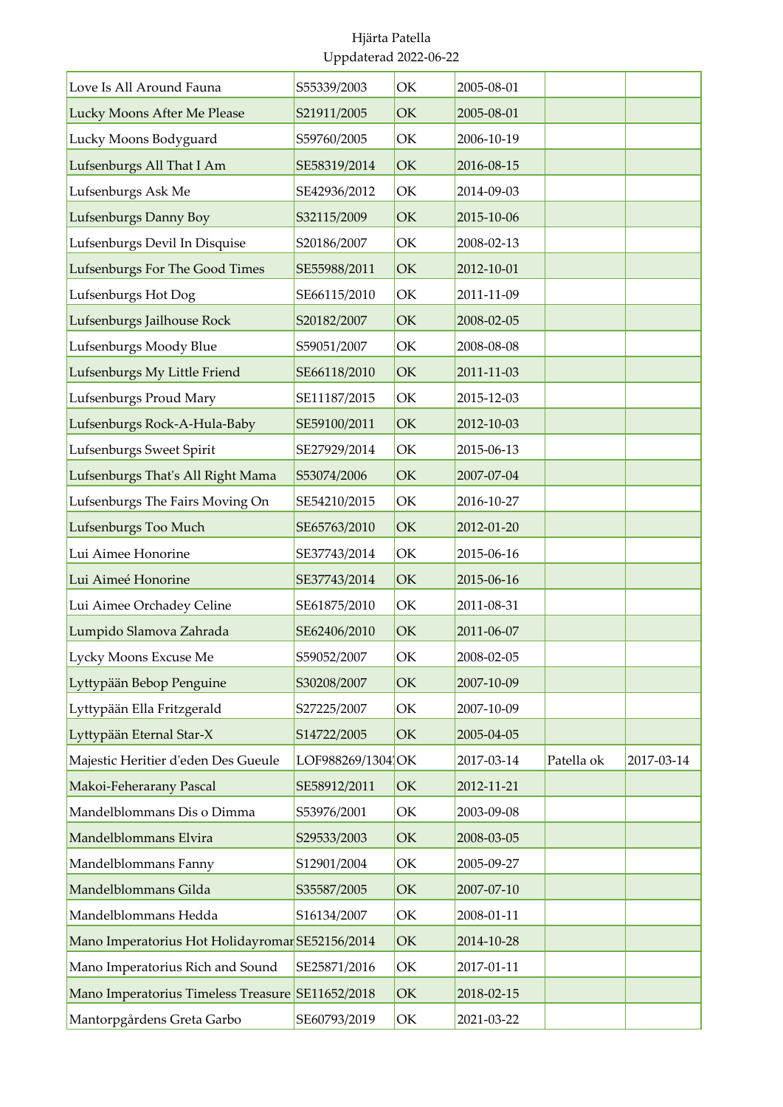| Love Is All Around Fauna                         | S55339/2003       | OK | 2005-08-01 |            |            |
|--------------------------------------------------|-------------------|----|------------|------------|------------|
| Lucky Moons After Me Please                      | S21911/2005       | OK | 2005-08-01 |            |            |
| Lucky Moons Bodyguard                            | S59760/2005       | OK | 2006-10-19 |            |            |
| Lufsenburgs All That I Am                        | SE58319/2014      | OK | 2016-08-15 |            |            |
| Lufsenburgs Ask Me                               | SE42936/2012      | OK | 2014-09-03 |            |            |
| Lufsenburgs Danny Boy                            | S32115/2009       | OK | 2015-10-06 |            |            |
| Lufsenburgs Devil In Disquise                    | S20186/2007       | OK | 2008-02-13 |            |            |
| Lufsenburgs For The Good Times                   | SE55988/2011      | OK | 2012-10-01 |            |            |
| Lufsenburgs Hot Dog                              | SE66115/2010      | OK | 2011-11-09 |            |            |
| Lufsenburgs Jailhouse Rock                       | S20182/2007       | OK | 2008-02-05 |            |            |
| Lufsenburgs Moody Blue                           | S59051/2007       | OK | 2008-08-08 |            |            |
| Lufsenburgs My Little Friend                     | SE66118/2010      | OK | 2011-11-03 |            |            |
| Lufsenburgs Proud Mary                           | SE11187/2015      | OK | 2015-12-03 |            |            |
| Lufsenburgs Rock-A-Hula-Baby                     | SE59100/2011      | OK | 2012-10-03 |            |            |
| Lufsenburgs Sweet Spirit                         | SE27929/2014      | OK | 2015-06-13 |            |            |
| Lufsenburgs That's All Right Mama                | S53074/2006       | OK | 2007-07-04 |            |            |
| Lufsenburgs The Fairs Moving On                  | SE54210/2015      | OK | 2016-10-27 |            |            |
| Lufsenburgs Too Much                             | SE65763/2010      | OK | 2012-01-20 |            |            |
| Lui Aimee Honorine                               | SE37743/2014      | OK | 2015-06-16 |            |            |
| Lui Aimeé Honorine                               | SE37743/2014      | OK | 2015-06-16 |            |            |
| Lui Aimee Orchadey Celine                        | SE61875/2010      | OK | 2011-08-31 |            |            |
| Lumpido Slamova Zahrada                          | SE62406/2010      | OK | 2011-06-07 |            |            |
| Lycky Moons Excuse Me                            | S59052/2007       | OK | 2008-02-05 |            |            |
| Lyttypään Bebop Penguine                         | S30208/2007       | OK | 2007-10-09 |            |            |
| Lyttypään Ella Fritzgerald                       | S27225/2007       | OK | 2007-10-09 |            |            |
| Lyttypään Eternal Star-X                         | S14722/2005       | OK | 2005-04-05 |            |            |
| Majestic Heritier d'eden Des Gueule              | LOF988269/1304 OK |    | 2017-03-14 | Patella ok | 2017-03-14 |
| Makoi-Feherarany Pascal                          | SE58912/2011      | OK | 2012-11-21 |            |            |
| Mandelblommans Dis o Dimma                       | S53976/2001       | OK | 2003-09-08 |            |            |
| Mandelblommans Elvira                            | S29533/2003       | OK | 2008-03-05 |            |            |
| Mandelblommans Fanny                             | S12901/2004       | OK | 2005-09-27 |            |            |
| Mandelblommans Gilda                             | S35587/2005       | OK | 2007-07-10 |            |            |
| Mandelblommans Hedda                             | S16134/2007       | OK | 2008-01-11 |            |            |
| Mano Imperatorius Hot Holidayromar SE52156/2014  |                   | OK | 2014-10-28 |            |            |
| Mano Imperatorius Rich and Sound                 | SE25871/2016      | OK | 2017-01-11 |            |            |
| Mano Imperatorius Timeless Treasure SE11652/2018 |                   | OK | 2018-02-15 |            |            |
| Mantorpgårdens Greta Garbo                       | SE60793/2019      | OK | 2021-03-22 |            |            |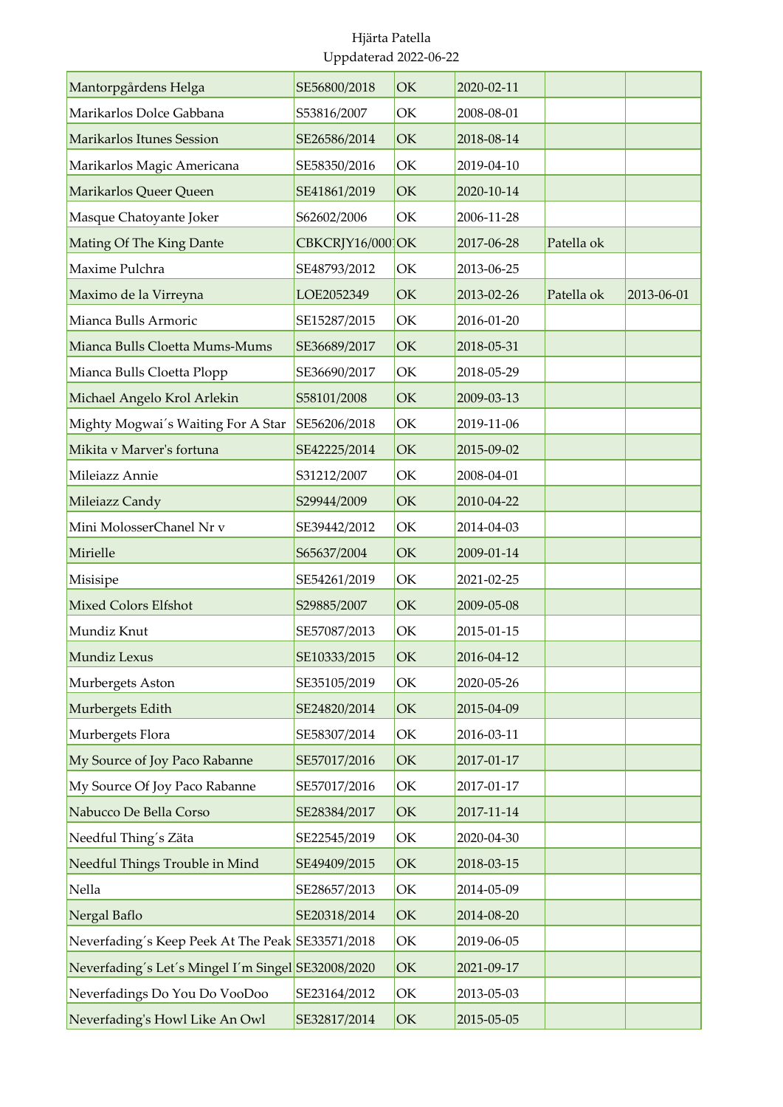| Mantorpgårdens Helga                               | SE56800/2018     | OK | 2020-02-11 |            |            |
|----------------------------------------------------|------------------|----|------------|------------|------------|
| Marikarlos Dolce Gabbana                           | S53816/2007      | OK | 2008-08-01 |            |            |
| Marikarlos Itunes Session                          | SE26586/2014     | OK | 2018-08-14 |            |            |
| Marikarlos Magic Americana                         | SE58350/2016     | OK | 2019-04-10 |            |            |
| Marikarlos Queer Queen                             | SE41861/2019     | OK | 2020-10-14 |            |            |
| Masque Chatoyante Joker                            | S62602/2006      | OK | 2006-11-28 |            |            |
| Mating Of The King Dante                           | CBKCRJY16/000 OK |    | 2017-06-28 | Patella ok |            |
| Maxime Pulchra                                     | SE48793/2012     | OK | 2013-06-25 |            |            |
| Maximo de la Virreyna                              | LOE2052349       | OK | 2013-02-26 | Patella ok | 2013-06-01 |
| Mianca Bulls Armoric                               | SE15287/2015     | OK | 2016-01-20 |            |            |
| Mianca Bulls Cloetta Mums-Mums                     | SE36689/2017     | OK | 2018-05-31 |            |            |
| Mianca Bulls Cloetta Plopp                         | SE36690/2017     | OK | 2018-05-29 |            |            |
| Michael Angelo Krol Arlekin                        | S58101/2008      | OK | 2009-03-13 |            |            |
| Mighty Mogwai's Waiting For A Star                 | SE56206/2018     | OK | 2019-11-06 |            |            |
| Mikita v Marver's fortuna                          | SE42225/2014     | OK | 2015-09-02 |            |            |
| Mileiazz Annie                                     | S31212/2007      | OK | 2008-04-01 |            |            |
| Mileiazz Candy                                     | S29944/2009      | OK | 2010-04-22 |            |            |
| Mini MolosserChanel Nr v                           | SE39442/2012     | OK | 2014-04-03 |            |            |
| Mirielle                                           | S65637/2004      | OK | 2009-01-14 |            |            |
| Misisipe                                           | SE54261/2019     | OK | 2021-02-25 |            |            |
| <b>Mixed Colors Elfshot</b>                        | S29885/2007      | OK | 2009-05-08 |            |            |
| Mundiz Knut                                        | SE57087/2013     | OK | 2015-01-15 |            |            |
| Mundiz Lexus                                       | SE10333/2015     | OK | 2016-04-12 |            |            |
| Murbergets Aston                                   | SE35105/2019     | OK | 2020-05-26 |            |            |
| Murbergets Edith                                   | SE24820/2014     | OK | 2015-04-09 |            |            |
| Murbergets Flora                                   | SE58307/2014     | OK | 2016-03-11 |            |            |
| My Source of Joy Paco Rabanne                      | SE57017/2016     | OK | 2017-01-17 |            |            |
| My Source Of Joy Paco Rabanne                      | SE57017/2016     | OK | 2017-01-17 |            |            |
| Nabucco De Bella Corso                             | SE28384/2017     | OK | 2017-11-14 |            |            |
| Needful Thing's Zäta                               | SE22545/2019     | OK | 2020-04-30 |            |            |
| Needful Things Trouble in Mind                     | SE49409/2015     | OK | 2018-03-15 |            |            |
| Nella                                              | SE28657/2013     | OK | 2014-05-09 |            |            |
| Nergal Baflo                                       | SE20318/2014     | OK | 2014-08-20 |            |            |
| Neverfading's Keep Peek At The Peak SE33571/2018   |                  | OK | 2019-06-05 |            |            |
| Neverfading's Let's Mingel I'm Singel SE32008/2020 |                  | OK | 2021-09-17 |            |            |
| Neverfadings Do You Do VooDoo                      | SE23164/2012     | OK | 2013-05-03 |            |            |
| Neverfading's Howl Like An Owl                     | SE32817/2014     | OK | 2015-05-05 |            |            |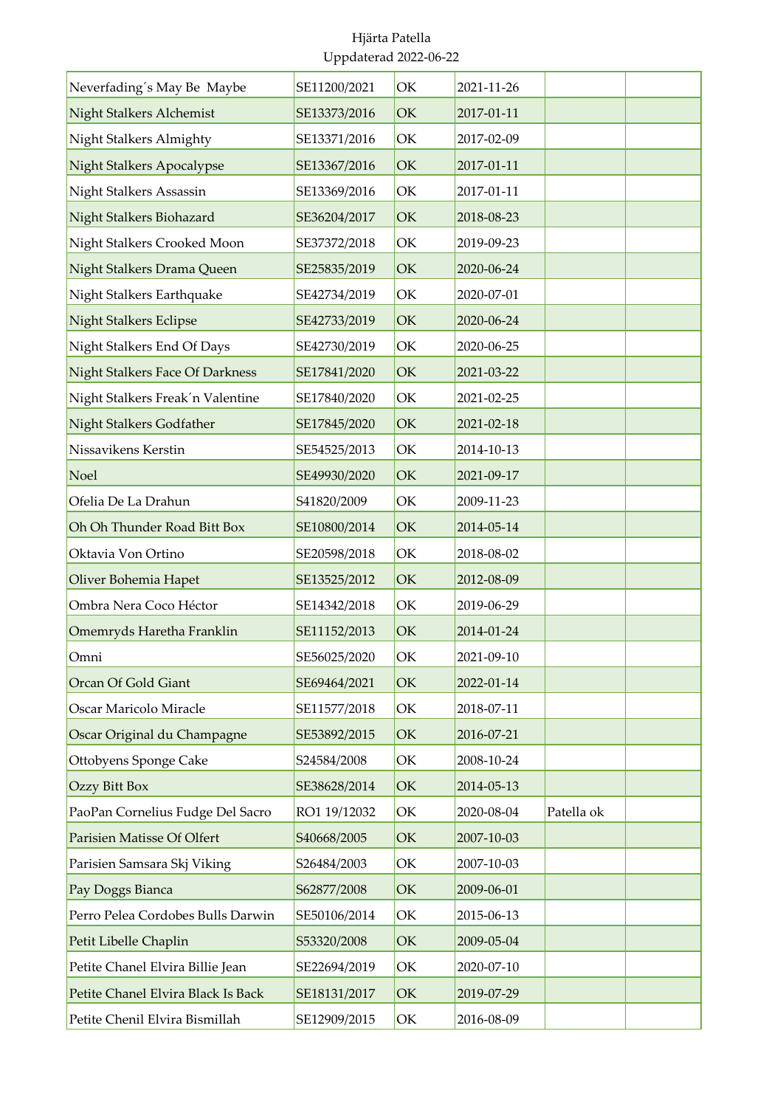| Neverfading's May Be Maybe         | SE11200/2021 | OK | 2021-11-26 |            |  |
|------------------------------------|--------------|----|------------|------------|--|
| Night Stalkers Alchemist           | SE13373/2016 | OK | 2017-01-11 |            |  |
| Night Stalkers Almighty            | SE13371/2016 | OK | 2017-02-09 |            |  |
| <b>Night Stalkers Apocalypse</b>   | SE13367/2016 | OK | 2017-01-11 |            |  |
| Night Stalkers Assassin            | SE13369/2016 | OK | 2017-01-11 |            |  |
| Night Stalkers Biohazard           | SE36204/2017 | OK | 2018-08-23 |            |  |
| Night Stalkers Crooked Moon        | SE37372/2018 | OK | 2019-09-23 |            |  |
| Night Stalkers Drama Queen         | SE25835/2019 | OK | 2020-06-24 |            |  |
| Night Stalkers Earthquake          | SE42734/2019 | OK | 2020-07-01 |            |  |
| <b>Night Stalkers Eclipse</b>      | SE42733/2019 | OK | 2020-06-24 |            |  |
| Night Stalkers End Of Days         | SE42730/2019 | OK | 2020-06-25 |            |  |
| Night Stalkers Face Of Darkness    | SE17841/2020 | OK | 2021-03-22 |            |  |
| Night Stalkers Freak'n Valentine   | SE17840/2020 | OK | 2021-02-25 |            |  |
| Night Stalkers Godfather           | SE17845/2020 | OK | 2021-02-18 |            |  |
| Nissavikens Kerstin                | SE54525/2013 | OK | 2014-10-13 |            |  |
| Noel                               | SE49930/2020 | OK | 2021-09-17 |            |  |
| Ofelia De La Drahun                | S41820/2009  | OK | 2009-11-23 |            |  |
| Oh Oh Thunder Road Bitt Box        | SE10800/2014 | OK | 2014-05-14 |            |  |
| Oktavia Von Ortino                 | SE20598/2018 | OK | 2018-08-02 |            |  |
| Oliver Bohemia Hapet               | SE13525/2012 | OK | 2012-08-09 |            |  |
| Ombra Nera Coco Héctor             | SE14342/2018 | OK | 2019-06-29 |            |  |
| Omemryds Haretha Franklin          | SE11152/2013 | OK | 2014-01-24 |            |  |
| Omni                               | SE56025/2020 | OK | 2021-09-10 |            |  |
| Orcan Of Gold Giant                | SE69464/2021 | OK | 2022-01-14 |            |  |
| Oscar Maricolo Miracle             | SE11577/2018 | OK | 2018-07-11 |            |  |
| Oscar Original du Champagne        | SE53892/2015 | OK | 2016-07-21 |            |  |
| Ottobyens Sponge Cake              | S24584/2008  | OK | 2008-10-24 |            |  |
| Ozzy Bitt Box                      | SE38628/2014 | OK | 2014-05-13 |            |  |
| PaoPan Cornelius Fudge Del Sacro   | RO1 19/12032 | OK | 2020-08-04 | Patella ok |  |
| Parisien Matisse Of Olfert         | S40668/2005  | OK | 2007-10-03 |            |  |
| Parisien Samsara Skj Viking        | S26484/2003  | OK | 2007-10-03 |            |  |
| Pay Doggs Bianca                   | S62877/2008  | OK | 2009-06-01 |            |  |
| Perro Pelea Cordobes Bulls Darwin  | SE50106/2014 | OK | 2015-06-13 |            |  |
| Petit Libelle Chaplin              | S53320/2008  | OK | 2009-05-04 |            |  |
| Petite Chanel Elvira Billie Jean   | SE22694/2019 | OK | 2020-07-10 |            |  |
| Petite Chanel Elvira Black Is Back | SE18131/2017 | OK | 2019-07-29 |            |  |
| Petite Chenil Elvira Bismillah     | SE12909/2015 | OK | 2016-08-09 |            |  |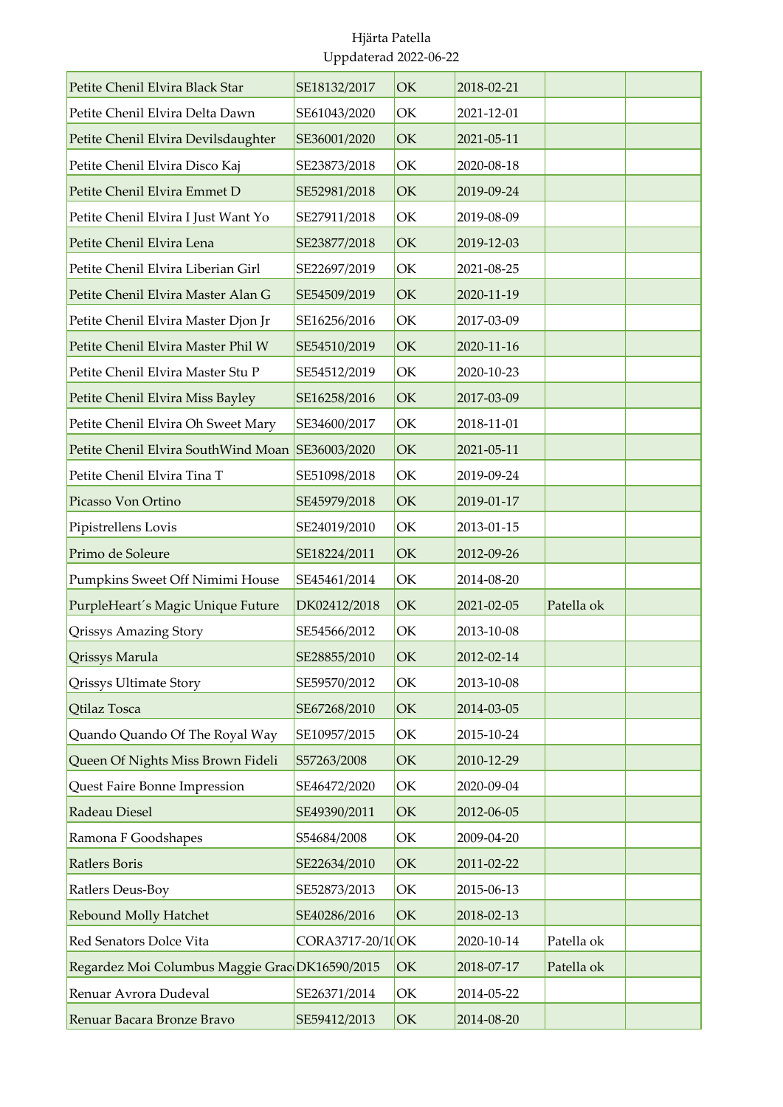| Petite Chenil Elvira Black Star                  | SE18132/2017      | OK | 2018-02-21 |            |  |
|--------------------------------------------------|-------------------|----|------------|------------|--|
| Petite Chenil Elvira Delta Dawn                  | SE61043/2020      | OK | 2021-12-01 |            |  |
| Petite Chenil Elvira Devilsdaughter              | SE36001/2020      | OK | 2021-05-11 |            |  |
| Petite Chenil Elvira Disco Kaj                   | SE23873/2018      | OK | 2020-08-18 |            |  |
| Petite Chenil Elvira Emmet D                     | SE52981/2018      | OK | 2019-09-24 |            |  |
| Petite Chenil Elvira I Just Want Yo              | SE27911/2018      | OK | 2019-08-09 |            |  |
| Petite Chenil Elvira Lena                        | SE23877/2018      | OK | 2019-12-03 |            |  |
| Petite Chenil Elvira Liberian Girl               | SE22697/2019      | OK | 2021-08-25 |            |  |
| Petite Chenil Elvira Master Alan G               | SE54509/2019      | OK | 2020-11-19 |            |  |
| Petite Chenil Elvira Master Djon Jr              | SE16256/2016      | OK | 2017-03-09 |            |  |
| Petite Chenil Elvira Master Phil W               | SE54510/2019      | OK | 2020-11-16 |            |  |
| Petite Chenil Elvira Master Stu P                | SE54512/2019      | OK | 2020-10-23 |            |  |
| Petite Chenil Elvira Miss Bayley                 | SE16258/2016      | OK | 2017-03-09 |            |  |
| Petite Chenil Elvira Oh Sweet Mary               | SE34600/2017      | OK | 2018-11-01 |            |  |
| Petite Chenil Elvira SouthWind Moan SE36003/2020 |                   | OK | 2021-05-11 |            |  |
| Petite Chenil Elvira Tina T                      | SE51098/2018      | OK | 2019-09-24 |            |  |
| Picasso Von Ortino                               | SE45979/2018      | OK | 2019-01-17 |            |  |
| Pipistrellens Lovis                              | SE24019/2010      | OK | 2013-01-15 |            |  |
| Primo de Soleure                                 | SE18224/2011      | OK | 2012-09-26 |            |  |
| Pumpkins Sweet Off Nimimi House                  | SE45461/2014      | OK | 2014-08-20 |            |  |
| PurpleHeart's Magic Unique Future                | DK02412/2018      | OK | 2021-02-05 | Patella ok |  |
| Qrissys Amazing Story                            | SE54566/2012      | OK | 2013-10-08 |            |  |
| Qrissys Marula                                   | SE28855/2010      | OK | 2012-02-14 |            |  |
| <b>Qrissys Ultimate Story</b>                    | SE59570/2012      | OK | 2013-10-08 |            |  |
| Qtilaz Tosca                                     | SE67268/2010      | OK | 2014-03-05 |            |  |
| Quando Quando Of The Royal Way                   | SE10957/2015      | OK | 2015-10-24 |            |  |
| Queen Of Nights Miss Brown Fideli                | S57263/2008       | OK | 2010-12-29 |            |  |
| Quest Faire Bonne Impression                     | SE46472/2020      | OK | 2020-09-04 |            |  |
| Radeau Diesel                                    | SE49390/2011      | OK | 2012-06-05 |            |  |
| Ramona F Goodshapes                              | S54684/2008       | OK | 2009-04-20 |            |  |
| Ratlers Boris                                    | SE22634/2010      | OK | 2011-02-22 |            |  |
| Ratlers Deus-Boy                                 | SE52873/2013      | OK | 2015-06-13 |            |  |
| <b>Rebound Molly Hatchet</b>                     | SE40286/2016      | OK | 2018-02-13 |            |  |
| Red Senators Dolce Vita                          | CORA3717-20/10 OK |    | 2020-10-14 | Patella ok |  |
| Regardez Moi Columbus Maggie Grac DK16590/2015   |                   | OK | 2018-07-17 | Patella ok |  |
| Renuar Avrora Dudeval                            | SE26371/2014      | OK | 2014-05-22 |            |  |
| Renuar Bacara Bronze Bravo                       | SE59412/2013      | OK | 2014-08-20 |            |  |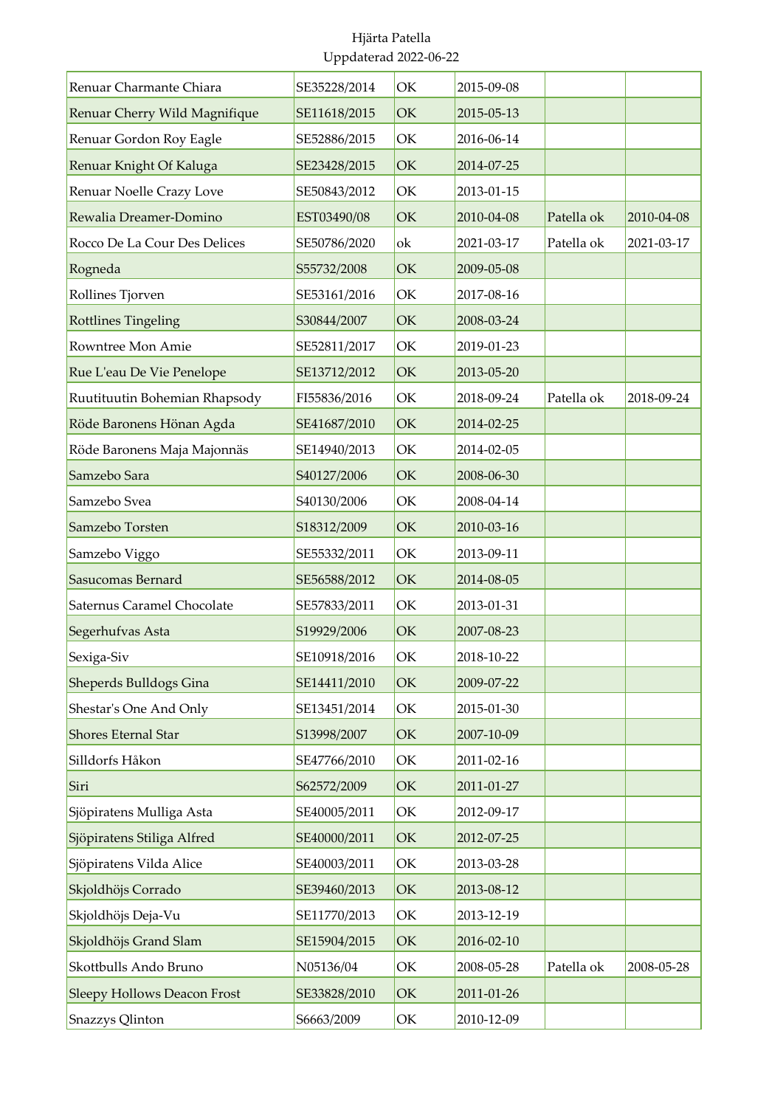| Renuar Charmante Chiara            | SE35228/2014 | OK | 2015-09-08 |            |            |
|------------------------------------|--------------|----|------------|------------|------------|
| Renuar Cherry Wild Magnifique      | SE11618/2015 | OK | 2015-05-13 |            |            |
| Renuar Gordon Roy Eagle            | SE52886/2015 | OK | 2016-06-14 |            |            |
| Renuar Knight Of Kaluga            | SE23428/2015 | OK | 2014-07-25 |            |            |
| Renuar Noelle Crazy Love           | SE50843/2012 | OK | 2013-01-15 |            |            |
| Rewalia Dreamer-Domino             | EST03490/08  | OK | 2010-04-08 | Patella ok | 2010-04-08 |
| Rocco De La Cour Des Delices       | SE50786/2020 | ok | 2021-03-17 | Patella ok | 2021-03-17 |
| Rogneda                            | S55732/2008  | OK | 2009-05-08 |            |            |
| Rollines Tjorven                   | SE53161/2016 | OK | 2017-08-16 |            |            |
| <b>Rottlines Tingeling</b>         | S30844/2007  | OK | 2008-03-24 |            |            |
| Rowntree Mon Amie                  | SE52811/2017 | OK | 2019-01-23 |            |            |
| Rue L'eau De Vie Penelope          | SE13712/2012 | OK | 2013-05-20 |            |            |
| Ruutituutin Bohemian Rhapsody      | FI55836/2016 | OK | 2018-09-24 | Patella ok | 2018-09-24 |
| Röde Baronens Hönan Agda           | SE41687/2010 | OK | 2014-02-25 |            |            |
| Röde Baronens Maja Majonnäs        | SE14940/2013 | OK | 2014-02-05 |            |            |
| Samzebo Sara                       | S40127/2006  | OK | 2008-06-30 |            |            |
| Samzebo Svea                       | S40130/2006  | OK | 2008-04-14 |            |            |
| Samzebo Torsten                    | S18312/2009  | OK | 2010-03-16 |            |            |
| Samzebo Viggo                      | SE55332/2011 | OK | 2013-09-11 |            |            |
| Sasucomas Bernard                  | SE56588/2012 | OK | 2014-08-05 |            |            |
| <b>Saternus Caramel Chocolate</b>  | SE57833/2011 | OK | 2013-01-31 |            |            |
| Segerhufvas Asta                   | S19929/2006  | OK | 2007-08-23 |            |            |
| Sexiga-Siv                         | SE10918/2016 | OK | 2018-10-22 |            |            |
| Sheperds Bulldogs Gina             | SE14411/2010 | OK | 2009-07-22 |            |            |
| Shestar's One And Only             | SE13451/2014 | OK | 2015-01-30 |            |            |
| Shores Eternal Star                | S13998/2007  | OK | 2007-10-09 |            |            |
| Silldorfs Håkon                    | SE47766/2010 | OK | 2011-02-16 |            |            |
| Siri                               | S62572/2009  | OK | 2011-01-27 |            |            |
| Sjöpiratens Mulliga Asta           | SE40005/2011 | OK | 2012-09-17 |            |            |
| Sjöpiratens Stiliga Alfred         | SE40000/2011 | OK | 2012-07-25 |            |            |
| Sjöpiratens Vilda Alice            | SE40003/2011 | OK | 2013-03-28 |            |            |
| Skjoldhöjs Corrado                 | SE39460/2013 | OK | 2013-08-12 |            |            |
| Skjoldhöjs Deja-Vu                 | SE11770/2013 | OK | 2013-12-19 |            |            |
| Skjoldhöjs Grand Slam              | SE15904/2015 | OK | 2016-02-10 |            |            |
| Skottbulls Ando Bruno              | N05136/04    | OK | 2008-05-28 | Patella ok | 2008-05-28 |
| <b>Sleepy Hollows Deacon Frost</b> | SE33828/2010 | OK | 2011-01-26 |            |            |
| Snazzys Qlinton                    | S6663/2009   | OK | 2010-12-09 |            |            |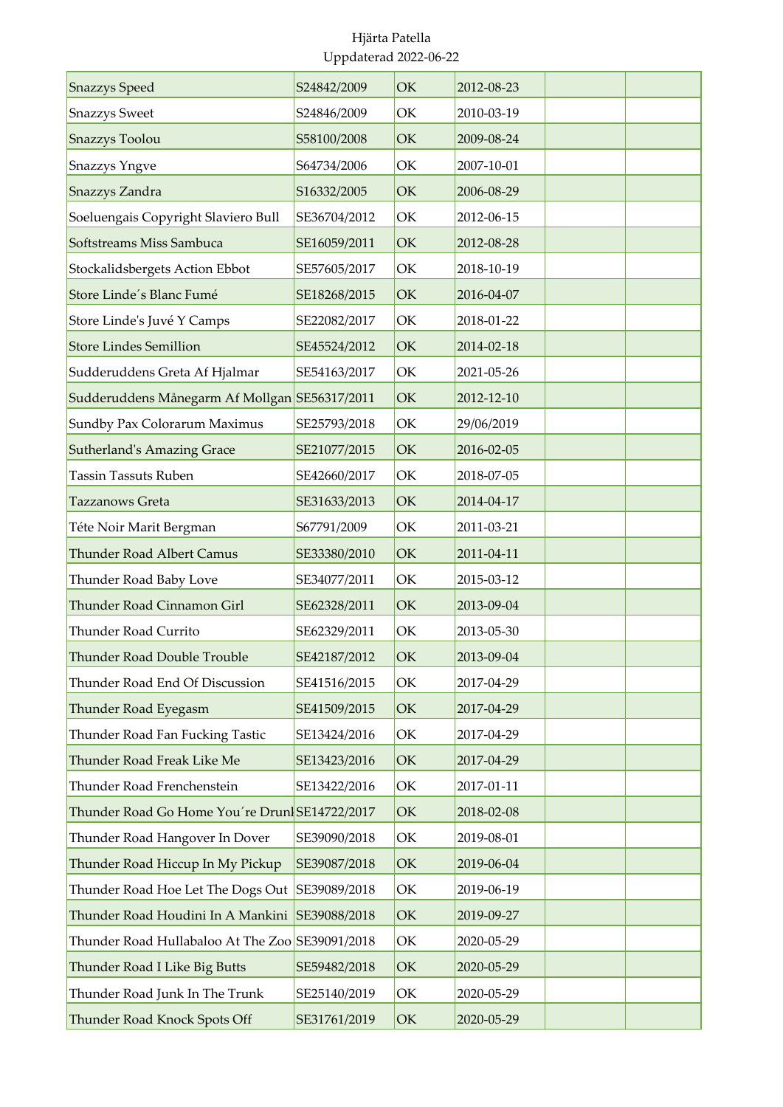| <b>Snazzys</b> Speed                            | S24842/2009  | OK | 2012-08-23 |  |
|-------------------------------------------------|--------------|----|------------|--|
| <b>Snazzys Sweet</b>                            | S24846/2009  | OK | 2010-03-19 |  |
| <b>Snazzys Toolou</b>                           | S58100/2008  | OK | 2009-08-24 |  |
| <b>Snazzys Yngve</b>                            | S64734/2006  | OK | 2007-10-01 |  |
| Snazzys Zandra                                  | S16332/2005  | OK | 2006-08-29 |  |
| Soeluengais Copyright Slaviero Bull             | SE36704/2012 | OK | 2012-06-15 |  |
| Softstreams Miss Sambuca                        | SE16059/2011 | OK | 2012-08-28 |  |
| Stockalidsbergets Action Ebbot                  | SE57605/2017 | OK | 2018-10-19 |  |
| Store Linde's Blanc Fumé                        | SE18268/2015 | OK | 2016-04-07 |  |
| Store Linde's Juvé Y Camps                      | SE22082/2017 | OK | 2018-01-22 |  |
| <b>Store Lindes Semillion</b>                   | SE45524/2012 | OK | 2014-02-18 |  |
| Sudderuddens Greta Af Hjalmar                   | SE54163/2017 | OK | 2021-05-26 |  |
| Sudderuddens Månegarm Af Mollgan SE56317/2011   |              | OK | 2012-12-10 |  |
| Sundby Pax Colorarum Maximus                    | SE25793/2018 | OK | 29/06/2019 |  |
| <b>Sutherland's Amazing Grace</b>               | SE21077/2015 | OK | 2016-02-05 |  |
| Tassin Tassuts Ruben                            | SE42660/2017 | OK | 2018-07-05 |  |
| <b>Tazzanows Greta</b>                          | SE31633/2013 | OK | 2014-04-17 |  |
| Téte Noir Marit Bergman                         | S67791/2009  | OK | 2011-03-21 |  |
| <b>Thunder Road Albert Camus</b>                | SE33380/2010 | OK | 2011-04-11 |  |
| Thunder Road Baby Love                          | SE34077/2011 | OK | 2015-03-12 |  |
| Thunder Road Cinnamon Girl                      | SE62328/2011 | OK | 2013-09-04 |  |
| Thunder Road Currito                            | SE62329/2011 | OK | 2013-05-30 |  |
| Thunder Road Double Trouble                     | SE42187/2012 | OK | 2013-09-04 |  |
| Thunder Road End Of Discussion                  | SE41516/2015 | OK | 2017-04-29 |  |
| Thunder Road Eyegasm                            | SE41509/2015 | OK | 2017-04-29 |  |
| Thunder Road Fan Fucking Tastic                 | SE13424/2016 | OK | 2017-04-29 |  |
| Thunder Road Freak Like Me                      | SE13423/2016 | OK | 2017-04-29 |  |
| Thunder Road Frenchenstein                      | SE13422/2016 | OK | 2017-01-11 |  |
| Thunder Road Go Home You're Drunl SE14722/2017  |              | OK | 2018-02-08 |  |
| Thunder Road Hangover In Dover                  | SE39090/2018 | OK | 2019-08-01 |  |
| Thunder Road Hiccup In My Pickup                | SE39087/2018 | OK | 2019-06-04 |  |
| Thunder Road Hoe Let The Dogs Out SE39089/2018  |              | OK | 2019-06-19 |  |
| Thunder Road Houdini In A Mankini SE39088/2018  |              | OK | 2019-09-27 |  |
| Thunder Road Hullabaloo At The Zoo SE39091/2018 |              | OK | 2020-05-29 |  |
| Thunder Road I Like Big Butts                   | SE59482/2018 | OK | 2020-05-29 |  |
| Thunder Road Junk In The Trunk                  | SE25140/2019 | OK | 2020-05-29 |  |
| Thunder Road Knock Spots Off                    | SE31761/2019 | OK | 2020-05-29 |  |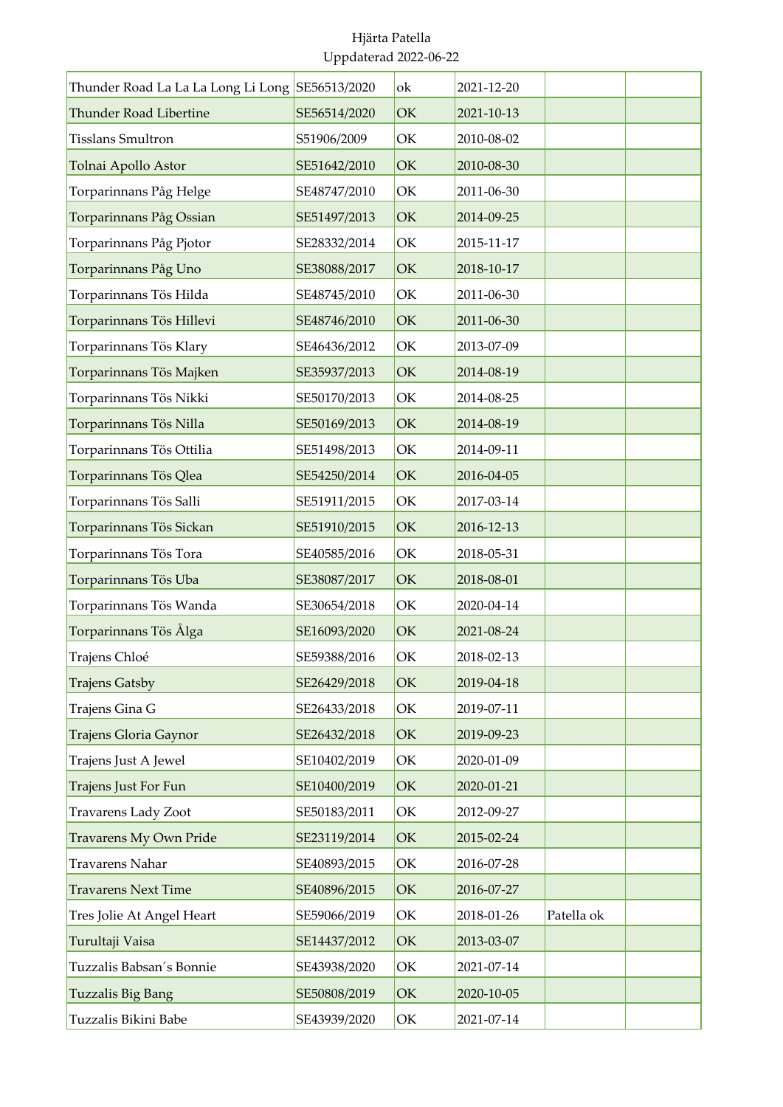| Thunder Road La La La Long Li Long SE56513/2020 |              | ok | 2021-12-20 |            |  |
|-------------------------------------------------|--------------|----|------------|------------|--|
| <b>Thunder Road Libertine</b>                   | SE56514/2020 | OK | 2021-10-13 |            |  |
| <b>Tisslans Smultron</b>                        | S51906/2009  | OK | 2010-08-02 |            |  |
| Tolnai Apollo Astor                             | SE51642/2010 | OK | 2010-08-30 |            |  |
| Torparinnans Påg Helge                          | SE48747/2010 | OK | 2011-06-30 |            |  |
| Torparinnans Påg Ossian                         | SE51497/2013 | OK | 2014-09-25 |            |  |
| Torparinnans Påg Pjotor                         | SE28332/2014 | OK | 2015-11-17 |            |  |
| Torparinnans Påg Uno                            | SE38088/2017 | OK | 2018-10-17 |            |  |
| Torparinnans Tös Hilda                          | SE48745/2010 | OK | 2011-06-30 |            |  |
| Torparinnans Tös Hillevi                        | SE48746/2010 | OK | 2011-06-30 |            |  |
| Torparinnans Tös Klary                          | SE46436/2012 | OK | 2013-07-09 |            |  |
| Torparinnans Tös Majken                         | SE35937/2013 | OK | 2014-08-19 |            |  |
| Torparinnans Tös Nikki                          | SE50170/2013 | OK | 2014-08-25 |            |  |
| Torparinnans Tös Nilla                          | SE50169/2013 | OK | 2014-08-19 |            |  |
| Torparinnans Tös Ottilia                        | SE51498/2013 | OK | 2014-09-11 |            |  |
| Torparinnans Tös Qlea                           | SE54250/2014 | OK | 2016-04-05 |            |  |
| Torparinnans Tös Salli                          | SE51911/2015 | OK | 2017-03-14 |            |  |
| Torparinnans Tös Sickan                         | SE51910/2015 | OK | 2016-12-13 |            |  |
| Torparinnans Tös Tora                           | SE40585/2016 | OK | 2018-05-31 |            |  |
| Torparinnans Tös Uba                            | SE38087/2017 | OK | 2018-08-01 |            |  |
| Torparinnans Tös Wanda                          | SE30654/2018 | OK | 2020-04-14 |            |  |
| Torparinnans Tös Ålga                           | SE16093/2020 | OK | 2021-08-24 |            |  |
| Trajens Chloé                                   | SE59388/2016 | OK | 2018-02-13 |            |  |
| <b>Trajens Gatsby</b>                           | SE26429/2018 | OK | 2019-04-18 |            |  |
| Trajens Gina G                                  | SE26433/2018 | OK | 2019-07-11 |            |  |
| Trajens Gloria Gaynor                           | SE26432/2018 | OK | 2019-09-23 |            |  |
| Trajens Just A Jewel                            | SE10402/2019 | OK | 2020-01-09 |            |  |
| Trajens Just For Fun                            | SE10400/2019 | OK | 2020-01-21 |            |  |
| <b>Travarens Lady Zoot</b>                      | SE50183/2011 | ОK | 2012-09-27 |            |  |
| <b>Travarens My Own Pride</b>                   | SE23119/2014 | OK | 2015-02-24 |            |  |
| Travarens Nahar                                 | SE40893/2015 | OK | 2016-07-28 |            |  |
| <b>Travarens Next Time</b>                      | SE40896/2015 | OK | 2016-07-27 |            |  |
| Tres Jolie At Angel Heart                       | SE59066/2019 | OK | 2018-01-26 | Patella ok |  |
| Turultaji Vaisa                                 | SE14437/2012 | OK | 2013-03-07 |            |  |
| Tuzzalis Babsan's Bonnie                        | SE43938/2020 | OK | 2021-07-14 |            |  |
| <b>Tuzzalis Big Bang</b>                        | SE50808/2019 | OK | 2020-10-05 |            |  |
| Tuzzalis Bikini Babe                            | SE43939/2020 | OK | 2021-07-14 |            |  |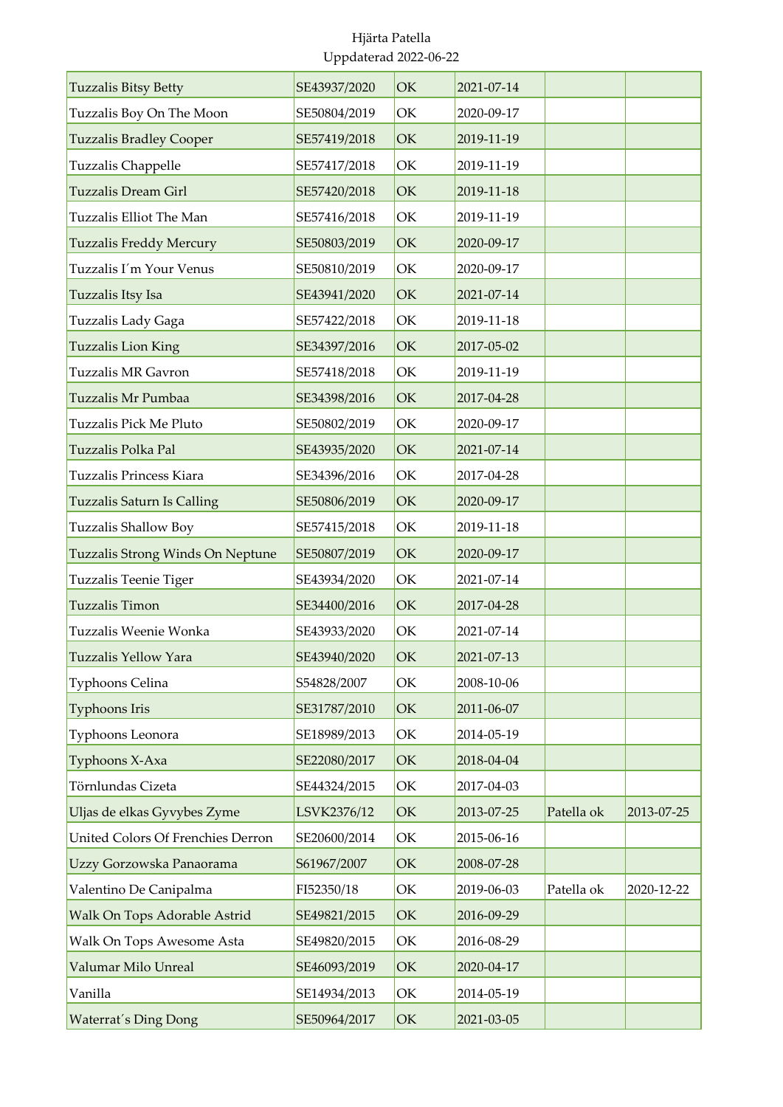| <b>Tuzzalis Bitsy Betty</b>       | SE43937/2020 | OK | 2021-07-14 |            |            |
|-----------------------------------|--------------|----|------------|------------|------------|
| Tuzzalis Boy On The Moon          | SE50804/2019 | OK | 2020-09-17 |            |            |
| <b>Tuzzalis Bradley Cooper</b>    | SE57419/2018 | OK | 2019-11-19 |            |            |
| <b>Tuzzalis Chappelle</b>         | SE57417/2018 | OK | 2019-11-19 |            |            |
| <b>Tuzzalis Dream Girl</b>        | SE57420/2018 | OK | 2019-11-18 |            |            |
| Tuzzalis Elliot The Man           | SE57416/2018 | OK | 2019-11-19 |            |            |
| <b>Tuzzalis Freddy Mercury</b>    | SE50803/2019 | OK | 2020-09-17 |            |            |
| Tuzzalis I'm Your Venus           | SE50810/2019 | OK | 2020-09-17 |            |            |
| Tuzzalis Itsy Isa                 | SE43941/2020 | OK | 2021-07-14 |            |            |
| Tuzzalis Lady Gaga                | SE57422/2018 | OK | 2019-11-18 |            |            |
| <b>Tuzzalis Lion King</b>         | SE34397/2016 | OK | 2017-05-02 |            |            |
| <b>Tuzzalis MR Gavron</b>         | SE57418/2018 | OK | 2019-11-19 |            |            |
| Tuzzalis Mr Pumbaa                | SE34398/2016 | OK | 2017-04-28 |            |            |
| Tuzzalis Pick Me Pluto            | SE50802/2019 | OK | 2020-09-17 |            |            |
| Tuzzalis Polka Pal                | SE43935/2020 | OK | 2021-07-14 |            |            |
| Tuzzalis Princess Kiara           | SE34396/2016 | OK | 2017-04-28 |            |            |
| <b>Tuzzalis Saturn Is Calling</b> | SE50806/2019 | OK | 2020-09-17 |            |            |
| Tuzzalis Shallow Boy              | SE57415/2018 | OK | 2019-11-18 |            |            |
| Tuzzalis Strong Winds On Neptune  | SE50807/2019 | OK | 2020-09-17 |            |            |
| Tuzzalis Teenie Tiger             | SE43934/2020 | OK | 2021-07-14 |            |            |
| <b>Tuzzalis Timon</b>             | SE34400/2016 | OK | 2017-04-28 |            |            |
| Tuzzalis Weenie Wonka             | SE43933/2020 | OK | 2021-07-14 |            |            |
| Tuzzalis Yellow Yara              | SE43940/2020 | OK | 2021-07-13 |            |            |
| Typhoons Celina                   | S54828/2007  | OK | 2008-10-06 |            |            |
| Typhoons Iris                     | SE31787/2010 | OK | 2011-06-07 |            |            |
| Typhoons Leonora                  | SE18989/2013 | OK | 2014-05-19 |            |            |
| Typhoons X-Axa                    | SE22080/2017 | OK | 2018-04-04 |            |            |
| Törnlundas Cizeta                 | SE44324/2015 | OK | 2017-04-03 |            |            |
| Uljas de elkas Gyvybes Zyme       | LSVK2376/12  | OK | 2013-07-25 | Patella ok | 2013-07-25 |
| United Colors Of Frenchies Derron | SE20600/2014 | OK | 2015-06-16 |            |            |
| Uzzy Gorzowska Panaorama          | S61967/2007  | OK | 2008-07-28 |            |            |
| Valentino De Canipalma            | FI52350/18   | OK | 2019-06-03 | Patella ok | 2020-12-22 |
| Walk On Tops Adorable Astrid      | SE49821/2015 | OK | 2016-09-29 |            |            |
| Walk On Tops Awesome Asta         | SE49820/2015 | OK | 2016-08-29 |            |            |
| Valumar Milo Unreal               | SE46093/2019 | OK | 2020-04-17 |            |            |
| Vanilla                           | SE14934/2013 | OK | 2014-05-19 |            |            |
| <b>Waterrat's Ding Dong</b>       | SE50964/2017 | OK | 2021-03-05 |            |            |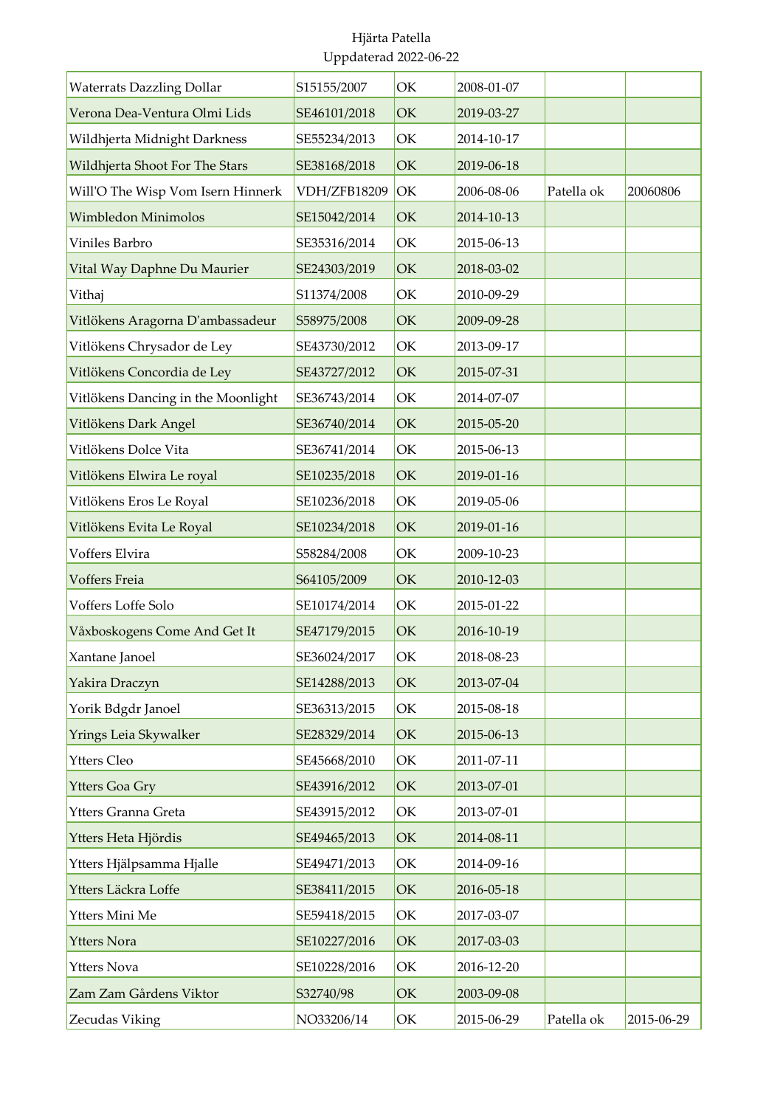| <b>Waterrats Dazzling Dollar</b>   | S15155/2007  | OK | 2008-01-07 |            |            |
|------------------------------------|--------------|----|------------|------------|------------|
| Verona Dea-Ventura Olmi Lids       | SE46101/2018 | OK | 2019-03-27 |            |            |
| Wildhjerta Midnight Darkness       | SE55234/2013 | OK | 2014-10-17 |            |            |
| Wildhjerta Shoot For The Stars     | SE38168/2018 | OK | 2019-06-18 |            |            |
| Will'O The Wisp Vom Isern Hinnerk  | VDH/ZFB18209 | OK | 2006-08-06 | Patella ok | 20060806   |
| Wimbledon Minimolos                | SE15042/2014 | OK | 2014-10-13 |            |            |
| Viniles Barbro                     | SE35316/2014 | OK | 2015-06-13 |            |            |
| Vital Way Daphne Du Maurier        | SE24303/2019 | OK | 2018-03-02 |            |            |
| Vithaj                             | S11374/2008  | OK | 2010-09-29 |            |            |
| Vitlökens Aragorna D'ambassadeur   | S58975/2008  | OK | 2009-09-28 |            |            |
| Vitlökens Chrysador de Ley         | SE43730/2012 | OK | 2013-09-17 |            |            |
| Vitlökens Concordia de Ley         | SE43727/2012 | OK | 2015-07-31 |            |            |
| Vitlökens Dancing in the Moonlight | SE36743/2014 | OK | 2014-07-07 |            |            |
| Vitlökens Dark Angel               | SE36740/2014 | OK | 2015-05-20 |            |            |
| Vitlökens Dolce Vita               | SE36741/2014 | OK | 2015-06-13 |            |            |
| Vitlökens Elwira Le royal          | SE10235/2018 | OK | 2019-01-16 |            |            |
| Vitlökens Eros Le Royal            | SE10236/2018 | OK | 2019-05-06 |            |            |
| Vitlökens Evita Le Royal           | SE10234/2018 | OK | 2019-01-16 |            |            |
| Voffers Elvira                     | S58284/2008  | OK | 2009-10-23 |            |            |
| Voffers Freia                      | S64105/2009  | OK | 2010-12-03 |            |            |
| Voffers Loffe Solo                 | SE10174/2014 | OK | 2015-01-22 |            |            |
| Våxboskogens Come And Get It       | SE47179/2015 | OK | 2016-10-19 |            |            |
| Xantane Janoel                     | SE36024/2017 | OK | 2018-08-23 |            |            |
| Yakira Draczyn                     | SE14288/2013 | OK | 2013-07-04 |            |            |
| Yorik Bdgdr Janoel                 | SE36313/2015 | OK | 2015-08-18 |            |            |
| Yrings Leia Skywalker              | SE28329/2014 | OK | 2015-06-13 |            |            |
| Ytters Cleo                        | SE45668/2010 | OK | 2011-07-11 |            |            |
| <b>Ytters Goa Gry</b>              | SE43916/2012 | OK | 2013-07-01 |            |            |
| Ytters Granna Greta                | SE43915/2012 | OK | 2013-07-01 |            |            |
| Ytters Heta Hjördis                | SE49465/2013 | OK | 2014-08-11 |            |            |
| Ytters Hjälpsamma Hjalle           | SE49471/2013 | OK | 2014-09-16 |            |            |
| Ytters Läckra Loffe                | SE38411/2015 | OK | 2016-05-18 |            |            |
| Ytters Mini Me                     | SE59418/2015 | OK | 2017-03-07 |            |            |
| <b>Ytters Nora</b>                 | SE10227/2016 | OK | 2017-03-03 |            |            |
| <b>Ytters Nova</b>                 | SE10228/2016 | OK | 2016-12-20 |            |            |
| Zam Zam Gårdens Viktor             | S32740/98    | OK | 2003-09-08 |            |            |
| Zecudas Viking                     | NO33206/14   | OK | 2015-06-29 | Patella ok | 2015-06-29 |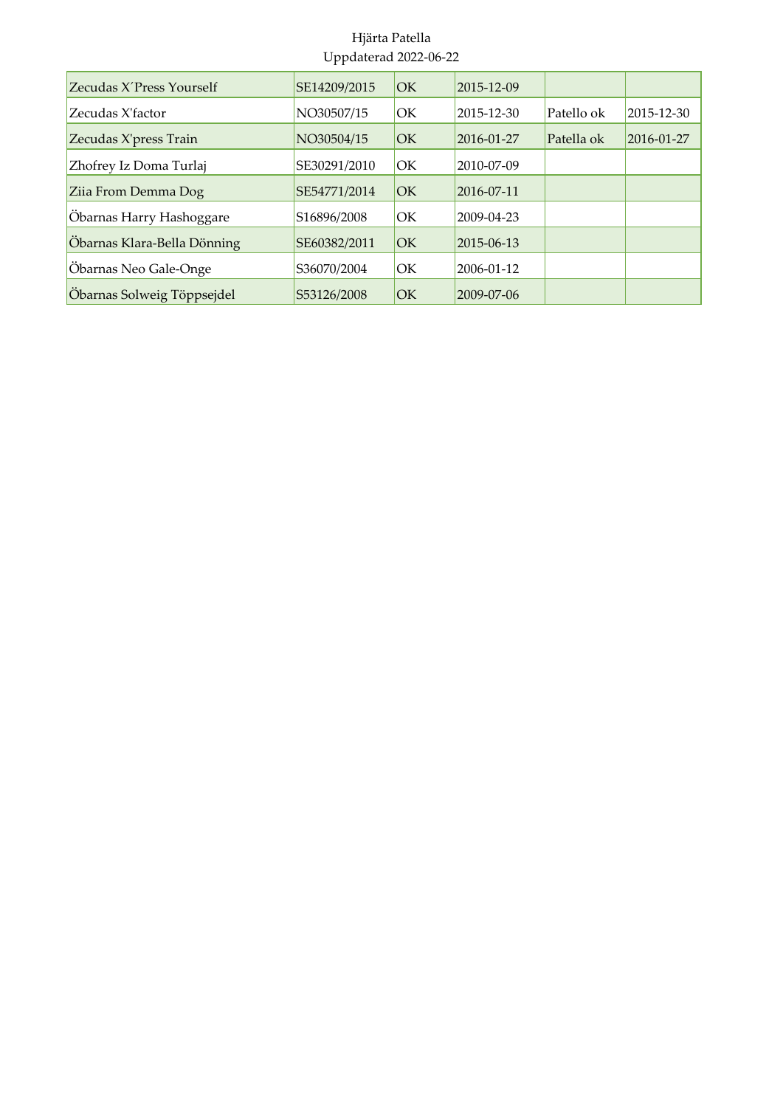| Zecudas X'Press Yourself    | SE14209/2015             | <b>IOK</b> | 2015-12-09       |            |            |
|-----------------------------|--------------------------|------------|------------------|------------|------------|
| Zecudas X'factor            | NO30507/15               | lОK        | 2015-12-30       | Patello ok | 2015-12-30 |
| Zecudas X'press Train       | NO30504/15               | lОK        | $2016 - 01 - 27$ | Patella ok | 2016-01-27 |
| Zhofrey Iz Doma Turlaj      | SE30291/2010             | <b>OK</b>  | 2010-07-09       |            |            |
| Zija From Demma Dog         | SE54771/2014             | <b>IOK</b> | $2016 - 07 - 11$ |            |            |
| Öbarnas Harry Hashoggare    | S <sub>16896</sub> /2008 | <b>OK</b>  | 2009-04-23       |            |            |
| Obarnas Klara-Bella Dönning | SE60382/2011             | lОK        | 2015-06-13       |            |            |
| Öbarnas Neo Gale-Onge       | S36070/2004              | <b>OK</b>  | $2006 - 01 - 12$ |            |            |
| Öbarnas Solweig Töppsejdel  | S53126/2008              | lОK        | $2009 - 07 - 06$ |            |            |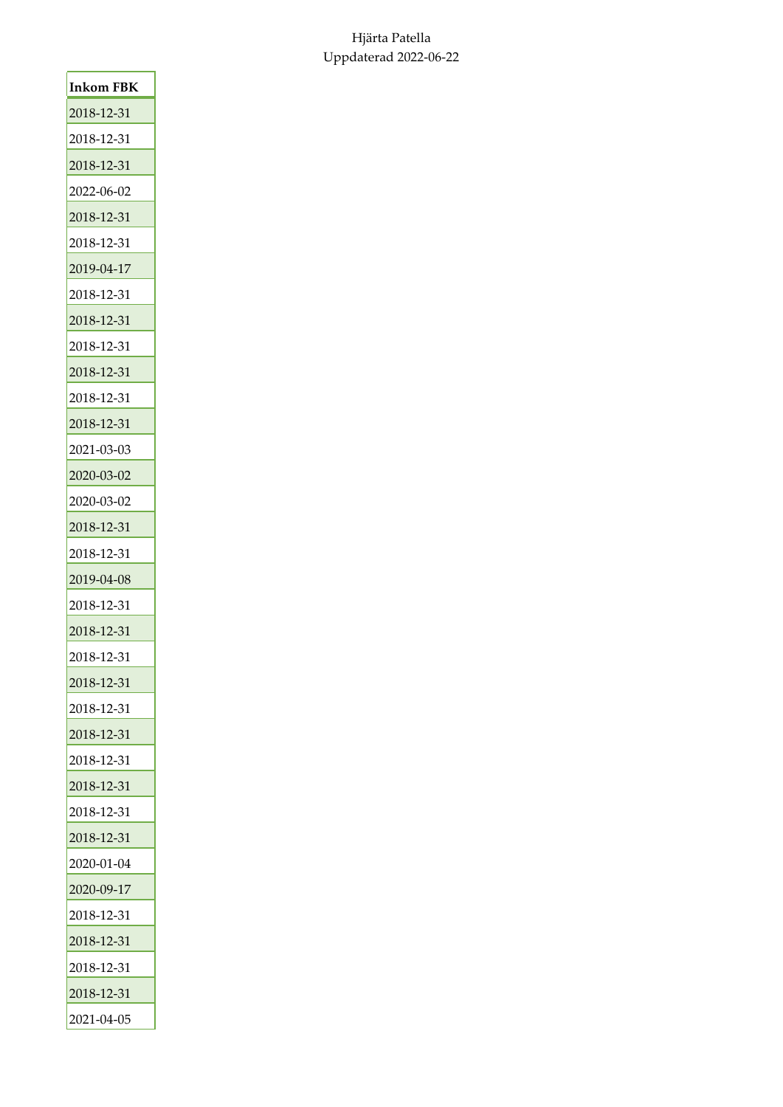| Inkom FBK  |
|------------|
| 2018-12-31 |
| 2018-12-31 |
| 2018-12-31 |
| 2022-06-02 |
| 2018-12-31 |
| 2018-12-31 |
| 2019-04-17 |
| 2018-12-31 |
| 2018-12-31 |
| 2018-12-31 |
| 2018-12-31 |
| 2018-12-31 |
| 2018-12-31 |
| 2021-03-03 |
| 2020-03-02 |
| 2020-03-02 |
| 2018-12-31 |
| 2018-12-31 |
| 2019-04-08 |
| 2018-12-31 |
| 2018-12-31 |
| 2018-12-31 |
| 2018-12-31 |
| 2018-12-31 |
| 2018-12-31 |
| 2018-12-31 |
| 2018-12-31 |
| 2018-12-31 |
| 2018-12-31 |
| 2020-01-04 |
| 2020-09-17 |
| 2018-12-31 |
| 2018-12-31 |
| 2018-12-31 |
| 2018-12-31 |
| 2021-04-05 |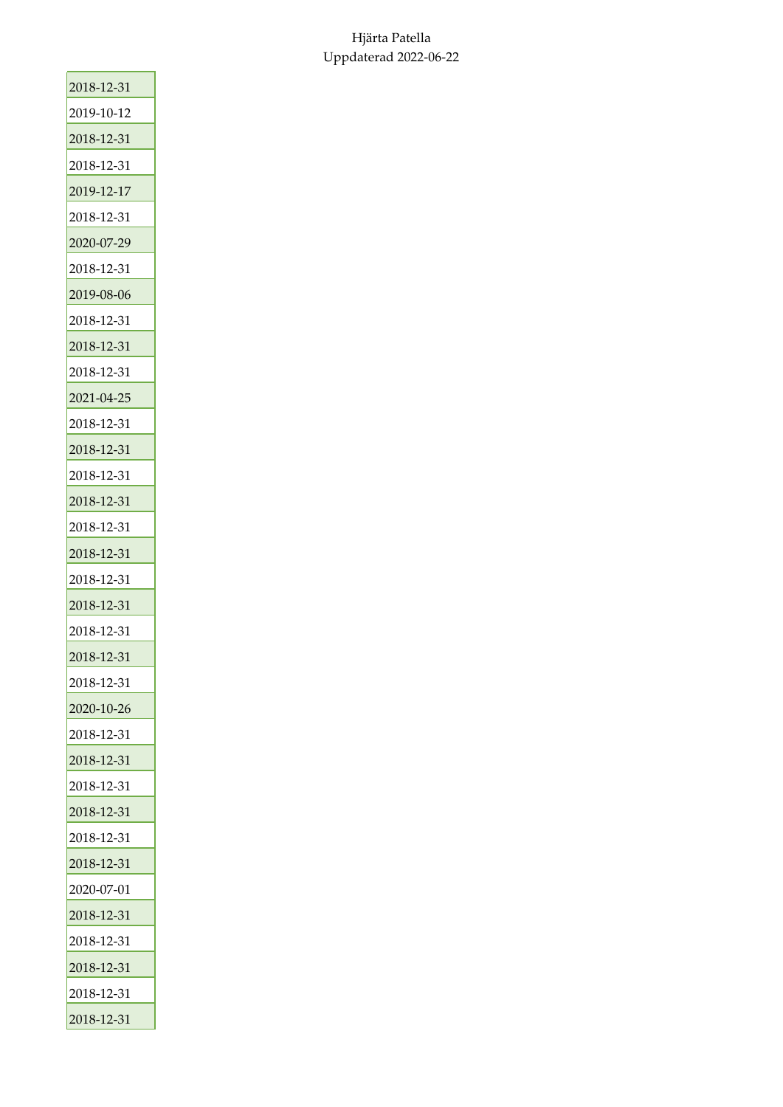| 2018-12-31 |
|------------|
| 2019-10-12 |
| 2018-12-31 |
| 2018-12-31 |
| 2019-12-17 |
| 2018-12-31 |
| 2020-07-29 |
| 2018-12-31 |
| 2019-08-06 |
| 2018-12-31 |
| 2018-12-31 |
| 2018-12-31 |
| 2021-04-25 |
| 2018-12-31 |
| 2018-12-31 |
| 2018-12-31 |
| 2018-12-31 |
| 2018-12-31 |
| 2018-12-31 |
| 2018-12-31 |
| 2018-12-31 |
| 2018-12-31 |
| 2018-12-31 |
| 2018-12-31 |
| 2020-10-26 |
| 2018-12-31 |
| 2018-12-31 |
| 2018-12-31 |
| 2018-12-31 |
| 2018-12-31 |
| 2018-12-31 |
| 2020-07-01 |
| 2018-12-31 |
| 2018-12-31 |
| 2018-12-31 |
| 2018-12-31 |
| 2018-12-31 |
|            |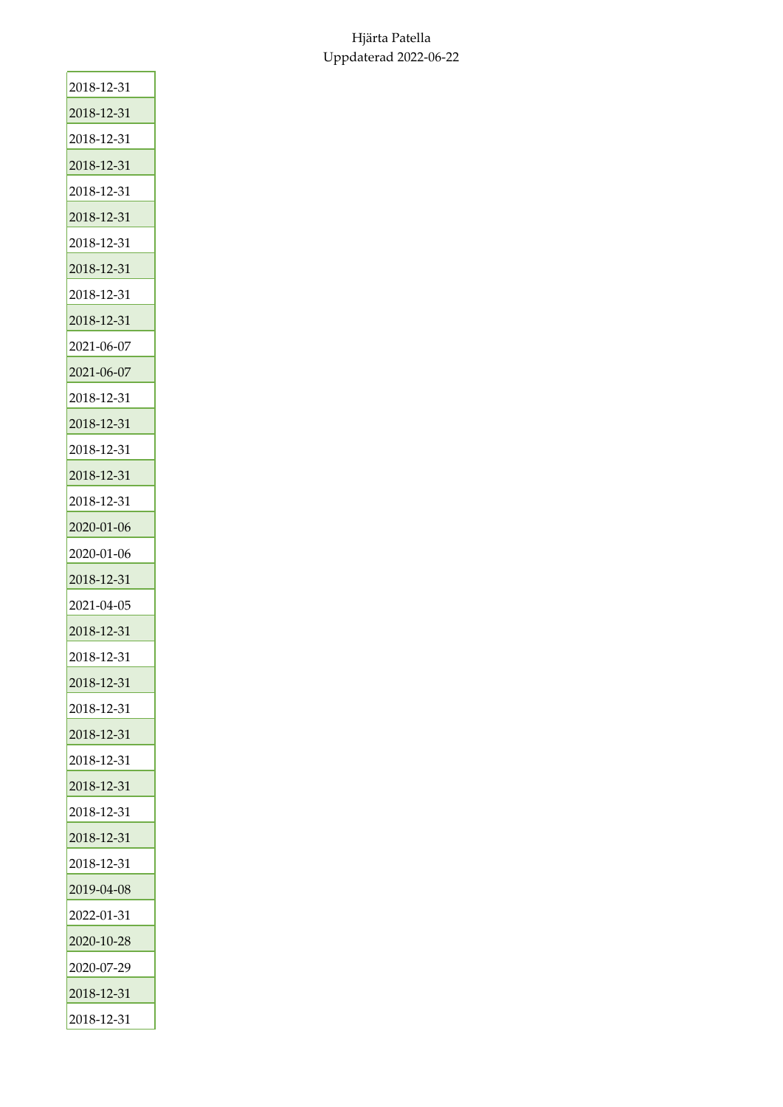| 2018-12-31 |
|------------|
| 2018-12-31 |
| 2018-12-31 |
| 2018-12-31 |
| 2018-12-31 |
| 2018-12-31 |
| 2018-12-31 |
| 2018-12-31 |
| 2018-12-31 |
| 2018-12-31 |
| 2021-06-07 |
| 2021-06-07 |
| 2018-12-31 |
| 2018-12-31 |
| 2018-12-31 |
| 2018-12-31 |
| 2018-12-31 |
| 2020-01-06 |
| 2020-01-06 |
| 2018-12-31 |
| 2021-04-05 |
| 2018-12-31 |
| 2018-12-31 |
| 2018-12-31 |
| 2018-12-31 |
| 2018-12-31 |
| 2018-12-31 |
| 2018-12-31 |
| 2018-12-31 |
| 2018-12-31 |
| 2018-12-31 |
| 2019-04-08 |
| 2022-01-31 |
| 2020-10-28 |
| 2020-07-29 |
| 2018-12-31 |
| 2018-12-31 |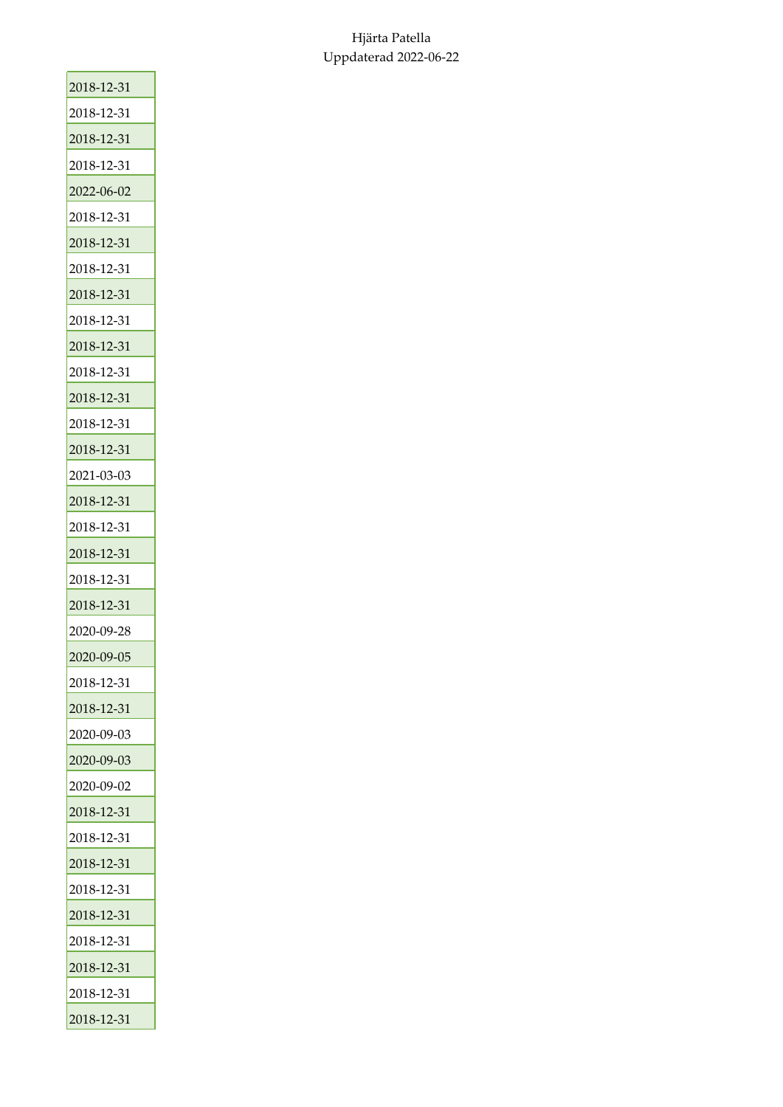| 2018-12-31 |
|------------|
| 2018-12-31 |
| 2018-12-31 |
| 2018-12-31 |
| 2022-06-02 |
| 2018-12-31 |
| 2018-12-31 |
| 2018-12-31 |
| 2018-12-31 |
| 2018-12-31 |
| 2018-12-31 |
| 2018-12-31 |
| 2018-12-31 |
| 2018-12-31 |
| 2018-12-31 |
| 2021-03-03 |
| 2018-12-31 |
| 2018-12-31 |
| 2018-12-31 |
| 2018-12-31 |
| 2018-12-31 |
| 2020-09-28 |
| 2020-09-05 |
| 2018-12-31 |
| 2018-12-31 |
| 2020-09-03 |
| 2020-09-03 |
| 2020-09-02 |
| 2018-12-31 |
| 2018-12-31 |
| 2018-12-31 |
| 2018-12-31 |
| 2018-12-31 |
| 2018-12-31 |
| 2018-12-31 |
| 2018-12-31 |
| 2018-12-31 |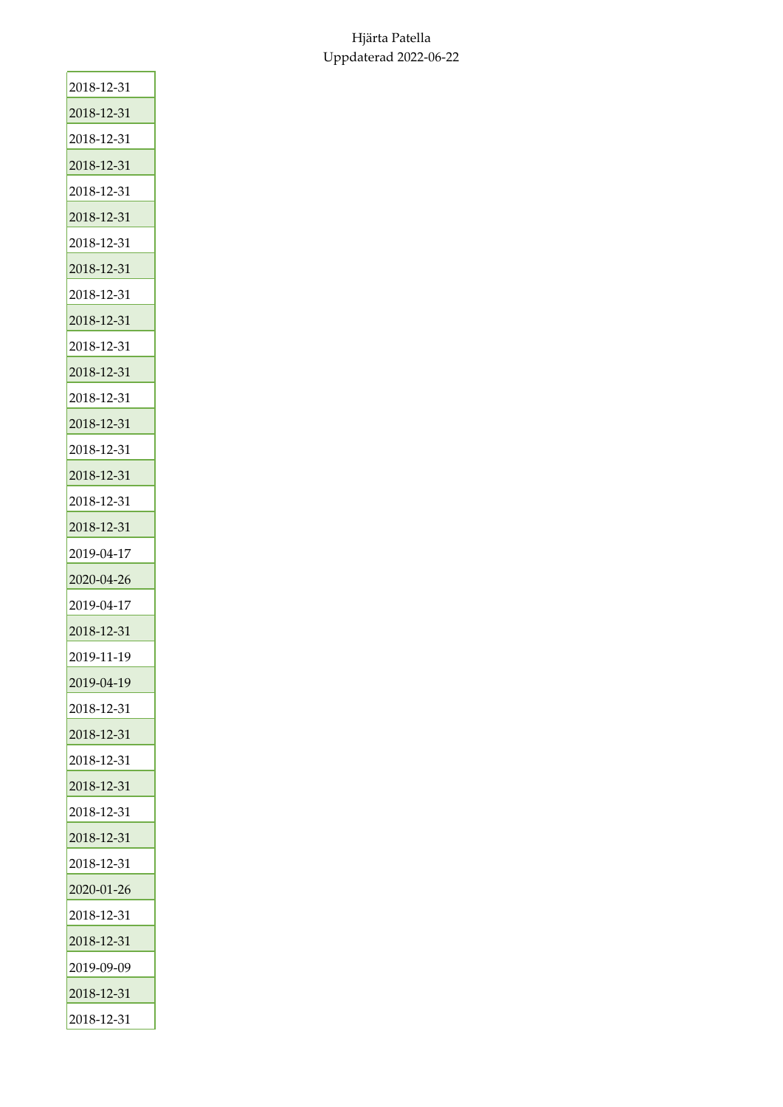| 2018-12-31 |
|------------|
| 2018-12-31 |
| 2018-12-31 |
| 2018-12-31 |
| 2018-12-31 |
| 2018-12-31 |
| 2018-12-31 |
| 2018-12-31 |
| 2018-12-31 |
| 2018-12-31 |
| 2018-12-31 |
| 2018-12-31 |
| 2018-12-31 |
| 2018-12-31 |
| 2018-12-31 |
| 2018-12-31 |
| 2018-12-31 |
| 2018-12-31 |
| 2019-04-17 |
| 2020-04-26 |
| 2019-04-17 |
| 2018-12-31 |
| 2019-11-19 |
| 2019-04-19 |
| 2018-12-31 |
| 2018-12-31 |
| 2018-12-31 |
| 2018-12-31 |
| 2018-12-31 |
| 2018-12-31 |
| 2018-12-31 |
| 2020-01-26 |
| 2018-12-31 |
| 2018-12-31 |
| 2019-09-09 |
| 2018-12-31 |
| 2018-12-31 |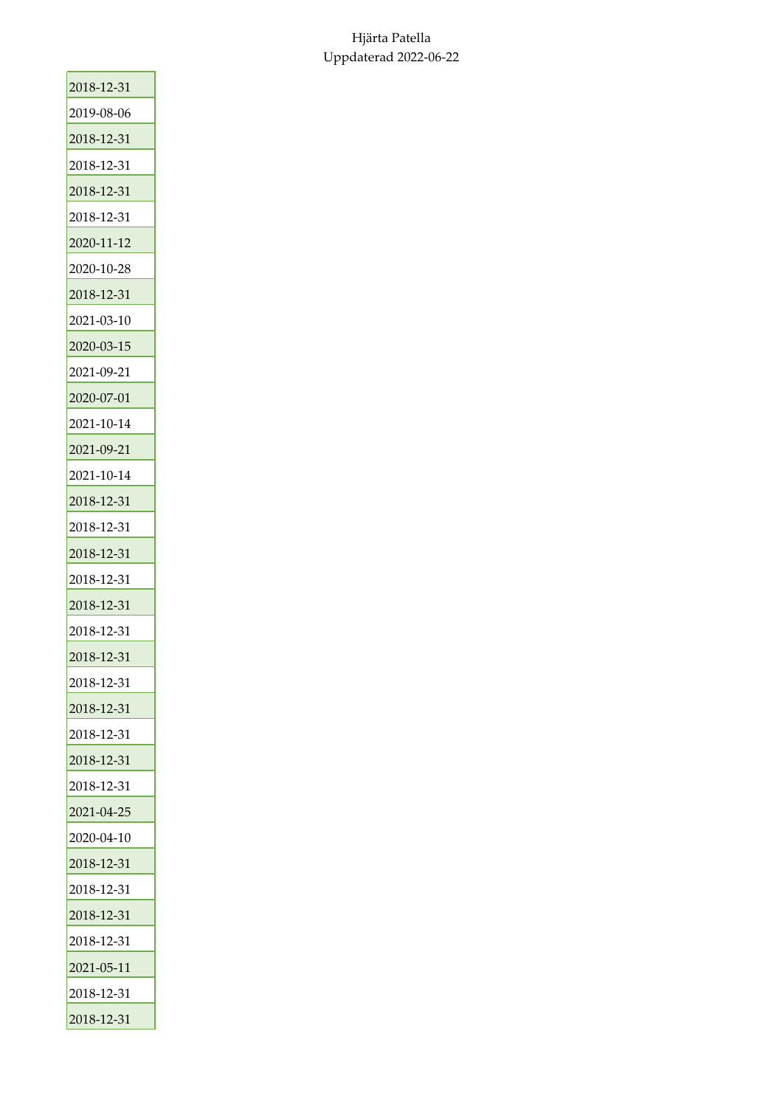| 2018-12-31 |
|------------|
| 2019-08-06 |
| 2018-12-31 |
| 2018-12-31 |
| 2018-12-31 |
| 2018-12-31 |
| 2020-11-12 |
| 2020-10-28 |
| 2018-12-31 |
| 2021-03-10 |
| 2020-03-15 |
| 2021-09-21 |
| 2020-07-01 |
| 2021-10-14 |
| 2021-09-21 |
| 2021-10-14 |
| 2018-12-31 |
| 2018-12-31 |
| 2018-12-31 |
| 2018-12-31 |
| 2018-12-31 |
| 2018-12-31 |
| 2018-12-31 |
| 2018-12-31 |
| 2018-12-31 |
| 2018-12-31 |
| 2018-12-31 |
| 2018-12-31 |
| 2021-04-25 |
| 2020-04-10 |
| 2018-12-31 |
| 2018-12-31 |
| 2018-12-31 |
| 2018-12-31 |
| 2021-05-11 |
| 2018-12-31 |
| 2018-12-31 |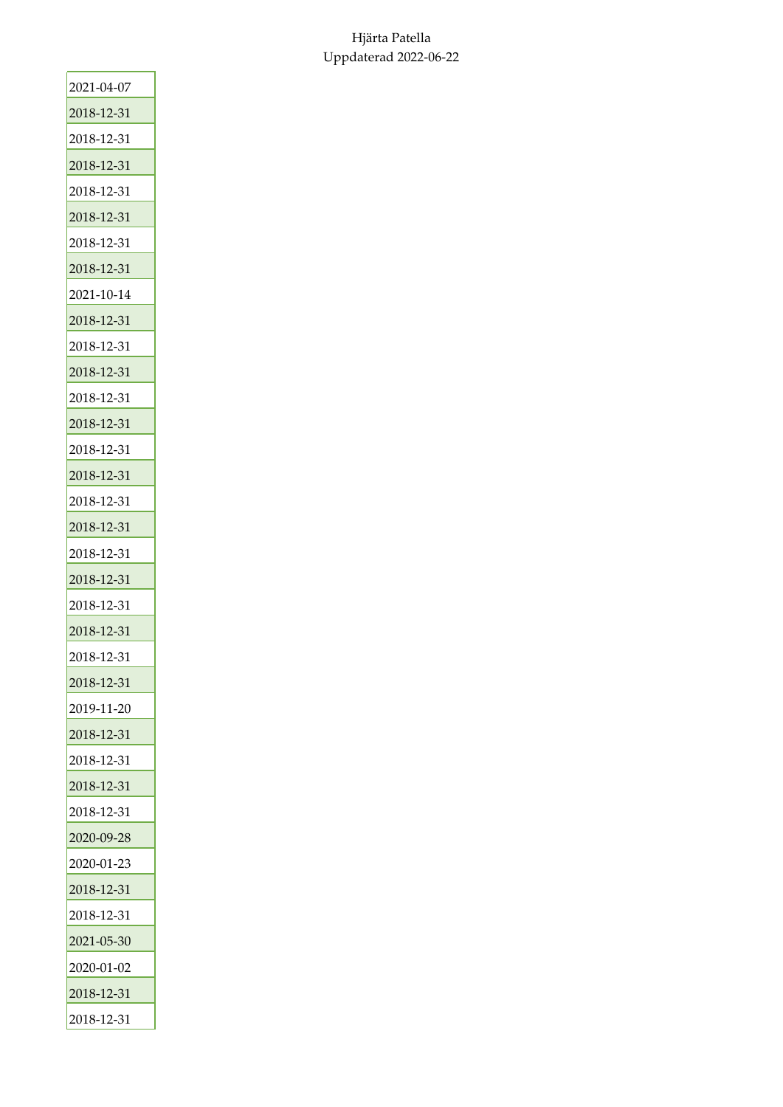| 2021-04-07 |
|------------|
| 2018-12-31 |
| 2018-12-31 |
| 2018-12-31 |
| 2018-12-31 |
| 2018-12-31 |
| 2018-12-31 |
| 2018-12-31 |
| 2021-10-14 |
| 2018-12-31 |
| 2018-12-31 |
| 2018-12-31 |
| 2018-12-31 |
| 2018-12-31 |
| 2018-12-31 |
| 2018-12-31 |
| 2018-12-31 |
| 2018-12-31 |
| 2018-12-31 |
| 2018-12-31 |
| 2018-12-31 |
| 2018-12-31 |
| 2018-12-31 |
| 2018-12-31 |
| 2019-11-20 |
| 2018-12-31 |
| 2018-12-31 |
| 2018-12-31 |
| 2018-12-31 |
| 2020-09-28 |
| 2020-01-23 |
| 2018-12-31 |
| 2018-12-31 |
| 2021-05-30 |
| 2020-01-02 |
| 2018-12-31 |
| 2018-12-31 |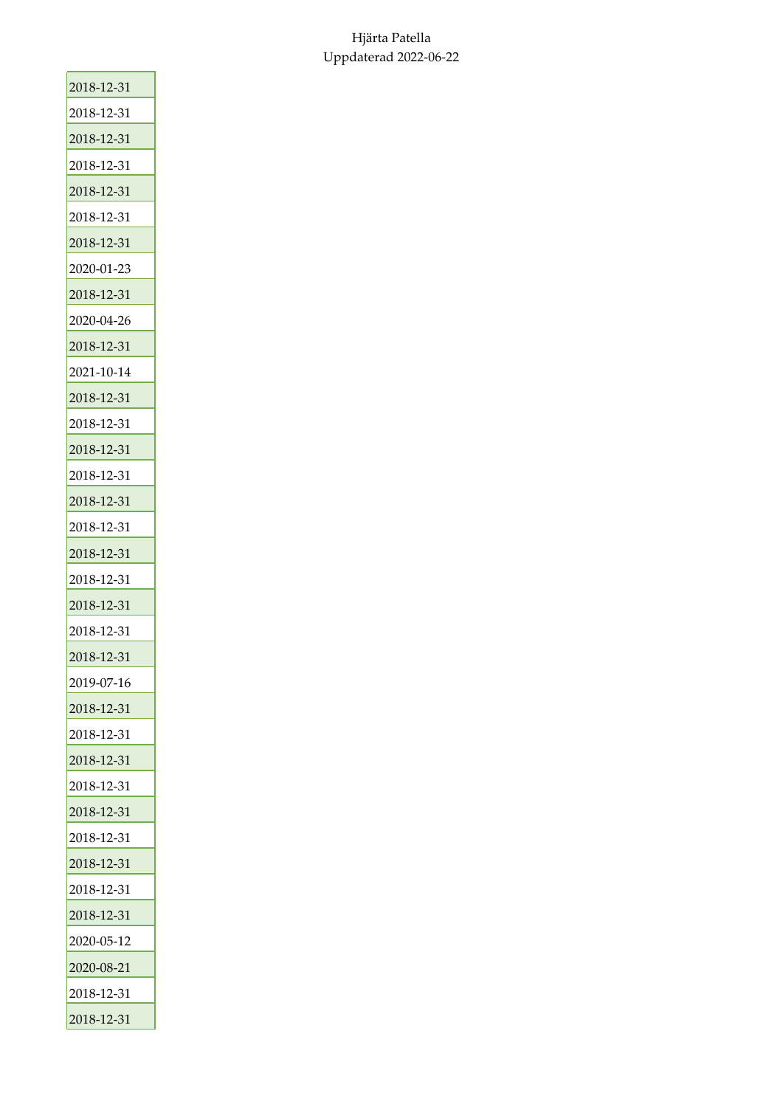| 2018-12-31 |
|------------|
| 2018-12-31 |
| 2018-12-31 |
| 2018-12-31 |
| 2018-12-31 |
| 2018-12-31 |
| 2018-12-31 |
| 2020-01-23 |
| 2018-12-31 |
| 2020-04-26 |
| 2018-12-31 |
| 2021-10-14 |
| 2018-12-31 |
| 2018-12-31 |
| 2018-12-31 |
| 2018-12-31 |
| 2018-12-31 |
| 2018-12-31 |
| 2018-12-31 |
| 2018-12-31 |
| 2018-12-31 |
| 2018-12-31 |
| 2018-12-31 |
| 2019-07-16 |
| 2018-12-31 |
| 2018-12-31 |
| 2018-12-31 |
| 2018-12-31 |
| 2018-12-31 |
| 2018-12-31 |
| 2018-12-31 |
| 2018-12-31 |
| 2018-12-31 |
| 2020-05-12 |
| 2020-08-21 |
| 2018-12-31 |
| 2018-12-31 |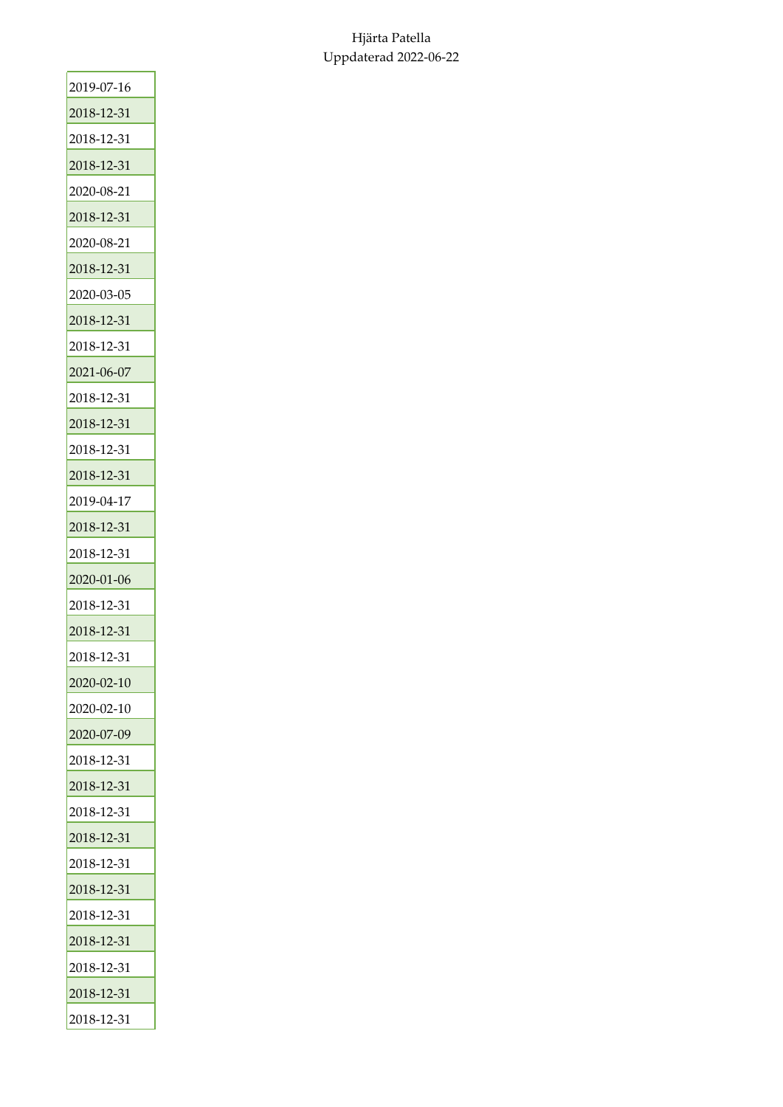| 2019-07-16 |
|------------|
| 2018-12-31 |
| 2018-12-31 |
| 2018-12-31 |
| 2020-08-21 |
| 2018-12-31 |
| 2020-08-21 |
| 2018-12-31 |
| 2020-03-05 |
| 2018-12-31 |
| 2018-12-31 |
| 2021-06-07 |
| 2018-12-31 |
| 2018-12-31 |
| 2018-12-31 |
| 2018-12-31 |
| 2019-04-17 |
| 2018-12-31 |
| 2018-12-31 |
| 2020-01-06 |
| 2018-12-31 |
| 2018-12-31 |
| 2018-12-31 |
| 2020-02-10 |
| 2020-02-10 |
| 2020-07-09 |
| 2018-12-31 |
| 2018-12-31 |
| 2018-12-31 |
| 2018-12-31 |
| 2018-12-31 |
| 2018-12-31 |
| 2018-12-31 |
| 2018-12-31 |
| 2018-12-31 |
| 2018-12-31 |
| 2018-12-31 |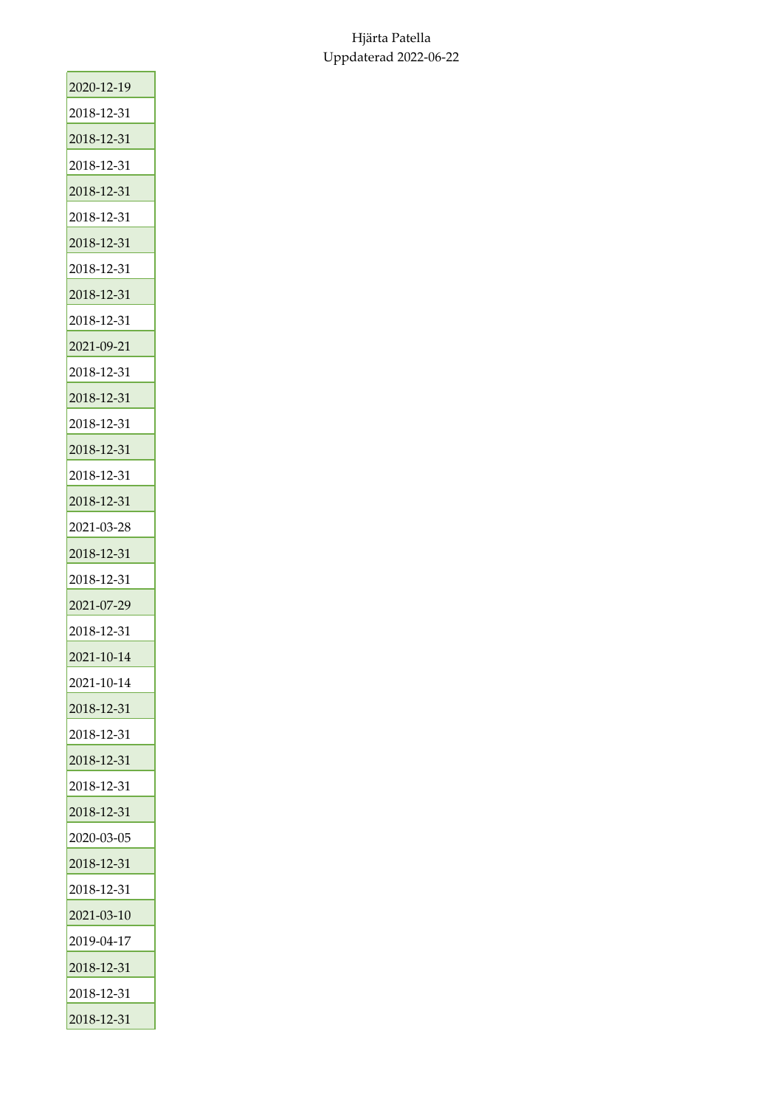| 2020-12-19 |
|------------|
| 2018-12-31 |
| 2018-12-31 |
| 2018-12-31 |
| 2018-12-31 |
| 2018-12-31 |
| 2018-12-31 |
| 2018-12-31 |
| 2018-12-31 |
| 2018-12-31 |
| 2021-09-21 |
| 2018-12-31 |
| 2018-12-31 |
| 2018-12-31 |
| 2018-12-31 |
| 2018-12-31 |
| 2018-12-31 |
| 2021-03-28 |
| 2018-12-31 |
| 2018-12-31 |
| 2021-07-29 |
| 2018-12-31 |
| 2021-10-14 |
| 2021-10-14 |
| 2018-12-31 |
| 2018-12-31 |
| 2018-12-31 |
| 2018-12-31 |
| 2018-12-31 |
| 2020-03-05 |
| 2018-12-31 |
| 2018-12-31 |
| 2021-03-10 |
| 2019-04-17 |
| 2018-12-31 |
| 2018-12-31 |
| 2018-12-31 |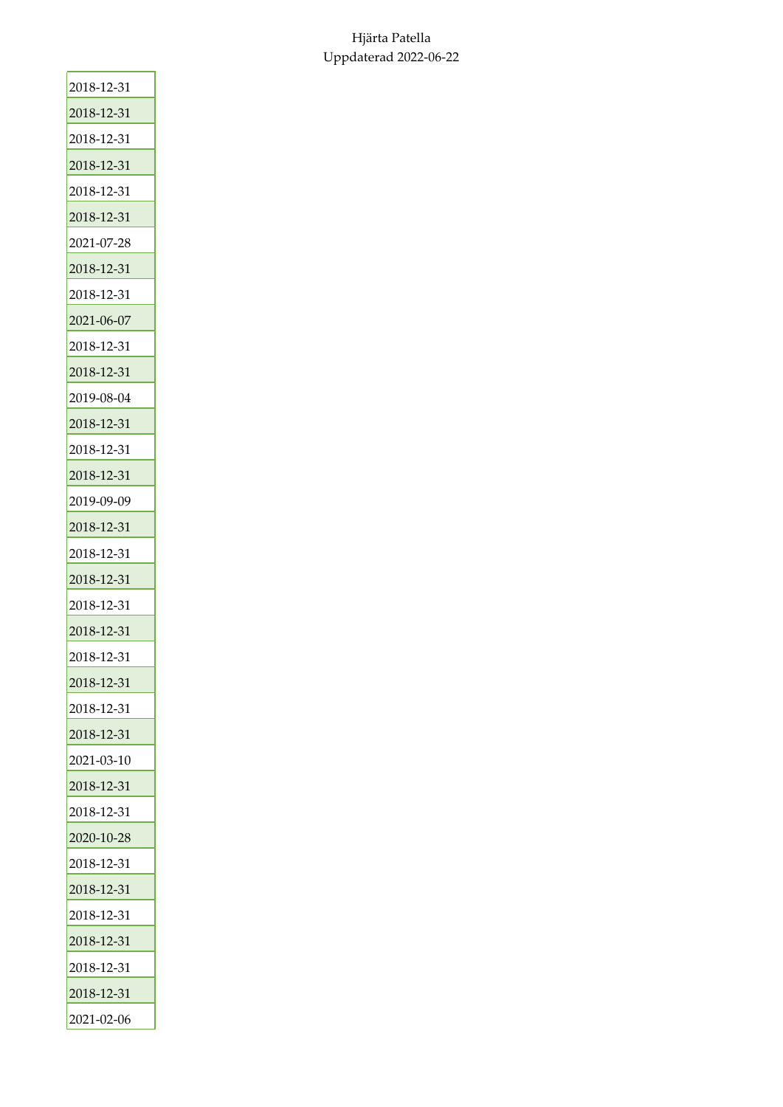| 2018-12-31 |
|------------|
| 2018-12-31 |
| 2018-12-31 |
| 2018-12-31 |
| 2018-12-31 |
| 2018-12-31 |
| 2021-07-28 |
| 2018-12-31 |
| 2018-12-31 |
| 2021-06-07 |
| 2018-12-31 |
| 2018-12-31 |
| 2019-08-04 |
| 2018-12-31 |
| 2018-12-31 |
| 2018-12-31 |
| 2019-09-09 |
| 2018-12-31 |
| 2018-12-31 |
| 2018-12-31 |
| 2018-12-31 |
| 2018-12-31 |
| 2018-12-31 |
| 2018-12-31 |
| 2018-12-31 |
| 2018-12-31 |
| 2021-03-10 |
| 2018-12-31 |
| 2018-12-31 |
| 2020-10-28 |
| 2018-12-31 |
| 2018-12-31 |
| 2018-12-31 |
| 2018-12-31 |
| 2018-12-31 |
| 2018-12-31 |
| 2021-02-06 |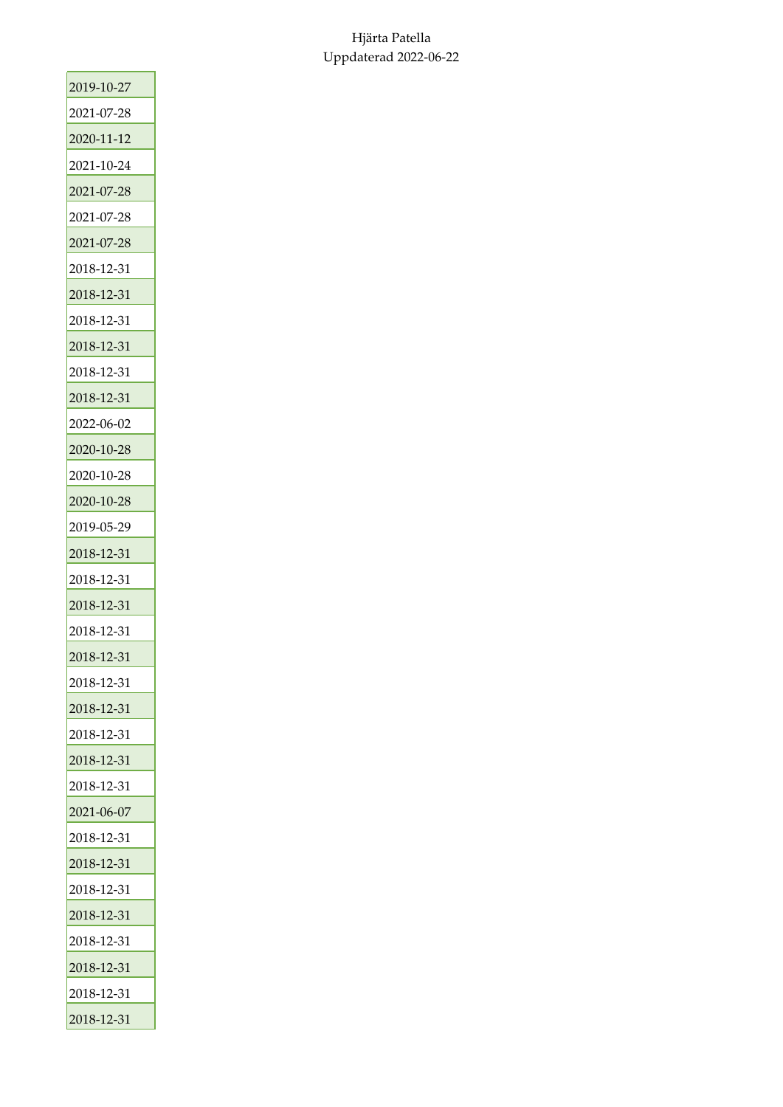| 2019-10-27 |
|------------|
| 2021-07-28 |
| 2020-11-12 |
| 2021-10-24 |
| 2021-07-28 |
| 2021-07-28 |
| 2021-07-28 |
| 2018-12-31 |
| 2018-12-31 |
| 2018-12-31 |
| 2018-12-31 |
| 2018-12-31 |
| 2018-12-31 |
| 2022-06-02 |
| 2020-10-28 |
| 2020-10-28 |
| 2020-10-28 |
| 2019-05-29 |
| 2018-12-31 |
| 2018-12-31 |
| 2018-12-31 |
| 2018-12-31 |
| 2018-12-31 |
| 2018-12-31 |
| 2018-12-31 |
| 2018-12-31 |
| 2018-12-31 |
| 2018-12-31 |
| 2021-06-07 |
| 2018-12-31 |
| 2018-12-31 |
| 2018-12-31 |
| 2018-12-31 |
| 2018-12-31 |
| 2018-12-31 |
| 2018-12-31 |
| 2018-12-31 |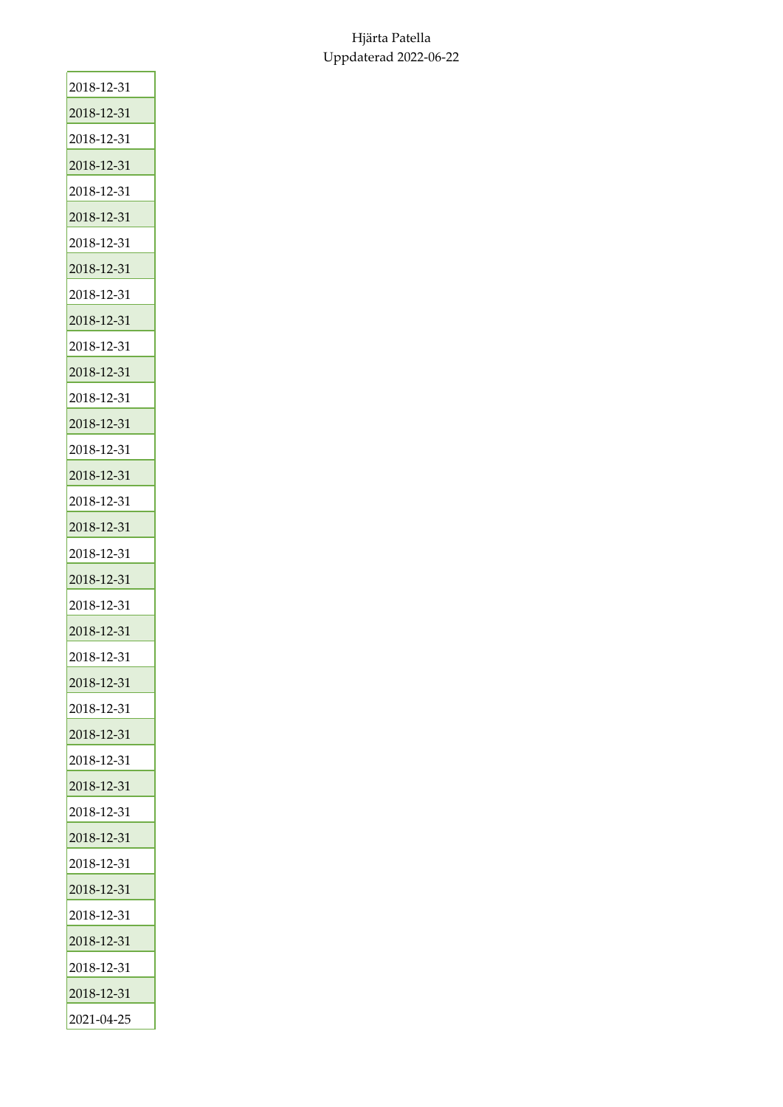| 2018-12-31 |
|------------|
| 2018-12-31 |
| 2018-12-31 |
| 2018-12-31 |
| 2018-12-31 |
| 2018-12-31 |
| 2018-12-31 |
| 2018-12-31 |
| 2018-12-31 |
| 2018-12-31 |
| 2018-12-31 |
| 2018-12-31 |
| 2018-12-31 |
| 2018-12-31 |
| 2018-12-31 |
| 2018-12-31 |
| 2018-12-31 |
| 2018-12-31 |
| 2018-12-31 |
| 2018-12-31 |
| 2018-12-31 |
| 2018-12-31 |
| 2018-12-31 |
| 2018-12-31 |
| 2018-12-31 |
| 2018-12-31 |
| 2018-12-31 |
| 2018-12-31 |
| 2018-12-31 |
| 2018-12-31 |
| 2018-12-31 |
| 2018-12-31 |
| 2018-12-31 |
| 2018-12-31 |
| 2018-12-31 |
| 2018-12-31 |
| 2021-04-25 |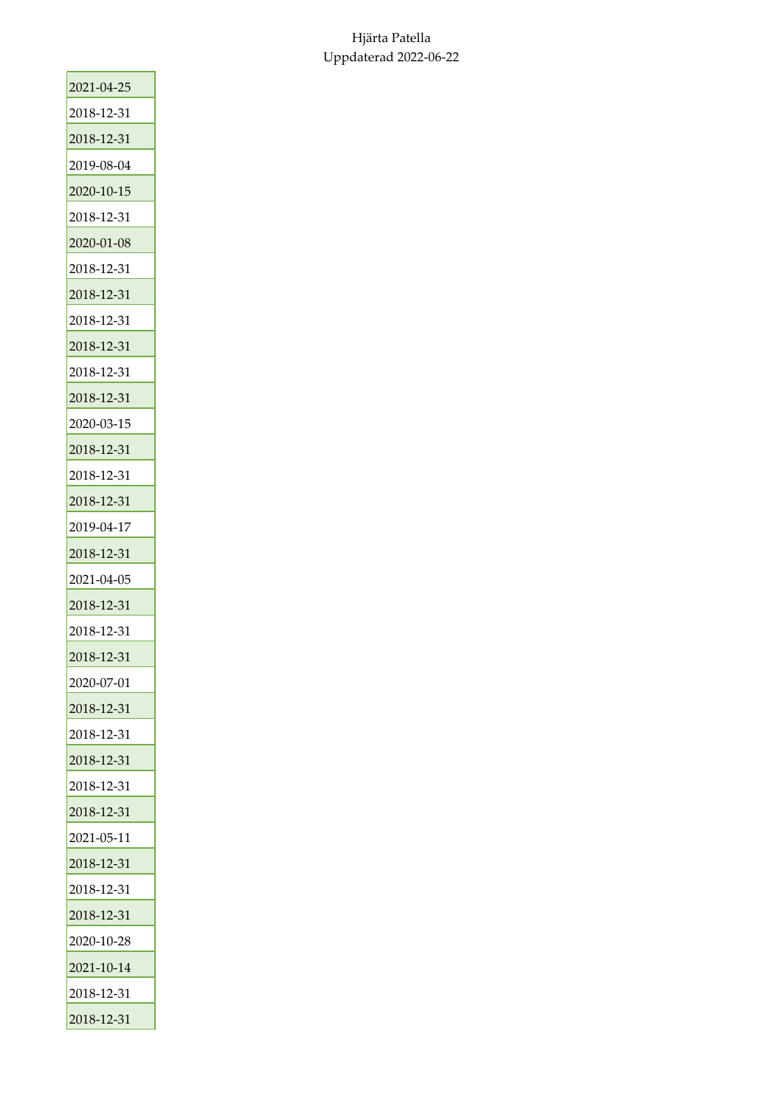| 2021-04-25 |
|------------|
| 2018-12-31 |
| 2018-12-31 |
| 2019-08-04 |
| 2020-10-15 |
| 2018-12-31 |
| 2020-01-08 |
| 2018-12-31 |
| 2018-12-31 |
| 2018-12-31 |
| 2018-12-31 |
| 2018-12-31 |
| 2018-12-31 |
| 2020-03-15 |
| 2018-12-31 |
| 2018-12-31 |
| 2018-12-31 |
| 2019-04-17 |
| 2018-12-31 |
| 2021-04-05 |
| 2018-12-31 |
| 2018-12-31 |
| 2018-12-31 |
| 2020-07-01 |
| 2018-12-31 |
| 2018-12-31 |
| 2018-12-31 |
| 2018-12-31 |
| 2018-12-31 |
| 2021-05-11 |
| 2018-12-31 |
| 2018-12-31 |
| 2018-12-31 |
| 2020-10-28 |
| 2021-10-14 |
| 2018-12-31 |
| 2018-12-31 |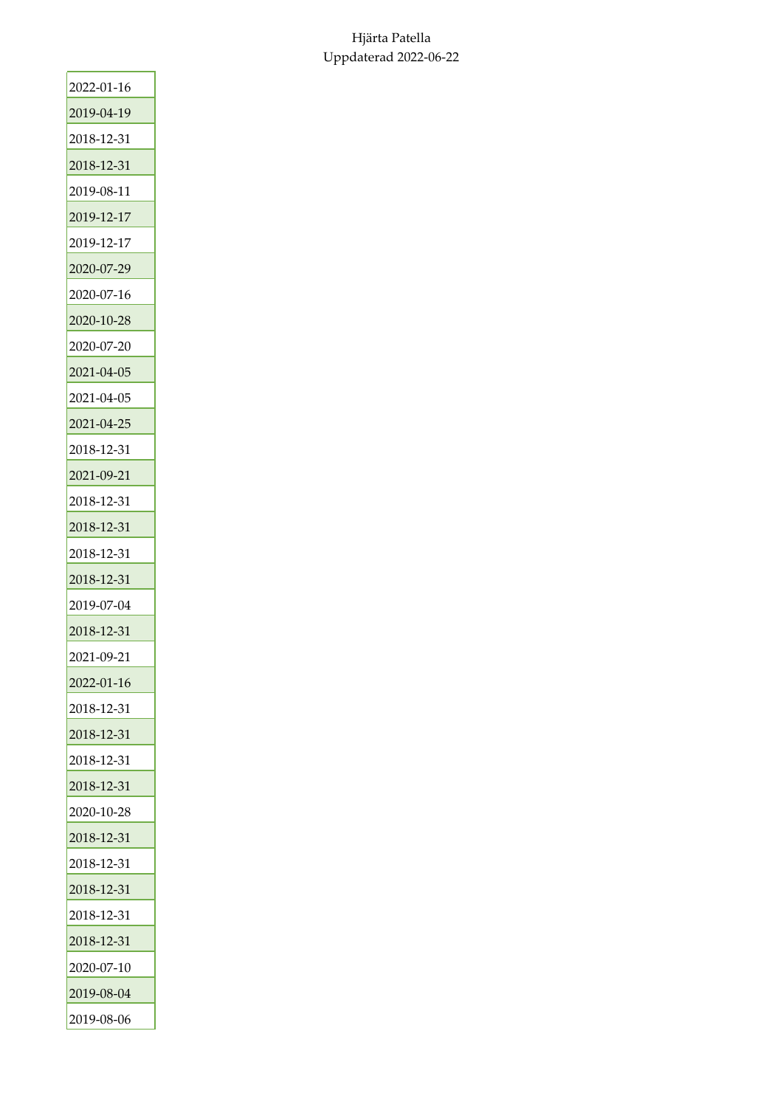| 2022-01-16 |
|------------|
| 2019-04-19 |
| 2018-12-31 |
| 2018-12-31 |
| 2019-08-11 |
| 2019-12-17 |
| 2019-12-17 |
| 2020-07-29 |
| 2020-07-16 |
| 2020-10-28 |
| 2020-07-20 |
| 2021-04-05 |
| 2021-04-05 |
| 2021-04-25 |
| 2018-12-31 |
| 2021-09-21 |
| 2018-12-31 |
| 2018-12-31 |
| 2018-12-31 |
| 2018-12-31 |
| 2019-07-04 |
| 2018-12-31 |
| 2021-09-21 |
| 2022-01-16 |
| 2018-12-31 |
| 2018-12-31 |
| 2018-12-31 |
| 2018-12-31 |
| 2020-10-28 |
| 2018-12-31 |
| 2018-12-31 |
| 2018-12-31 |
| 2018-12-31 |
| 2018-12-31 |
| 2020-07-10 |
| 2019-08-04 |
| 2019-08-06 |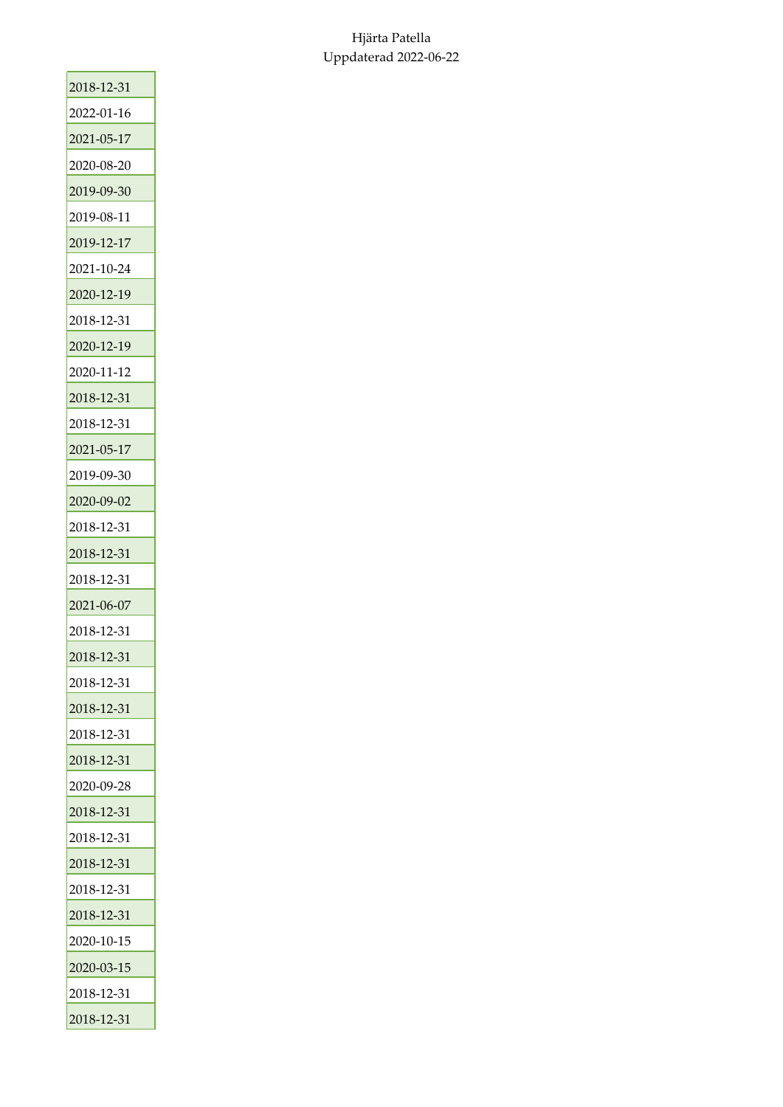| 2018-12-31 |
|------------|
| 2022-01-16 |
| 2021-05-17 |
| 2020-08-20 |
| 2019-09-30 |
| 2019-08-11 |
| 2019-12-17 |
| 2021-10-24 |
| 2020-12-19 |
| 2018-12-31 |
| 2020-12-19 |
| 2020-11-12 |
| 2018-12-31 |
| 2018-12-31 |
| 2021-05-17 |
| 2019-09-30 |
| 2020-09-02 |
| 2018-12-31 |
| 2018-12-31 |
| 2018-12-31 |
| 2021-06-07 |
| 2018-12-31 |
| 2018-12-31 |
| 2018-12-31 |
| 2018-12-31 |
| 2018-12-31 |
| 2018-12-31 |
| 2020-09-28 |
| 2018-12-31 |
| 2018-12-31 |
| 2018-12-31 |
| 2018-12-31 |
| 2018-12-31 |
| 2020-10-15 |
| 2020-03-15 |
| 2018-12-31 |
| 2018-12-31 |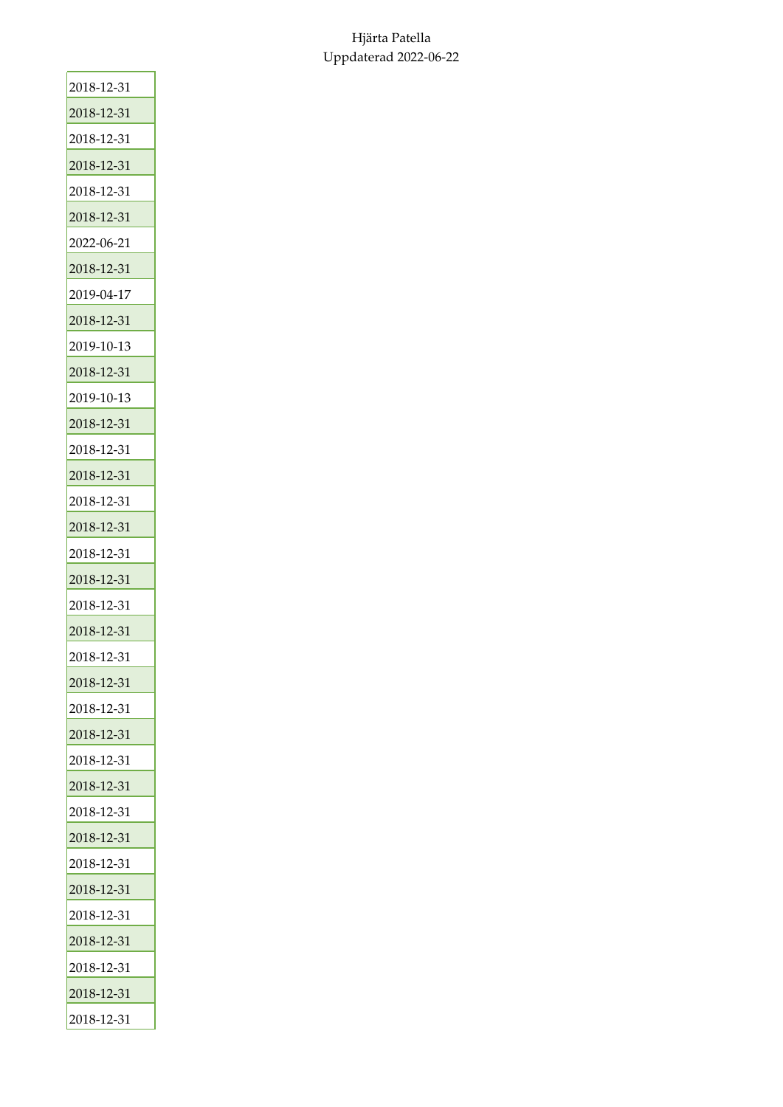| 2018-12-31 |
|------------|
| 2018-12-31 |
| 2018-12-31 |
| 2018-12-31 |
| 2018-12-31 |
| 2018-12-31 |
| 2022-06-21 |
| 2018-12-31 |
| 2019-04-17 |
| 2018-12-31 |
| 2019-10-13 |
| 2018-12-31 |
| 2019-10-13 |
| 2018-12-31 |
| 2018-12-31 |
| 2018-12-31 |
| 2018-12-31 |
| 2018-12-31 |
| 2018-12-31 |
| 2018-12-31 |
| 2018-12-31 |
| 2018-12-31 |
| 2018-12-31 |
| 2018-12-31 |
| 2018-12-31 |
| 2018-12-31 |
| 2018-12-31 |
| 2018-12-31 |
| 2018-12-31 |
| 2018-12-31 |
| 2018-12-31 |
| 2018-12-31 |
| 2018-12-31 |
| 2018-12-31 |
| 2018-12-31 |
| 2018-12-31 |
| 2018-12-31 |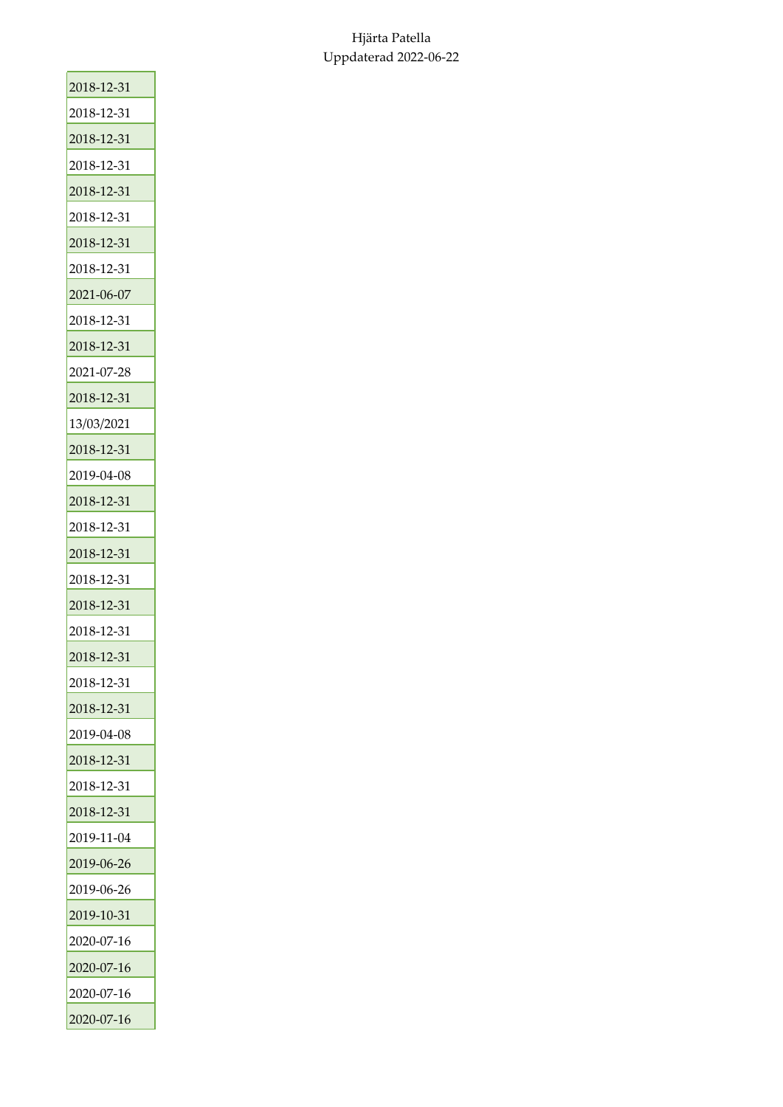| 2018-12-31 |
|------------|
| 2018-12-31 |
| 2018-12-31 |
| 2018-12-31 |
| 2018-12-31 |
| 2018-12-31 |
| 2018-12-31 |
| 2018-12-31 |
| 2021-06-07 |
| 2018-12-31 |
| 2018-12-31 |
| 2021-07-28 |
| 2018-12-31 |
| 13/03/2021 |
| 2018-12-31 |
| 2019-04-08 |
| 2018-12-31 |
| 2018-12-31 |
| 2018-12-31 |
| 2018-12-31 |
| 2018-12-31 |
| 2018-12-31 |
| 2018-12-31 |
| 2018-12-31 |
| 2018-12-31 |
| 2019-04-08 |
| 2018-12-31 |
| 2018-12-31 |
| 2018-12-31 |
| 2019-11-04 |
| 2019-06-26 |
| 2019-06-26 |
| 2019-10-31 |
| 2020-07-16 |
| 2020-07-16 |
| 2020-07-16 |
| 2020-07-16 |
|            |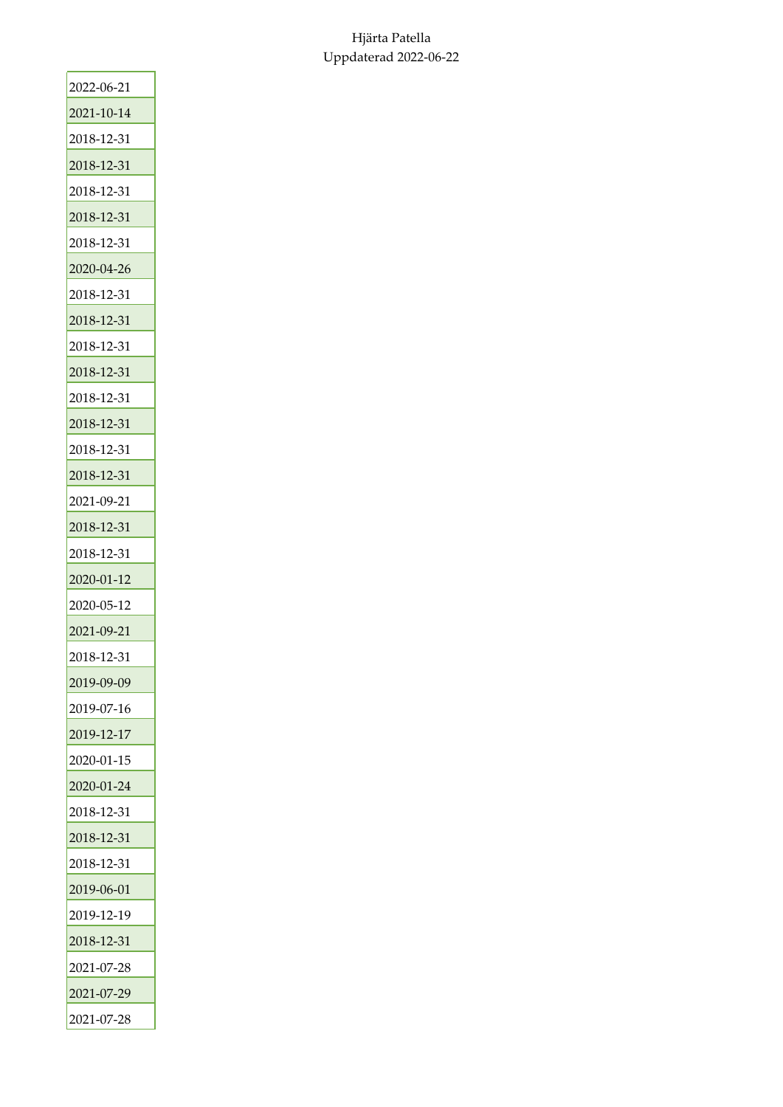| 2022-06-21 |
|------------|
| 2021-10-14 |
| 2018-12-31 |
| 2018-12-31 |
| 2018-12-31 |
| 2018-12-31 |
| 2018-12-31 |
| 2020-04-26 |
| 2018-12-31 |
| 2018-12-31 |
| 2018-12-31 |
| 2018-12-31 |
| 2018-12-31 |
| 2018-12-31 |
| 2018-12-31 |
| 2018-12-31 |
| 2021-09-21 |
| 2018-12-31 |
| 2018-12-31 |
| 2020-01-12 |
| 2020-05-12 |
| 2021-09-21 |
| 2018-12-31 |
| 2019-09-09 |
| 2019-07-16 |
| 2019-12-17 |
| 2020-01-15 |
| 2020-01-24 |
| 2018-12-31 |
| 2018-12-31 |
| 2018-12-31 |
| 2019-06-01 |
| 2019-12-19 |
| 2018-12-31 |
| 2021-07-28 |
| 2021-07-29 |
|            |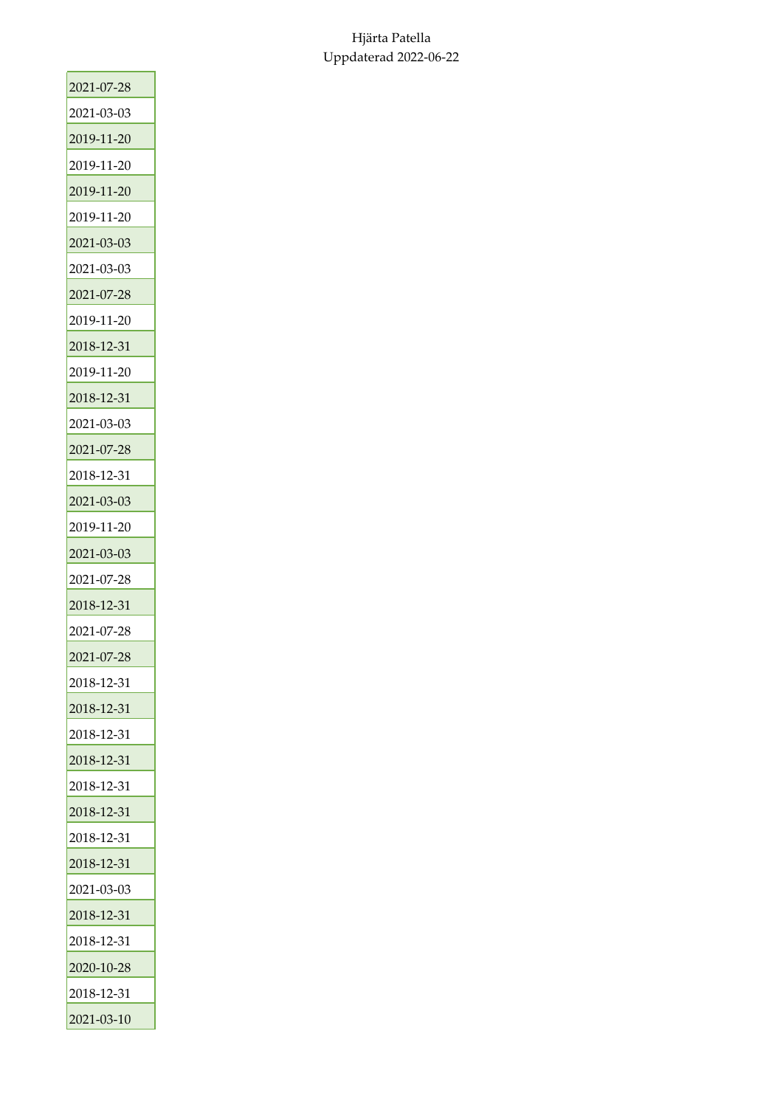| 2021-07-28 |
|------------|
| 2021-03-03 |
| 2019-11-20 |
| 2019-11-20 |
| 2019-11-20 |
| 2019-11-20 |
| 2021-03-03 |
| 2021-03-03 |
| 2021-07-28 |
| 2019-11-20 |
| 2018-12-31 |
| 2019-11-20 |
| 2018-12-31 |
| 2021-03-03 |
| 2021-07-28 |
| 2018-12-31 |
| 2021-03-03 |
| 2019-11-20 |
| 2021-03-03 |
| 2021-07-28 |
| 2018-12-31 |
| 2021-07-28 |
| 2021-07-28 |
| 2018-12-31 |
| 2018-12-31 |
| 2018-12-31 |
| 2018-12-31 |
| 2018-12-31 |
| 2018-12-31 |
| 2018-12-31 |
| 2018-12-31 |
| 2021-03-03 |
| 2018-12-31 |
| 2018-12-31 |
| 2020-10-28 |
| 2018-12-31 |
| 2021-03-10 |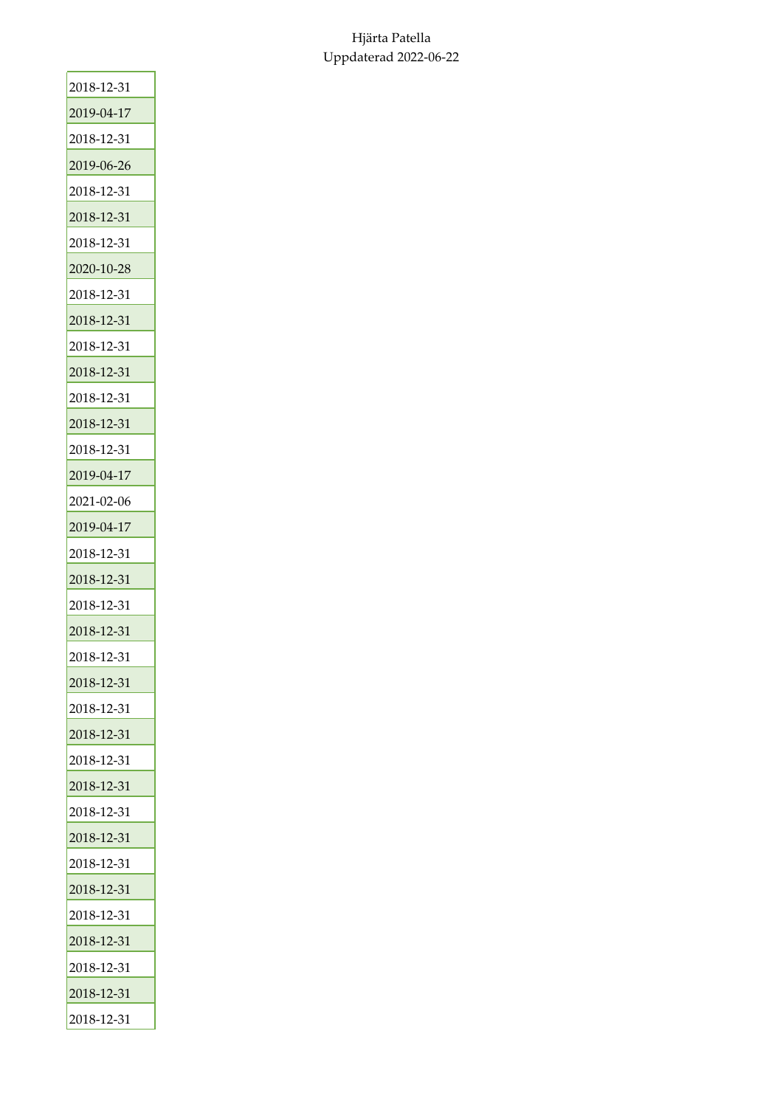| 2018-12-31 |
|------------|
| 2019-04-17 |
| 2018-12-31 |
| 2019-06-26 |
| 2018-12-31 |
| 2018-12-31 |
| 2018-12-31 |
| 2020-10-28 |
| 2018-12-31 |
| 2018-12-31 |
| 2018-12-31 |
| 2018-12-31 |
| 2018-12-31 |
| 2018-12-31 |
| 2018-12-31 |
| 2019-04-17 |
| 2021-02-06 |
| 2019-04-17 |
| 2018-12-31 |
| 2018-12-31 |
| 2018-12-31 |
| 2018-12-31 |
| 2018-12-31 |
| 2018-12-31 |
| 2018-12-31 |
| 2018-12-31 |
| 2018-12-31 |
| 2018-12-31 |
| 2018-12-31 |
| 2018-12-31 |
| 2018-12-31 |
| 2018-12-31 |
| 2018-12-31 |
| 2018-12-31 |
| 2018-12-31 |
| 2018-12-31 |
| 2018-12-31 |